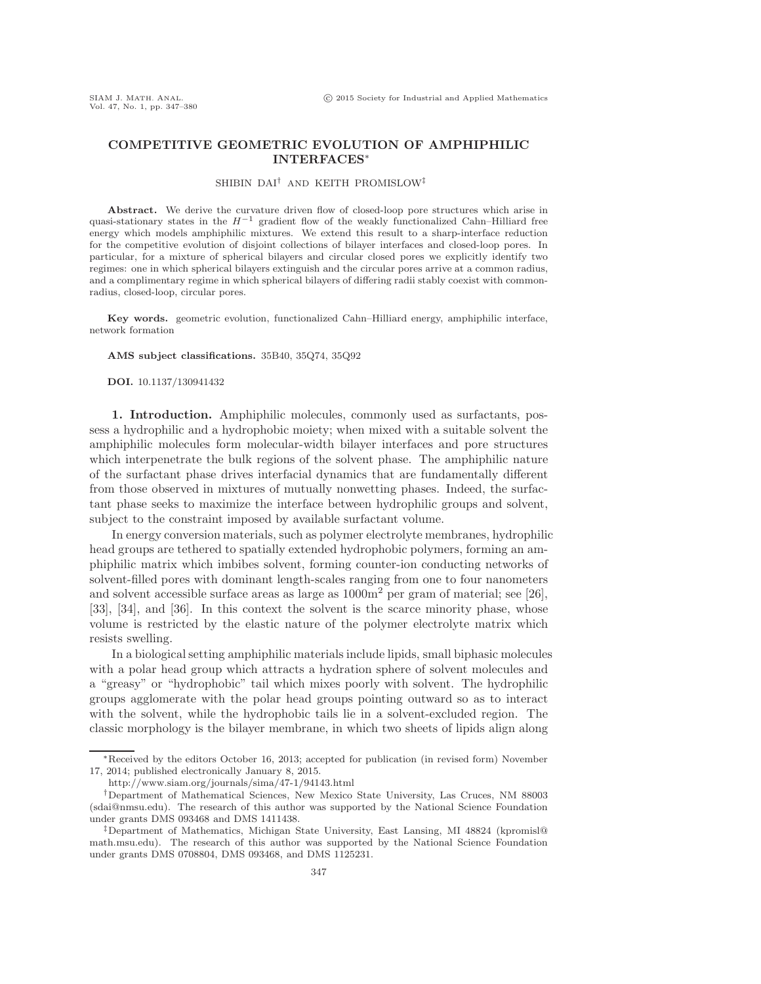# **COMPETITIVE GEOMETRIC EVOLUTION OF AMPHIPHILIC INTERFACES**∗

### SHIBIN DAI† AND KEITH PROMISLOW‡

Abstract. We derive the curvature driven flow of closed-loop pore structures which arise in quasi-stationary states in the  $H^{-1}$  gradient flow of the weakly functionalized Cahn–Hilliard free energy which models amphiphilic mixtures. We extend this result to a sharp-interface reduction for the competitive evolution of disjoint collections of bilayer interfaces and closed-loop pores. In particular, for a mixture of spherical bilayers and circular closed pores we explicitly identify two regimes: one in which spherical bilayers extinguish and the circular pores arrive at a common radius, and a complimentary regime in which spherical bilayers of differing radii stably coexist with commonradius, closed-loop, circular pores.

**Key words.** geometric evolution, functionalized Cahn–Hilliard energy, amphiphilic interface, network formation

#### **AMS subject classifications.** 35B40, 35Q74, 35Q92

**DOI.** 10.1137/130941432

**1. Introduction.** Amphiphilic molecules, commonly used as surfactants, possess a hydrophilic and a hydrophobic moiety; when mixed with a suitable solvent the amphiphilic molecules form molecular-width bilayer interfaces and pore structures which interpenetrate the bulk regions of the solvent phase. The amphiphilic nature of the surfactant phase drives interfacial dynamics that are fundamentally different from those observed in mixtures of mutually nonwetting phases. Indeed, the surfactant phase seeks to maximize the interface between hydrophilic groups and solvent, subject to the constraint imposed by available surfactant volume.

In energy conversion materials, such as polymer electrolyte membranes, hydrophilic head groups are tethered to spatially extended hydrophobic polymers, forming an amphiphilic matrix which imbibes solvent, forming counter-ion conducting networks of solvent-filled pores with dominant length-scales ranging from one to four nanometers and solvent accessible surface areas as large as  $1000m^2$  per gram of material; see [\[26\]](#page-32-0), [\[33\]](#page-32-1), [\[34\]](#page-32-2), and [\[36\]](#page-32-3). In this context the solvent is the scarce minority phase, whose volume is restricted by the elastic nature of the polymer electrolyte matrix which resists swelling.

In a biological setting amphiphilic materials include lipids, small biphasic molecules with a polar head group which attracts a hydration sphere of solvent molecules and a "greasy" or "hydrophobic" tail which mixes poorly with solvent. The hydrophilic groups agglomerate with the polar head groups pointing outward so as to interact with the solvent, while the hydrophobic tails lie in a solvent-excluded region. The classic morphology is the bilayer membrane, in which two sheets of lipids align along

<sup>∗</sup>Received by the editors October 16, 2013; accepted for publication (in revised form) November 17, 2014; published electronically January 8, 2015.

<http://www.siam.org/journals/sima/47-1/94143.html>

<sup>†</sup>Department of Mathematical Sciences, New Mexico State University, Las Cruces, NM 88003 [\(sdai@nmsu.edu\)](mailto:sdai@nmsu.edu). The research of this author was supported by the National Science Foundation under grants DMS 093468 and DMS 1411438.

<sup>‡</sup>Department of Mathematics, Michigan State University, East Lansing, MI 48824 [\(kpromisl@](mailto:kpromisl@math.msu.edu) [math.msu.edu\)](mailto:kpromisl@math.msu.edu). The research of this author was supported by the National Science Foundation under grants DMS 0708804, DMS 093468, and DMS 1125231.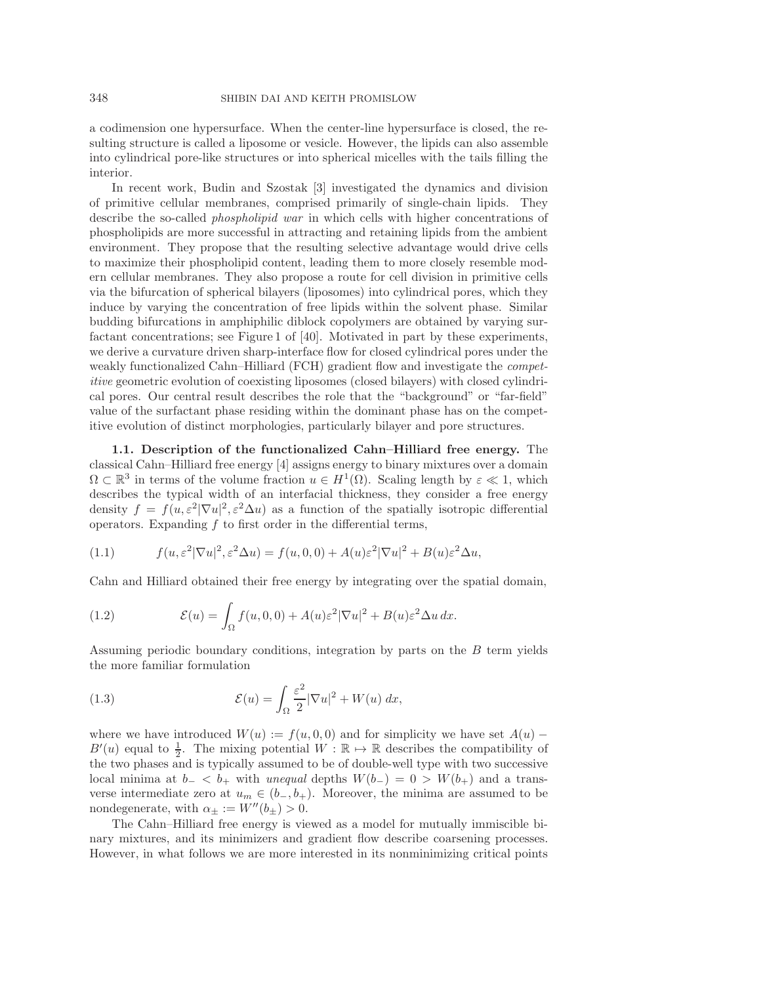a codimension one hypersurface. When the center-line hypersurface is closed, the resulting structure is called a liposome or vesicle. However, the lipids can also assemble into cylindrical pore-like structures or into spherical micelles with the tails filling the interior.

In recent work, Budin and Szostak [\[3\]](#page-31-0) investigated the dynamics and division of primitive cellular membranes, comprised primarily of single-chain lipids. They describe the so-called *phospholipid war* in which cells with higher concentrations of phospholipids are more successful in attracting and retaining lipids from the ambient environment. They propose that the resulting selective advantage would drive cells to maximize their phospholipid content, leading them to more closely resemble modern cellular membranes. They also propose a route for cell division in primitive cells via the bifurcation of spherical bilayers (liposomes) into cylindrical pores, which they induce by varying the concentration of free lipids within the solvent phase. Similar budding bifurcations in amphiphilic diblock copolymers are obtained by varying surfactant concentrations; see Figure 1 of [\[40\]](#page-33-0). Motivated in part by these experiments, we derive a curvature driven sharp-interface flow for closed cylindrical pores under the weakly functionalized Cahn–Hilliard (FCH) gradient flow and investigate the *competitive* geometric evolution of coexisting liposomes (closed bilayers) with closed cylindrical pores. Our central result describes the role that the "background" or "far-field" value of the surfactant phase residing within the dominant phase has on the competitive evolution of distinct morphologies, particularly bilayer and pore structures.

**1.1. Description of the functionalized Cahn–Hilliard free energy.** The classical Cahn–Hilliard free energy [\[4\]](#page-31-1) assigns energy to binary mixtures over a domain  $\Omega \subset \mathbb{R}^3$  in terms of the volume fraction  $u \in H^1(\Omega)$ . Scaling length by  $\varepsilon \ll 1$ , which describes the typical width of an interfacial thickness, they consider a free energy density  $f = f(u, \varepsilon^2 |\nabla u|^2, \varepsilon^2 \Delta u)$  as a function of the spatially isotropic differential operators. Expanding  $f$  to first order in the differential terms,

(1.1) 
$$
f(u, \varepsilon^2 |\nabla u|^2, \varepsilon^2 \Delta u) = f(u, 0, 0) + A(u)\varepsilon^2 |\nabla u|^2 + B(u)\varepsilon^2 \Delta u,
$$

Cahn and Hilliard obtained their free energy by integrating over the spatial domain,

(1.2) 
$$
\mathcal{E}(u) = \int_{\Omega} f(u,0,0) + A(u)\varepsilon^2 |\nabla u|^2 + B(u)\varepsilon^2 \Delta u \, dx.
$$

Assuming periodic boundary conditions, integration by parts on the B term yields the more familiar formulation

(1.3) 
$$
\mathcal{E}(u) = \int_{\Omega} \frac{\varepsilon^2}{2} |\nabla u|^2 + W(u) \, dx,
$$

where we have introduced  $W(u) := f(u, 0, 0)$  and for simplicity we have set  $A(u)$  –  $B'(u)$  equal to  $\frac{1}{2}$ . The mixing potential  $W : \mathbb{R} \to \mathbb{R}$  describes the compatibility of the two phases and is typically assumed to be of double-well type with two successive local minima at  $b_-\lt b_+$  with *unequal* depths  $W(b_-\)=0 > W(b_+)$  and a transverse intermediate zero at  $u_m \in (b_-, b_+).$  Moreover, the minima are assumed to be nondegenerate, with  $\alpha_{\pm} := W''(b_{\pm}) > 0$ .

The Cahn–Hilliard free energy is viewed as a model for mutually immiscible binary mixtures, and its minimizers and gradient flow describe coarsening processes. However, in what follows we are more interested in its nonminimizing critical points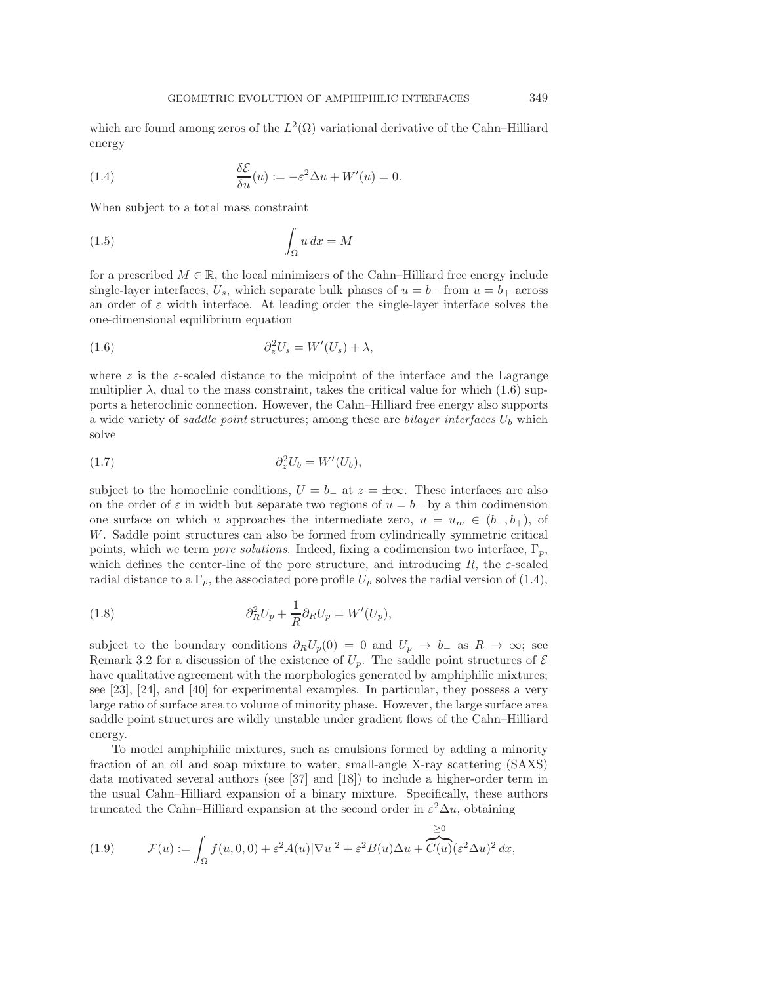<span id="page-2-1"></span>which are found among zeros of the  $L^2(\Omega)$  variational derivative of the Cahn–Hilliard energy

(1.4) 
$$
\frac{\delta \mathcal{E}}{\delta u}(u) := -\varepsilon^2 \Delta u + W'(u) = 0.
$$

When subject to a total mass constraint

$$
\int_{\Omega} u \, dx = M
$$

for a prescribed  $M \in \mathbb{R}$ , the local minimizers of the Cahn–Hilliard free energy include single-layer interfaces,  $U_s$ , which separate bulk phases of  $u = b_+$  from  $u = b_+$  across an order of  $\varepsilon$  width interface. At leading order the single-layer interface solves the one-dimensional equilibrium equation

<span id="page-2-0"></span>
$$
(1.6) \t\t\t \t\t \partial_z^2 U_s = W'(U_s) + \lambda,
$$

where z is the  $\varepsilon$ -scaled distance to the midpoint of the interface and the Lagrange multiplier  $\lambda$ , dual to the mass constraint, takes the critical value for which [\(1.6\)](#page-2-0) supports a heteroclinic connection. However, the Cahn–Hilliard free energy also supports a wide variety of *saddle point* structures; among these are *bilayer interfaces* U<sup>b</sup> which solve

<span id="page-2-3"></span>
$$
(1.7) \t\t\t\t\partial_z^2 U_b = W'(U_b),
$$

subject to the homoclinic conditions,  $U = b_-\text{ at } z = \pm \infty$ . These interfaces are also on the order of  $\varepsilon$  in width but separate two regions of  $u = b_-\,$  by a thin codimension one surface on which u approaches the intermediate zero,  $u = u_m \in (b_-, b_+)$ , of W. Saddle point structures can also be formed from cylindrically symmetric critical points, which we term *pore solutions*. Indeed, fixing a codimension two interface,  $\Gamma_p$ , which defines the center-line of the pore structure, and introducing R, the  $\varepsilon$ -scaled radial distance to a  $\Gamma_p$ , the associated pore profile  $U_p$  solves the radial version of [\(1.4\)](#page-2-1),

<span id="page-2-4"></span>(1.8) 
$$
\partial_R^2 U_p + \frac{1}{R} \partial_R U_p = W'(U_p),
$$

subject to the boundary conditions  $\partial_R U_p(0) = 0$  and  $U_p \to b_-$  as  $R \to \infty$ ; see Remark [3.2](#page-13-0) for a discussion of the existence of  $U_p$ . The saddle point structures of  $\mathcal E$ have qualitative agreement with the morphologies generated by amphiphilic mixtures; see [\[23\]](#page-32-4), [\[24\]](#page-32-5), and [\[40\]](#page-33-0) for experimental examples. In particular, they possess a very large ratio of surface area to volume of minority phase. However, the large surface area saddle point structures are wildly unstable under gradient flows of the Cahn–Hilliard energy.

To model amphiphilic mixtures, such as emulsions formed by adding a minority fraction of an oil and soap mixture to water, small-angle X-ray scattering (SAXS) data motivated several authors (see [\[37\]](#page-33-1) and [\[18\]](#page-32-6)) to include a higher-order term in the usual Cahn–Hilliard expansion of a binary mixture. Specifically, these authors truncated the Cahn–Hilliard expansion at the second order in  $\varepsilon^2 \Delta u$ , obtaining

<span id="page-2-2"></span>(1.9) 
$$
\mathcal{F}(u) := \int_{\Omega} f(u,0,0) + \varepsilon^2 A(u) |\nabla u|^2 + \varepsilon^2 B(u) \Delta u + \overbrace{C(u)}^{\geq 0} (\varepsilon^2 \Delta u)^2 dx,
$$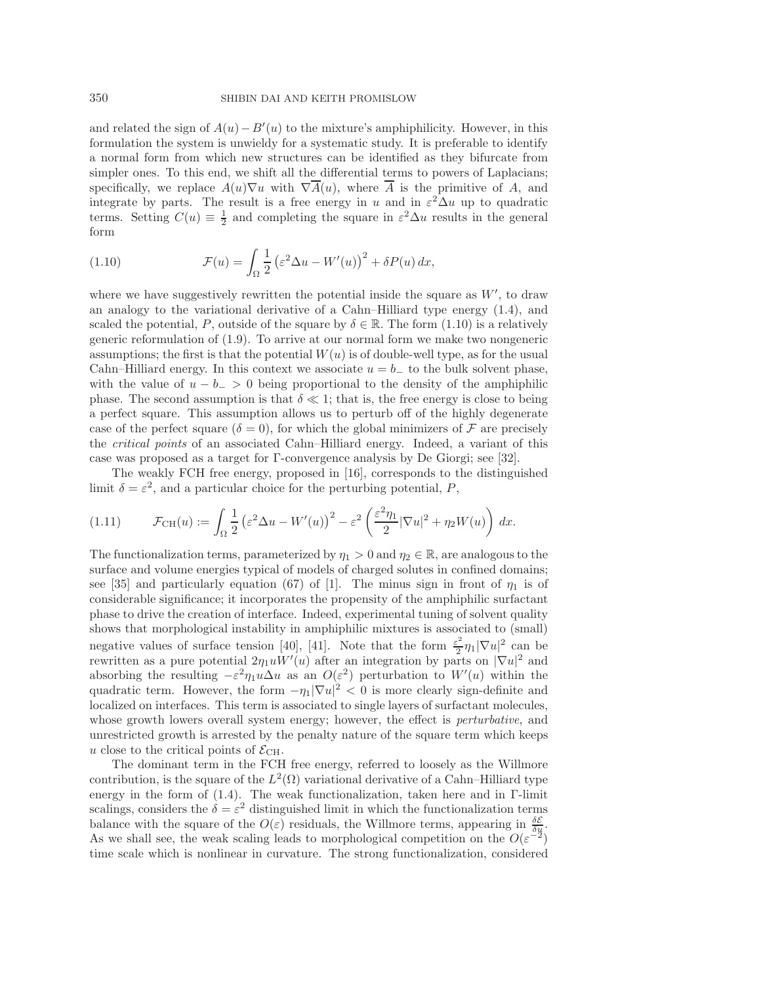and related the sign of  $A(u) - B'(u)$  to the mixture's amphiphilicity. However, in this formulation the system is unwieldy for a systematic study. It is preferable to identify a normal form from which new structures can be identified as they bifurcate from simpler ones. To this end, we shift all the differential terms to powers of Laplacians; specifically, we replace  $A(u)\nabla u$  with  $\nabla A(u)$ , where A is the primitive of A, and integrate by parts. The result is a free energy in u and in  $\varepsilon^2 \Delta u$  up to quadratic terms. Setting  $C(u) \equiv \frac{1}{2}$  and completing the square in  $\varepsilon^2 \Delta u$  results in the general form

<span id="page-3-0"></span>(1.10) 
$$
\mathcal{F}(u) = \int_{\Omega} \frac{1}{2} \left( \varepsilon^2 \Delta u - W'(u) \right)^2 + \delta P(u) \, dx,
$$

where we have suggestively rewritten the potential inside the square as  $W'$ , to draw an analogy to the variational derivative of a Cahn–Hilliard type energy [\(1.4\)](#page-2-1), and scaled the potential, P, outside of the square by  $\delta \in \mathbb{R}$ . The form [\(1.10\)](#page-3-0) is a relatively generic reformulation of [\(1.9\)](#page-2-2). To arrive at our normal form we make two nongeneric assumptions; the first is that the potential  $W(u)$  is of double-well type, as for the usual Cahn–Hilliard energy. In this context we associate  $u = b_-\,$  to the bulk solvent phase, with the value of  $u - b_{-} > 0$  being proportional to the density of the amphiphilic phase. The second assumption is that  $\delta \ll 1$ ; that is, the free energy is close to being a perfect square. This assumption allows us to perturb off of the highly degenerate case of the perfect square  $(\delta = 0)$ , for which the global minimizers of  $\mathcal F$  are precisely the *critical points* of an associated Cahn–Hilliard energy. Indeed, a variant of this case was proposed as a target for Γ-convergence analysis by De Giorgi; see [\[32\]](#page-32-7).

The weakly FCH free energy, proposed in [\[16\]](#page-32-8), corresponds to the distinguished limit  $\delta = \varepsilon^2$ , and a particular choice for the perturbing potential, P,

(1.11) 
$$
\mathcal{F}_{\text{CH}}(u) := \int_{\Omega} \frac{1}{2} \left( \varepsilon^2 \Delta u - W'(u) \right)^2 - \varepsilon^2 \left( \frac{\varepsilon^2 \eta_1}{2} |\nabla u|^2 + \eta_2 W(u) \right) dx.
$$

The functionalization terms, parameterized by  $\eta_1 > 0$  and  $\eta_2 \in \mathbb{R}$ , are analogous to the surface and volume energies typical of models of charged solutes in confined domains; see [\[35\]](#page-32-9) and particularly equation (67) of [\[1\]](#page-31-2). The minus sign in front of  $\eta_1$  is of considerable significance; it incorporates the propensity of the amphiphilic surfactant phase to drive the creation of interface. Indeed, experimental tuning of solvent quality shows that morphological instability in amphiphilic mixtures is associated to (small) negative values of surface tension [\[40\]](#page-33-0), [\[41\]](#page-33-2). Note that the form  $\frac{\varepsilon^2}{2}\eta_1|\nabla u|^2$  can be rewritten as a pure potential  $2\eta_1 uW'(u)$  after an integration by parts on  $|\nabla u|^2$  and absorbing the resulting  $-\varepsilon^2 \eta_1 u \Delta u$  as an  $O(\varepsilon^2)$  perturbation to  $W'(u)$  within the quadratic term. However, the form  $-\eta_1 |\nabla u|^2 < 0$  is more clearly sign-definite and localized on interfaces. This term is associated to single layers of surfactant molecules, whose growth lowers overall system energy; however, the effect is *perturbative*, and unrestricted growth is arrested by the penalty nature of the square term which keeps u close to the critical points of  $\mathcal{E}_{\text{CH}}$ .

The dominant term in the FCH free energy, referred to loosely as the Willmore contribution, is the square of the  $L^2(\Omega)$  variational derivative of a Cahn–Hilliard type energy in the form of [\(1.4\)](#page-2-1). The weak functionalization, taken here and in Γ-limit scalings, considers the  $\delta = \varepsilon^2$  distinguished limit in which the functionalization terms balance with the square of the  $O(\varepsilon)$  residuals, the Willmore terms, appearing in  $\frac{\delta \varepsilon}{\delta u}$ . As we shall see, the weak scaling leads to morphological competition on the  $O(\varepsilon^{-2})$ time scale which is nonlinear in curvature. The strong functionalization, considered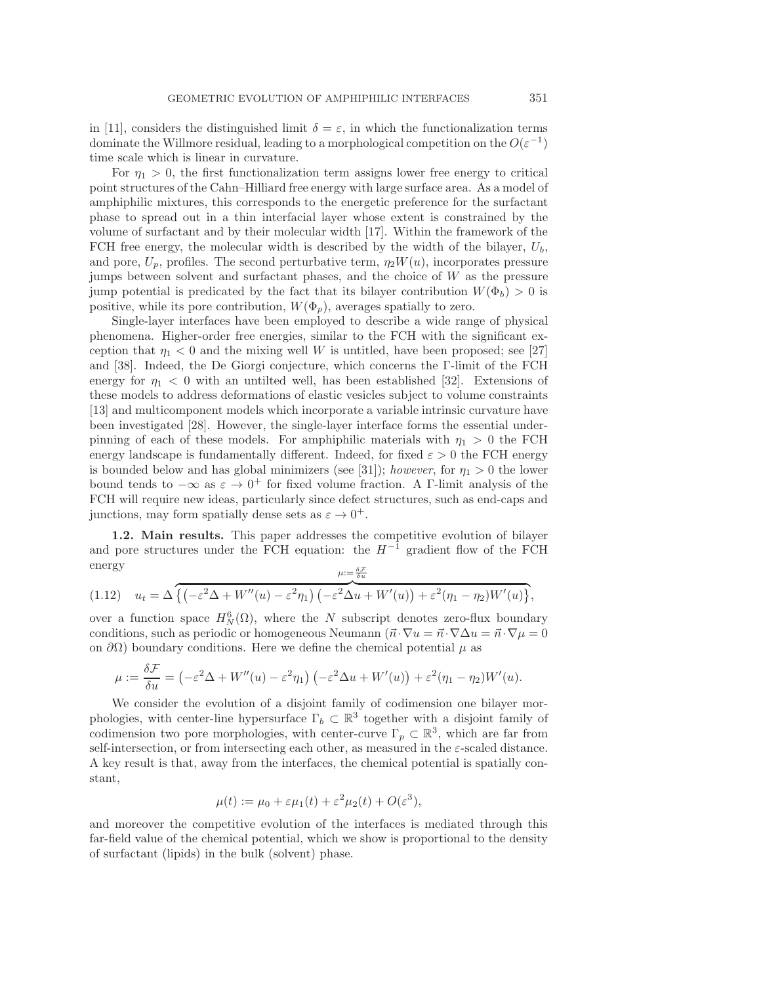in [\[11\]](#page-32-10), considers the distinguished limit  $\delta = \varepsilon$ , in which the functionalization terms dominate the Willmore residual, leading to a morphological competition on the  $O(\varepsilon^{-1})$ time scale which is linear in curvature.

For  $\eta_1 > 0$ , the first functionalization term assigns lower free energy to critical point structures of the Cahn–Hilliard free energy with large surface area. As a model of amphiphilic mixtures, this corresponds to the energetic preference for the surfactant phase to spread out in a thin interfacial layer whose extent is constrained by the volume of surfactant and by their molecular width [\[17\]](#page-32-11). Within the framework of the FCH free energy, the molecular width is described by the width of the bilayer,  $U_b$ , and pore,  $U_p$ , profiles. The second perturbative term,  $\eta_2 W(u)$ , incorporates pressure jumps between solvent and surfactant phases, and the choice of W as the pressure jump potential is predicated by the fact that its bilayer contribution  $W(\Phi_b) > 0$  is positive, while its pore contribution,  $W(\Phi_p)$ , averages spatially to zero.

Single-layer interfaces have been employed to describe a wide range of physical phenomena. Higher-order free energies, similar to the FCH with the significant exception that  $\eta_1 < 0$  and the mixing well W is untitled, have been proposed; see [\[27\]](#page-32-12) and [\[38\]](#page-33-3). Indeed, the De Giorgi conjecture, which concerns the Γ-limit of the FCH energy for  $\eta_1 < 0$  with an untilted well, has been established [\[32\]](#page-32-7). Extensions of these models to address deformations of elastic vesicles subject to volume constraints [\[13\]](#page-32-13) and multicomponent models which incorporate a variable intrinsic curvature have been investigated [\[28\]](#page-32-14). However, the single-layer interface forms the essential underpinning of each of these models. For amphiphilic materials with  $\eta_1 > 0$  the FCH energy landscape is fundamentally different. Indeed, for fixed  $\varepsilon > 0$  the FCH energy is bounded below and has global minimizers (see [\[31\]](#page-32-15)); *however*, for  $\eta_1 > 0$  the lower bound tends to  $-\infty$  as  $\varepsilon \to 0^+$  for fixed volume fraction. A Γ-limit analysis of the FCH will require new ideas, particularly since defect structures, such as end-caps and junctions, may form spatially dense sets as  $\varepsilon \to 0^+$ .

<span id="page-4-0"></span>**1.2. Main results.** This paper addresses the competitive evolution of bilayer and pore structures under the FCH equation: the  $H^{-1}$  gradient flow of the FCH energy  $\mu$ : $=\frac{\delta \mathcal{F}}{\delta u}$ 

$$
(1.12) \quad u_t = \Delta \left\{ \left( -\varepsilon^2 \Delta + W''(u) - \varepsilon^2 \eta_1 \right) \left( -\varepsilon^2 \Delta u + W'(u) \right) + \varepsilon^2 (\eta_1 - \eta_2) W'(u) \right\},\,
$$

over a function space  $H_N^6(\Omega)$ , where the N subscript denotes zero-flux boundary conditions, such as periodic or homogeneous Neumann  $(\vec{n} \cdot \nabla u = \vec{n} \cdot \nabla \Delta u = \vec{n} \cdot \nabla \mu = 0$ on  $\partial\Omega$ ) boundary conditions. Here we define the chemical potential  $\mu$  as

$$
\mu := \frac{\delta \mathcal{F}}{\delta u} = \left( -\varepsilon^2 \Delta + W''(u) - \varepsilon^2 \eta_1 \right) \left( -\varepsilon^2 \Delta u + W'(u) \right) + \varepsilon^2 (\eta_1 - \eta_2) W'(u).
$$

We consider the evolution of a disjoint family of codimension one bilayer morphologies, with center-line hypersurface  $\Gamma_b \subset \mathbb{R}^3$  together with a disjoint family of codimension two pore morphologies, with center-curve  $\Gamma_p \subset \mathbb{R}^3$ , which are far from self-intersection, or from intersecting each other, as measured in the  $\varepsilon$ -scaled distance. A key result is that, away from the interfaces, the chemical potential is spatially constant,

$$
\mu(t) := \mu_0 + \varepsilon \mu_1(t) + \varepsilon^2 \mu_2(t) + O(\varepsilon^3),
$$

and moreover the competitive evolution of the interfaces is mediated through this far-field value of the chemical potential, which we show is proportional to the density of surfactant (lipids) in the bulk (solvent) phase.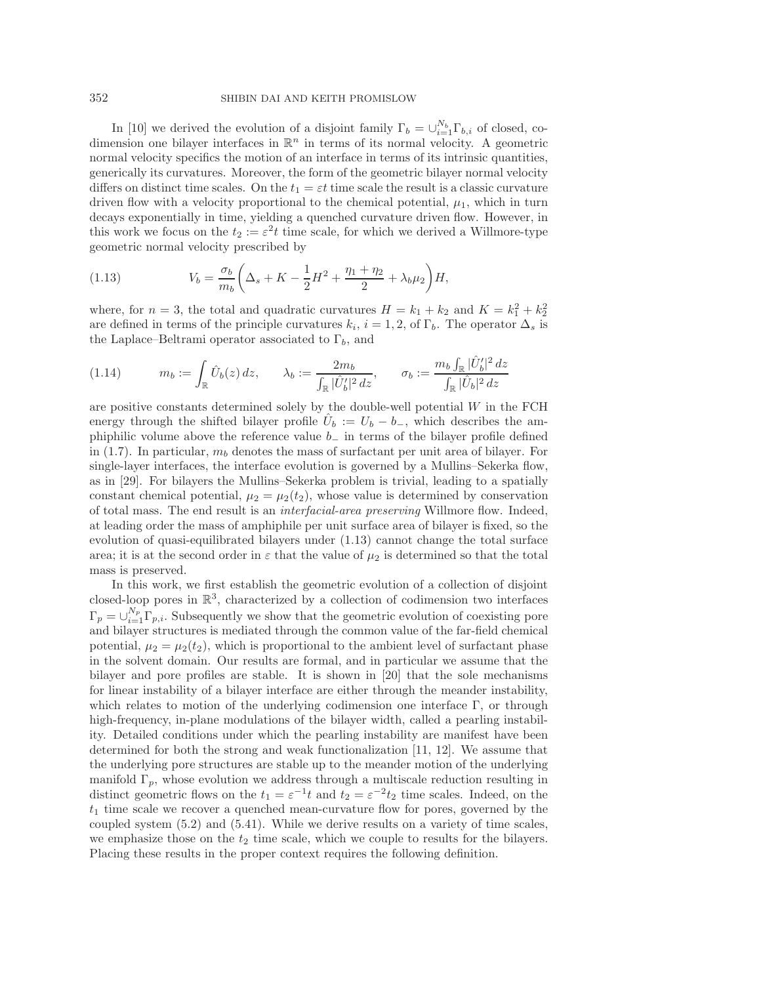## 352 SHIBIN DAI AND KEITH PROMISLOW

In [\[10\]](#page-32-16) we derived the evolution of a disjoint family  $\Gamma_b = \bigcup_{i=1}^{N_b} \Gamma_{b,i}$  of closed, codimension one bilayer interfaces in  $\mathbb{R}^n$  in terms of its normal velocity. A geometric normal velocity specifics the motion of an interface in terms of its intrinsic quantities, generically its curvatures. Moreover, the form of the geometric bilayer normal velocity differs on distinct time scales. On the  $t_1 = \varepsilon t$  time scale the result is a classic curvature driven flow with a velocity proportional to the chemical potential,  $\mu_1$ , which in turn decays exponentially in time, yielding a quenched curvature driven flow. However, in this work we focus on the  $t_2 := \varepsilon^2 t$  time scale, for which we derived a Willmore-type geometric normal velocity prescribed by

<span id="page-5-0"></span>(1.13) 
$$
V_b = \frac{\sigma_b}{m_b} \left( \Delta_s + K - \frac{1}{2} H^2 + \frac{\eta_1 + \eta_2}{2} + \lambda_b \mu_2 \right) H,
$$

where, for  $n = 3$ , the total and quadratic curvatures  $H = k_1 + k_2$  and  $K = k_1^2 + k_2^2$ are defined in terms of the principle curvatures  $k_i$ ,  $i = 1, 2$ , of  $\Gamma_b$ . The operator  $\Delta_s$  is the Laplace–Beltrami operator associated to  $\Gamma_b$ , and

<span id="page-5-2"></span>
$$
(1.14) \t m_b := \int_{\mathbb{R}} \hat{U}_b(z) dz, \t \lambda_b := \frac{2m_b}{\int_{\mathbb{R}} |\hat{U}'_b|^2 dz}, \t \sigma_b := \frac{m_b \int_{\mathbb{R}} |\hat{U}'_b|^2 dz}{\int_{\mathbb{R}} |\hat{U}_b|^2 dz}
$$

are positive constants determined solely by the double-well potential W in the FCH energy through the shifted bilayer profile  $U_b := U_b - b_-,$  which describes the amphiphilic volume above the reference value  $b_-\$  in terms of the bilayer profile defined in [\(1.7\)](#page-2-3). In particular,  $m_b$  denotes the mass of surfactant per unit area of bilayer. For single-layer interfaces, the interface evolution is governed by a Mullins–Sekerka flow, as in [\[29\]](#page-32-17). For bilayers the Mullins–Sekerka problem is trivial, leading to a spatially constant chemical potential,  $\mu_2 = \mu_2(t_2)$ , whose value is determined by conservation of total mass. The end result is an *interfacial-area preserving* Willmore flow. Indeed, at leading order the mass of amphiphile per unit surface area of bilayer is fixed, so the evolution of quasi-equilibrated bilayers under [\(1.13\)](#page-5-0) cannot change the total surface area; it is at the second order in  $\varepsilon$  that the value of  $\mu_2$  is determined so that the total mass is preserved.

<span id="page-5-1"></span>In this work, we first establish the geometric evolution of a collection of disjoint closed-loop pores in  $\mathbb{R}^3$ , characterized by a collection of codimension two interfaces  $\Gamma_p = \bigcup_{i=1}^{N_p} \Gamma_{p,i}$ . Subsequently we show that the geometric evolution of coexisting pore and bilayer structures is mediated through the common value of the far-field chemical potential,  $\mu_2 = \mu_2(t_2)$ , which is proportional to the ambient level of surfactant phase in the solvent domain. Our results are formal, and in particular we assume that the bilayer and pore profiles are stable. It is shown in [\[20\]](#page-32-18) that the sole mechanisms for linear instability of a bilayer interface are either through the meander instability, which relates to motion of the underlying codimension one interface Γ, or through high-frequency, in-plane modulations of the bilayer width, called a pearling instability. Detailed conditions under which the pearling instability are manifest have been determined for both the strong and weak functionalization [\[11,](#page-32-10) [12\]](#page-32-19). We assume that the underlying pore structures are stable up to the meander motion of the underlying manifold  $\Gamma_p$ , whose evolution we address through a multiscale reduction resulting in distinct geometric flows on the  $t_1 = \varepsilon^{-1}t$  and  $t_2 = \varepsilon^{-2}t_2$  time scales. Indeed, on the  $t_1$  time scale we recover a quenched mean-curvature flow for pores, governed by the coupled system [\(5.2\)](#page-18-0) and [\(5.41\)](#page-22-0). While we derive results on a variety of time scales, we emphasize those on the  $t_2$  time scale, which we couple to results for the bilayers. Placing these results in the proper context requires the following definition.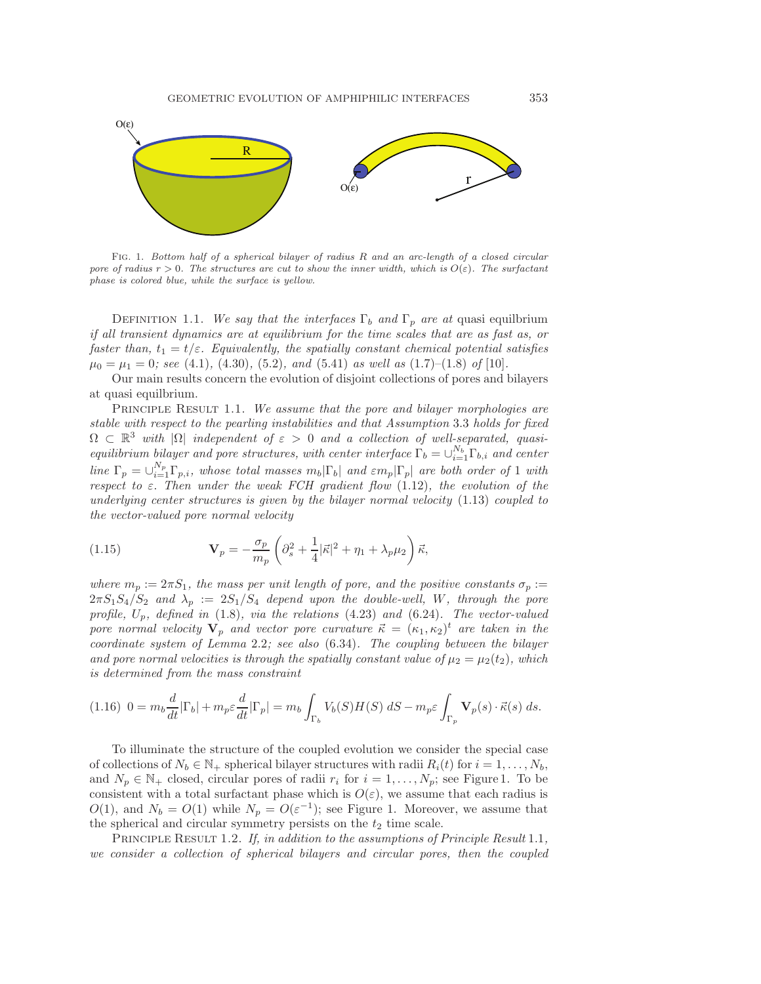GEOMETRIC EVOLUTION OF AMPHIPHILIC INTERFACES 353



<span id="page-6-0"></span>FIG. 1. Bottom half of a spherical bilayer of radius R and an arc-length of a closed circular pore of radius  $r > 0$ . The structures are cut to show the inner width, which is  $O(\varepsilon)$ . The surfactant phase is colored blue, while the surface is yellow.

DEFINITION 1.1. *We say that the interfaces*  $\Gamma_b$  *and*  $\Gamma_p$  *are at* quasi equilbrium *if all transient dynamics are at equilibrium for the time scales that are as fast as, or faster than,*  $t_1 = t/\varepsilon$ . Equivalently, the spatially constant chemical potential satisfies  $\mu_0 = \mu_1 = 0$ ; see [\(4.1\)](#page-14-0), [\(4.30\)](#page-17-0), [\(5.2\)](#page-18-0), and [\(5.41\)](#page-22-0) as well as (1.7)–(1.8) of [\[10\]](#page-32-16).

<span id="page-6-1"></span>Our main results concern the evolution of disjoint collections of pores and bilayers at quasi equilbrium.

Principle Result 1.1. *We assume that the pore and bilayer morphologies are stable with respect to the pearling instabilities and that Assumption* [3.3](#page-14-1) *holds for fixed*  $\Omega \subset \mathbb{R}^3$  with  $|\Omega|$  *independent of*  $\varepsilon > 0$  *and a collection of well-separated, quasiequilibrium bilayer and pore structures, with center interface*  $\Gamma_b = \bigcup_{i=1}^{N_b} \Gamma_{b,i}$  *and center*  $\lim_{n \to \infty} \Gamma_p = \bigcup_{i=1}^{N_p} \Gamma_{p,i}$ *, whose total masses*  $m_b |\Gamma_b|$  *and*  $\lim_{p \to \infty} |\Gamma_p|$  *are both order of* 1 *with respect to* ε. *Then under the weak FCH gradient flow* [\(1.12\)](#page-4-0)*, the evolution of the underlying center structures is given by the bilayer normal velocity* [\(1.13\)](#page-5-0) *coupled to the vector-valued pore normal velocity*

<span id="page-6-2"></span>(1.15) 
$$
\mathbf{V}_p = -\frac{\sigma_p}{m_p} \left( \partial_s^2 + \frac{1}{4} |\vec{\kappa}|^2 + \eta_1 + \lambda_p \mu_2 \right) \vec{\kappa},
$$

*where*  $m_p := 2\pi S_1$ *, the mass per unit length of pore, and the positive constants*  $\sigma_p :=$  $2\pi S_1S_4/S_2$  and  $\lambda_p := 2S_1/S_4$  depend upon the double-well, W, through the pore *profile,* Up*, defined in* [\(1.8\)](#page-2-4)*, via the relations* [\(4.23\)](#page-16-0) *and* [\(6.24\)](#page-24-0)*. The vector-valued pore normal velocity*  $V_p$  *and vector pore curvature*  $\vec{\kappa} = (\kappa_1, \kappa_2)^t$  *are taken in the coordinate system of Lemma* [2.2](#page-8-0)*; see also* [\(6.34\)](#page-26-0)*. The coupling between the bilayer and pore normal velocities is through the spatially constant value of*  $\mu_2 = \mu_2(t_2)$ *, which is determined from the mass constraint*

<span id="page-6-3"></span>
$$
(1.16)\ \ 0 = m_b \frac{d}{dt} |\Gamma_b| + m_p \varepsilon \frac{d}{dt} |\Gamma_p| = m_b \int_{\Gamma_b} V_b(S) H(S) \ dS - m_p \varepsilon \int_{\Gamma_p} \mathbf{V}_p(s) \cdot \vec{\kappa}(s) \ ds.
$$

To illuminate the structure of the coupled evolution we consider the special case of collections of  $N_b \in \mathbb{N}_+$  spherical bilayer structures with radii  $R_i(t)$  for  $i = 1, \ldots, N_b$ , and  $N_p \in \mathbb{N}_+$  closed, circular pores of radii  $r_i$  for  $i = 1, \ldots, N_p$ ; see Figure [1.](#page-6-0) To be consistent with a total surfactant phase which is  $O(\varepsilon)$ , we assume that each radius is  $O(1)$ , and  $N_b = O(1)$  while  $N_p = O(\varepsilon^{-1})$ ; see Figure [1.](#page-6-0) Moreover, we assume that the spherical and circular symmetry persists on the  $t_2$  time scale.

<span id="page-6-4"></span>PRINCIPLE RESULT 1.2. If, in addition to the assumptions of Principle Result [1.1](#page-6-1), *we consider a collection of spherical bilayers and circular pores, then the coupled*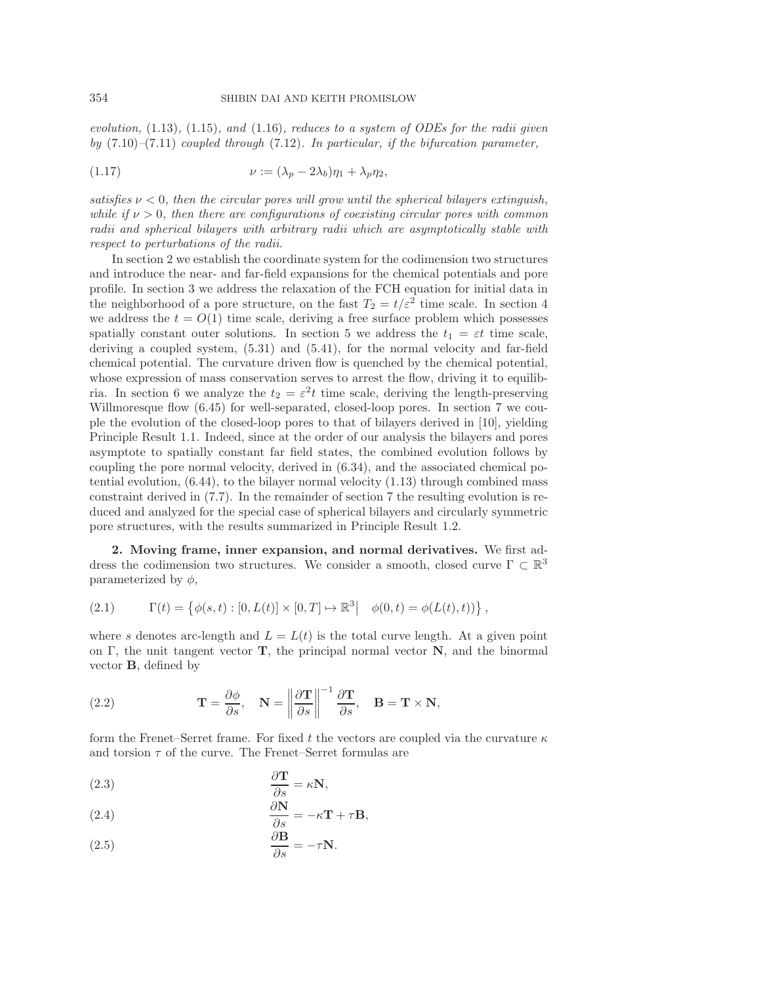*evolution,* [\(1.13\)](#page-5-0)*,* [\(1.15\)](#page-6-2)*, and* [\(1.16\)](#page-6-3)*, reduces to a system of ODEs for the radii given by* [\(7.10\)](#page-29-0)*–*[\(7.11\)](#page-29-1) *coupled through* [\(7.12\)](#page-29-2)*. In particular, if the bifurcation parameter,*

(1.17) 
$$
\nu := (\lambda_p - 2\lambda_b)\eta_1 + \lambda_p \eta_2,
$$

*satisfies*  $\nu < 0$ , then the circular pores will grow until the spherical bilayers extinguish, *while if*  $\nu > 0$ *, then there are configurations of coexisting circular pores with common radii and spherical bilayers with arbitrary radii which are asymptotically stable with respect to perturbations of the radii.*

In section [2](#page-7-0) we establish the coordinate system for the codimension two structures and introduce the near- and far-field expansions for the chemical potentials and pore profile. In section [3](#page-12-0) we address the relaxation of the FCH equation for initial data in the neighborhood of a pore structure, on the fast  $T_2 = t/\varepsilon^2$  time scale. In section [4](#page-14-2) we address the  $t = O(1)$  time scale, deriving a free surface problem which possesses spatially constant outer solutions. In section [5](#page-17-1) we address the  $t_1 = \varepsilon t$  time scale, deriving a coupled system, [\(5.31\)](#page-21-0) and [\(5.41\)](#page-22-0), for the normal velocity and far-field chemical potential. The curvature driven flow is quenched by the chemical potential, whose expression of mass conservation serves to arrest the flow, driving it to equilib-ria. In section [6](#page-22-1) we analyze the  $t_2 = \varepsilon^2 t$  time scale, deriving the length-preserving Willmoresque flow  $(6.45)$  for well-separated, closed-loop pores. In section [7](#page-27-0) we couple the evolution of the closed-loop pores to that of bilayers derived in [\[10\]](#page-32-16), yielding Principle Result [1.1.](#page-6-1) Indeed, since at the order of our analysis the bilayers and pores asymptote to spatially constant far field states, the combined evolution follows by coupling the pore normal velocity, derived in [\(6.34\)](#page-26-0), and the associated chemical potential evolution,  $(6.44)$ , to the bilayer normal velocity  $(1.13)$  through combined mass constraint derived in [\(7.7\)](#page-28-0). In the remainder of section [7](#page-27-0) the resulting evolution is reduced and analyzed for the special case of spherical bilayers and circularly symmetric pore structures, with the results summarized in Principle Result [1.2.](#page-6-4)

<span id="page-7-0"></span>**2. Moving frame, inner expansion, and normal derivatives.** We first address the codimension two structures. We consider a smooth, closed curve  $\Gamma \subset \mathbb{R}^3$ parameterized by  $\phi$ ,

(2.1) 
$$
\Gamma(t) = \{ \phi(s, t) : [0, L(t)] \times [0, T] \mapsto \mathbb{R}^3 \mid \phi(0, t) = \phi(L(t), t) \} ,
$$

where s denotes arc-length and  $L = L(t)$  is the total curve length. At a given point on Γ, the unit tangent vector **T**, the principal normal vector **N**, and the binormal vector **B**, defined by

(2.2) 
$$
\mathbf{T} = \frac{\partial \phi}{\partial s}, \quad \mathbf{N} = \left\| \frac{\partial \mathbf{T}}{\partial s} \right\|^{-1} \frac{\partial \mathbf{T}}{\partial s}, \quad \mathbf{B} = \mathbf{T} \times \mathbf{N},
$$

form the Frenet–Serret frame. For fixed t the vectors are coupled via the curvature  $\kappa$ and torsion  $\tau$  of the curve. The Frenet–Serret formulas are

<span id="page-7-1"></span>(2.3) 
$$
\frac{\partial \mathbf{T}}{\partial s} = \kappa \mathbf{N},
$$

(2.4) 
$$
\frac{\partial \mathbf{N}}{\partial s} = -\kappa \mathbf{T} + \tau \mathbf{B},
$$

<span id="page-7-2"></span>(2.5) 
$$
\frac{\partial \mathbf{B}}{\partial s} = -\tau \mathbf{N}.
$$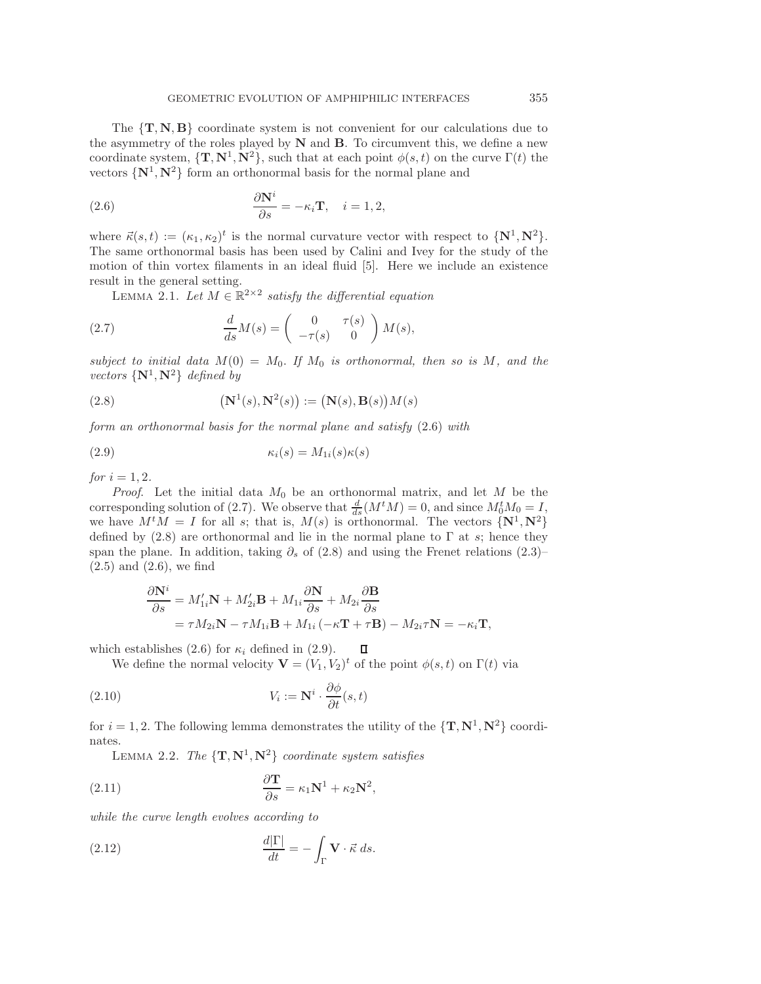The {**T**, **N**, **B**} coordinate system is not convenient for our calculations due to the asymmetry of the roles played by **N** and **B**. To circumvent this, we define a new coordinate system,  ${\bf T}, {\bf N}^1, {\bf N}^2$ , such that at each point  $\phi(s, t)$  on the curve  $\Gamma(t)$  the vectors  $\{N^1, N^2\}$  form an orthonormal basis for the normal plane and

<span id="page-8-1"></span>(2.6) 
$$
\frac{\partial \mathbf{N}^i}{\partial s} = -\kappa_i \mathbf{T}, \quad i = 1, 2,
$$

where  $\vec{\kappa}(s,t) := (\kappa_1, \kappa_2)^t$  is the normal curvature vector with respect to  $\{N^1, N^2\}.$ The same orthonormal basis has been used by Calini and Ivey for the study of the motion of thin vortex filaments in an ideal fluid [\[5\]](#page-31-3). Here we include an existence result in the general setting.

<span id="page-8-3"></span><span id="page-8-2"></span>LEMMA 2.1. Let  $M \in \mathbb{R}^{2 \times 2}$  *satisfy the differential equation* 

(2.7) 
$$
\frac{d}{ds}M(s) = \begin{pmatrix} 0 & \tau(s) \\ -\tau(s) & 0 \end{pmatrix} M(s),
$$

*subject to initial data*  $M(0) = M_0$ . If  $M_0$  *is orthonormal, then so is*  $M$ *, and the vectors*  $\{N^1, N^2\}$  *defined by* 

(2.8) 
$$
(\mathbf{N}^1(s), \mathbf{N}^2(s)) := (\mathbf{N}(s), \mathbf{B}(s))M(s)
$$

*form an orthonormal basis for the normal plane and satisfy* [\(2.6\)](#page-8-1) *with*

$$
(2.9) \t\t \t\t \kappa_i(s) = M_{1i}(s)\kappa(s)
$$

*for*  $i = 1, 2$ *.* 

*Proof.* Let the initial data  $M_0$  be an orthonormal matrix, and let  $M$  be the corresponding solution of [\(2.7\)](#page-8-2). We observe that  $\frac{d}{ds}(M^tM) = 0$ , and since  $M_0^tM_0 = I$ , we have  $M^t \tilde{M} = I$  for all s; that is,  $M(s)$  is orthonormal. The vectors  $\{N^1, N^2\}$ defined by  $(2.8)$  are orthonormal and lie in the normal plane to  $\Gamma$  at s; hence they span the plane. In addition, taking  $\partial_s$  of [\(2.8\)](#page-8-3) and using the Frenet relations [\(2.3\)](#page-7-1)–  $(2.5)$  and  $(2.6)$ , we find

<span id="page-8-5"></span><span id="page-8-4"></span>
$$
\frac{\partial \mathbf{N}^i}{\partial s} = M'_{1i} \mathbf{N} + M'_{2i} \mathbf{B} + M_{1i} \frac{\partial \mathbf{N}}{\partial s} + M_{2i} \frac{\partial \mathbf{B}}{\partial s}
$$
  
=  $\tau M_{2i} \mathbf{N} - \tau M_{1i} \mathbf{B} + M_{1i} \left( -\kappa \mathbf{T} + \tau \mathbf{B} \right) - M_{2i} \tau \mathbf{N} = -\kappa_i \mathbf{T},$ 

which establishes [\(2.6\)](#page-8-1) for  $\kappa_i$  defined in [\(2.9\)](#page-8-4). 口

We define the normal velocity  $\mathbf{V} = (V_1, V_2)^t$  of the point  $\phi(s, t)$  on  $\Gamma(t)$  via

(2.10) 
$$
V_i := \mathbf{N}^i \cdot \frac{\partial \phi}{\partial t}(s, t)
$$

<span id="page-8-0"></span>for  $i = 1, 2$ . The following lemma demonstrates the utility of the  $\{T, N^1, N^2\}$  coordinates.

<span id="page-8-6"></span>LEMMA 2.2. *The*  $\{T, \mathbf{N}^1, \mathbf{N}^2\}$  *coordinate system satisfies* 

(2.11) 
$$
\frac{\partial \mathbf{T}}{\partial s} = \kappa_1 \mathbf{N}^1 + \kappa_2 \mathbf{N}^2,
$$

*while the curve length evolves according to*

(2.12) 
$$
\frac{d|\Gamma|}{dt} = -\int_{\Gamma} \mathbf{V} \cdot \vec{\kappa} \, ds.
$$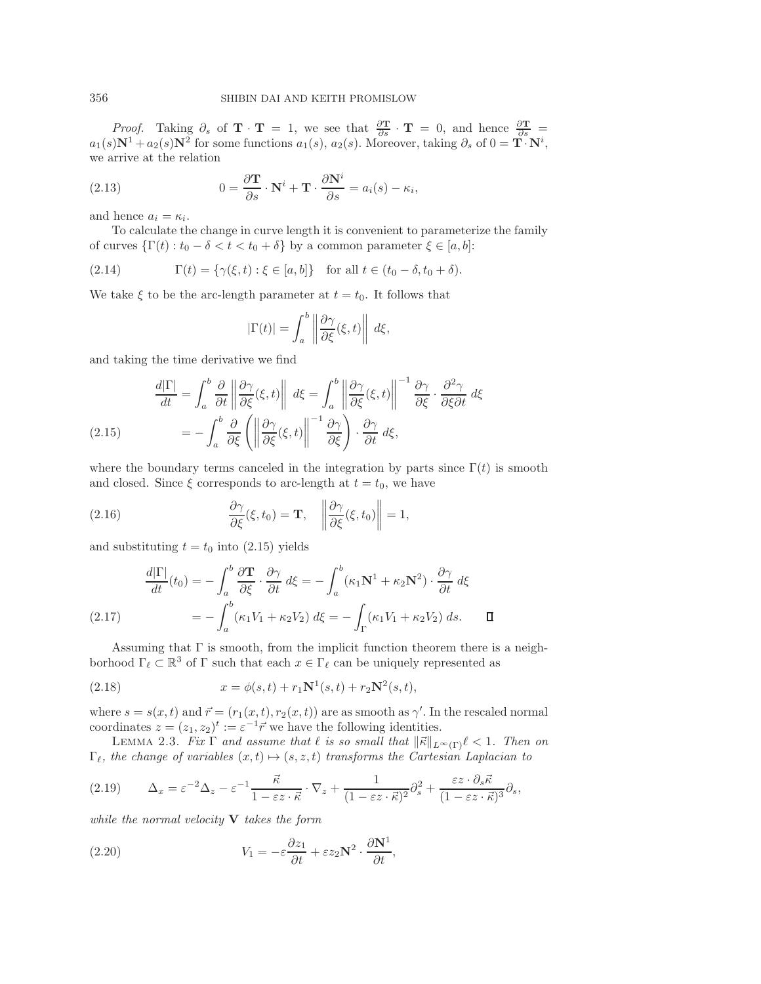*Proof.* Taking  $\partial_s$  of **T** · **T** = 1, we see that  $\frac{\partial \mathbf{T}}{\partial s} \cdot \mathbf{T} = 0$ , and hence  $\frac{\partial \mathbf{T}}{\partial s} =$  $a_1(s)N^1 + a_2(s)N^2$  for some functions  $a_1(s)$ ,  $a_2(s)$ . Moreover, taking  $\partial_s$  of  $0 = \mathbf{T} \cdot \mathbf{N}^i$ , we arrive at the relation

(2.13) 
$$
0 = \frac{\partial \mathbf{T}}{\partial s} \cdot \mathbf{N}^i + \mathbf{T} \cdot \frac{\partial \mathbf{N}^i}{\partial s} = a_i(s) - \kappa_i,
$$

and hence  $a_i = \kappa_i$ .

To calculate the change in curve length it is convenient to parameterize the family of curves  $\{\Gamma(t): t_0 - \delta < t < t_0 + \delta\}$  by a common parameter  $\xi \in [a, b]$ :

(2.14) 
$$
\Gamma(t) = \{ \gamma(\xi, t) : \xi \in [a, b] \} \text{ for all } t \in (t_0 - \delta, t_0 + \delta).
$$

We take  $\xi$  to be the arc-length parameter at  $t = t_0$ . It follows that

$$
|\Gamma(t)| = \int_a^b \left\| \frac{\partial \gamma}{\partial \xi}(\xi, t) \right\| d\xi,
$$

and taking the time derivative we find

$$
\frac{d|\Gamma|}{dt} = \int_{a}^{b} \frac{\partial}{\partial t} \left\| \frac{\partial \gamma}{\partial \xi}(\xi, t) \right\| \, d\xi = \int_{a}^{b} \left\| \frac{\partial \gamma}{\partial \xi}(\xi, t) \right\|^{-1} \frac{\partial \gamma}{\partial \xi} \cdot \frac{\partial^2 \gamma}{\partial \xi \partial t} \, d\xi
$$
\n
$$
(2.15) \qquad \qquad = -\int_{a}^{b} \frac{\partial}{\partial \xi} \left( \left\| \frac{\partial \gamma}{\partial \xi}(\xi, t) \right\|^{-1} \frac{\partial \gamma}{\partial \xi} \right) \cdot \frac{\partial \gamma}{\partial t} \, d\xi,
$$

<span id="page-9-0"></span>where the boundary terms canceled in the integration by parts since  $\Gamma(t)$  is smooth and closed. Since  $\xi$  corresponds to arc-length at  $t = t_0$ , we have

(2.16) 
$$
\frac{\partial \gamma}{\partial \xi}(\xi, t_0) = \mathbf{T}, \quad \left\| \frac{\partial \gamma}{\partial \xi}(\xi, t_0) \right\| = 1,
$$

and substituting  $t = t_0$  into [\(2.15\)](#page-9-0) yields

$$
\frac{d|\Gamma|}{dt}(t_0) = -\int_a^b \frac{\partial \mathbf{T}}{\partial \xi} \cdot \frac{\partial \gamma}{\partial t} d\xi = -\int_a^b (\kappa_1 \mathbf{N}^1 + \kappa_2 \mathbf{N}^2) \cdot \frac{\partial \gamma}{\partial t} d\xi
$$
\n(2.17)\n
$$
= -\int_a^b (\kappa_1 V_1 + \kappa_2 V_2) d\xi = -\int_\Gamma (\kappa_1 V_1 + \kappa_2 V_2) d s. \qquad \Box
$$

Assuming that  $\Gamma$  is smooth, from the implicit function theorem there is a neighborhood  $\Gamma_\ell \subset \mathbb{R}^3$  of  $\Gamma$  such that each  $x \in \Gamma_\ell$  can be uniquely represented as

<span id="page-9-2"></span>(2.18) 
$$
x = \phi(s, t) + r_1 \mathbf{N}^1(s, t) + r_2 \mathbf{N}^2(s, t),
$$

where  $s = s(x, t)$  and  $\vec{r} = (r_1(x, t), r_2(x, t))$  are as smooth as  $\gamma'$ . In the rescaled normal coordinates  $z = (z_1, z_2)^t := \varepsilon^{-1} \overline{r}$  we have the following identities.

LEMMA 2.3. *Fix*  $\Gamma$  *and assume that*  $\ell$  *is so small that*  $\|\vec{\kappa}\|_{L^{\infty}(\Gamma)}\ell < 1$ *. Then on*  $\Gamma_{\ell}$ , the change of variables  $(x, t) \mapsto (s, z, t)$  transforms the Cartesian Laplacian to

<span id="page-9-1"></span>
$$
(2.19) \qquad \Delta_x = \varepsilon^{-2} \Delta_z - \varepsilon^{-1} \frac{\vec{\kappa}}{1 - \varepsilon z \cdot \vec{\kappa}} \cdot \nabla_z + \frac{1}{(1 - \varepsilon z \cdot \vec{\kappa})^2} \partial_s^2 + \frac{\varepsilon z \cdot \partial_s \vec{\kappa}}{(1 - \varepsilon z \cdot \vec{\kappa})^3} \partial_s,
$$

*while the normal velocity* **V** *takes the form*

<span id="page-9-3"></span>(2.20) 
$$
V_1 = -\varepsilon \frac{\partial z_1}{\partial t} + \varepsilon z_2 \mathbf{N}^2 \cdot \frac{\partial \mathbf{N}^1}{\partial t},
$$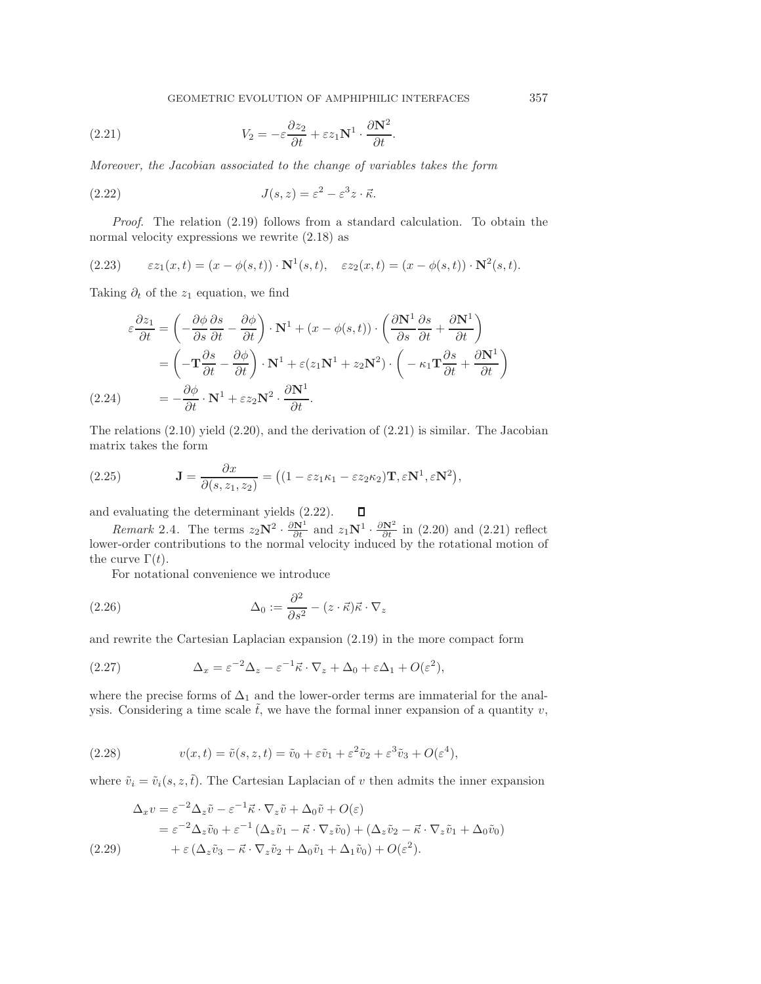GEOMETRIC EVOLUTION OF AMPHIPHILIC INTERFACES 357

<span id="page-10-0"></span>(2.21) 
$$
V_2 = -\varepsilon \frac{\partial z_2}{\partial t} + \varepsilon z_1 \mathbf{N}^1 \cdot \frac{\partial \mathbf{N}^2}{\partial t}.
$$

*Moreover, the Jacobian associated to the change of variables takes the form*

<span id="page-10-1"></span>(2.22) 
$$
J(s, z) = \varepsilon^2 - \varepsilon^3 z \cdot \vec{\kappa}.
$$

*Proof*. The relation [\(2.19\)](#page-9-1) follows from a standard calculation. To obtain the normal velocity expressions we rewrite [\(2.18\)](#page-9-2) as

(2.23) 
$$
\varepsilon z_1(x,t) = (x - \phi(s,t)) \cdot \mathbf{N}^1(s,t), \quad \varepsilon z_2(x,t) = (x - \phi(s,t)) \cdot \mathbf{N}^2(s,t).
$$

Taking  $\partial_t$  of the  $z_1$  equation, we find

$$
\varepsilon \frac{\partial z_1}{\partial t} = \left( -\frac{\partial \phi}{\partial s} \frac{\partial s}{\partial t} - \frac{\partial \phi}{\partial t} \right) \cdot \mathbf{N}^1 + (x - \phi(s, t)) \cdot \left( \frac{\partial \mathbf{N}^1}{\partial s} \frac{\partial s}{\partial t} + \frac{\partial \mathbf{N}^1}{\partial t} \right)
$$
  
=  $\left( -\mathbf{T} \frac{\partial s}{\partial t} - \frac{\partial \phi}{\partial t} \right) \cdot \mathbf{N}^1 + \varepsilon(z_1 \mathbf{N}^1 + z_2 \mathbf{N}^2) \cdot \left( -\kappa_1 \mathbf{T} \frac{\partial s}{\partial t} + \frac{\partial \mathbf{N}^1}{\partial t} \right)$   
(2.24) 
$$
= -\frac{\partial \phi}{\partial t} \cdot \mathbf{N}^1 + \varepsilon z_2 \mathbf{N}^2 \cdot \frac{\partial \mathbf{N}^1}{\partial t}.
$$

The relations [\(2.10\)](#page-8-5) yield [\(2.20\)](#page-9-3), and the derivation of [\(2.21\)](#page-10-0) is similar. The Jacobian matrix takes the form

(2.25) 
$$
\mathbf{J} = \frac{\partial x}{\partial(s, z_1, z_2)} = ((1 - \varepsilon z_1 \kappa_1 - \varepsilon z_2 \kappa_2) \mathbf{T}, \varepsilon \mathbf{N}^1, \varepsilon \mathbf{N}^2),
$$

and evaluating the determinant yields [\(2.22\)](#page-10-1).  $\Box$ 

*Remark* 2.4. The terms  $z_2 \mathbf{N}^2 \cdot \frac{\partial \mathbf{N}^1}{\partial t}$  and  $z_1 \mathbf{N}^1 \cdot \frac{\partial \mathbf{N}^2}{\partial t}$  in [\(2.20\)](#page-9-3) and [\(2.21\)](#page-10-0) reflect lower-order contributions to the normal velocity induced by the rotational motion of the curve  $\Gamma(t)$ .

<span id="page-10-4"></span>For notational convenience we introduce

(2.26) 
$$
\Delta_0 := \frac{\partial^2}{\partial s^2} - (z \cdot \vec{\kappa}) \vec{\kappa} \cdot \nabla_z
$$

and rewrite the Cartesian Laplacian expansion [\(2.19\)](#page-9-1) in the more compact form

(2.27) 
$$
\Delta_x = \varepsilon^{-2} \Delta_z - \varepsilon^{-1} \vec{\kappa} \cdot \nabla_z + \Delta_0 + \varepsilon \Delta_1 + O(\varepsilon^2),
$$

where the precise forms of  $\Delta_1$  and the lower-order terms are immaterial for the analysis. Considering a time scale  $\tilde{t}$ , we have the formal inner expansion of a quantity v,

<span id="page-10-2"></span>(2.28) 
$$
v(x,t) = \tilde{v}(s, z, t) = \tilde{v}_0 + \varepsilon \tilde{v}_1 + \varepsilon^2 \tilde{v}_2 + \varepsilon^3 \tilde{v}_3 + O(\varepsilon^4),
$$

where  $\tilde{v}_i = \tilde{v}_i(s, z, \tilde{t})$ . The Cartesian Laplacian of v then admits the inner expansion

<span id="page-10-3"></span>
$$
\Delta_x v = \varepsilon^{-2} \Delta_z \tilde{v} - \varepsilon^{-1} \vec{\kappa} \cdot \nabla_z \tilde{v} + \Delta_0 \tilde{v} + O(\varepsilon)
$$
  
=  $\varepsilon^{-2} \Delta_z \tilde{v}_0 + \varepsilon^{-1} (\Delta_z \tilde{v}_1 - \vec{\kappa} \cdot \nabla_z \tilde{v}_0) + (\Delta_z \tilde{v}_2 - \vec{\kappa} \cdot \nabla_z \tilde{v}_1 + \Delta_0 \tilde{v}_0)$   
(2.29)  $+ \varepsilon (\Delta_z \tilde{v}_3 - \vec{\kappa} \cdot \nabla_z \tilde{v}_2 + \Delta_0 \tilde{v}_1 + \Delta_1 \tilde{v}_0) + O(\varepsilon^2).$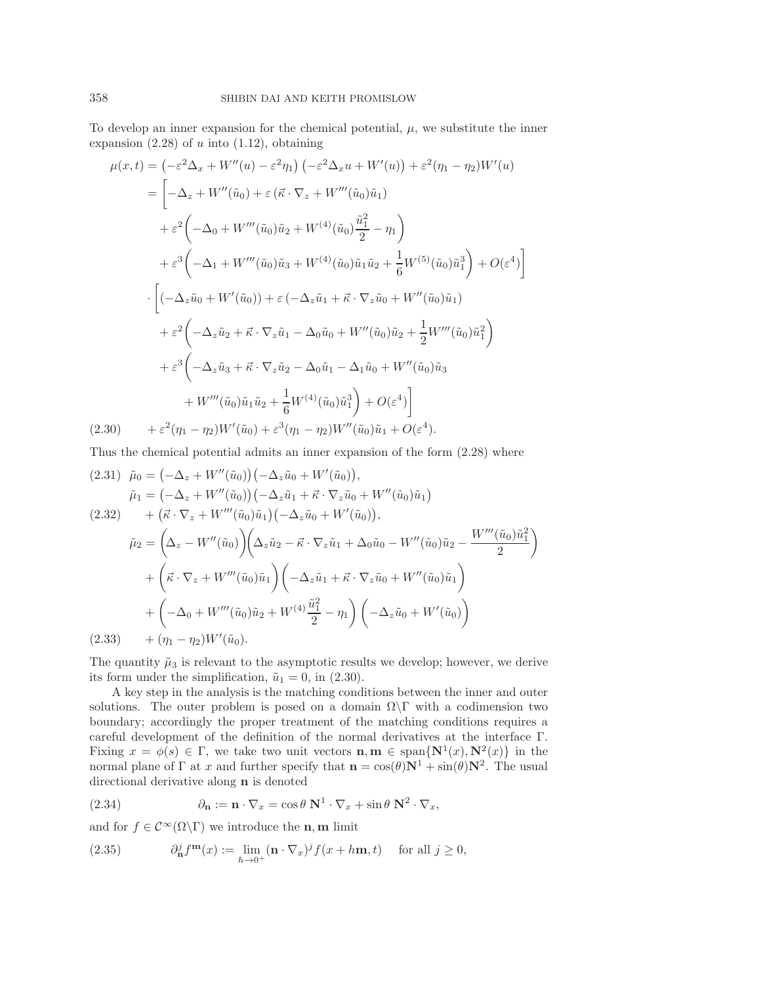To develop an inner expansion for the chemical potential,  $\mu$ , we substitute the inner expansion  $(2.28)$  of u into  $(1.12)$ , obtaining

$$
\mu(x,t) = \left(-\varepsilon^2 \Delta_x + W''(u) - \varepsilon^2 \eta_1\right) \left(-\varepsilon^2 \Delta_x u + W'(u)\right) + \varepsilon^2 (\eta_1 - \eta_2) W'(u)
$$
  
\n
$$
= \left[-\Delta_z + W''(\tilde{u}_0) + \varepsilon (\vec{\kappa} \cdot \nabla_z + W'''(\tilde{u}_0) \tilde{u}_1)\right]
$$
  
\n
$$
+ \varepsilon^2 \left(-\Delta_0 + W'''(\tilde{u}_0) \tilde{u}_2 + W^{(4)}(\tilde{u}_0) \frac{\tilde{u}_1^2}{2} - \eta_1\right)
$$
  
\n
$$
+ \varepsilon^3 \left(-\Delta_1 + W'''(\tilde{u}_0) \tilde{u}_3 + W^{(4)}(\tilde{u}_0) \tilde{u}_1 \tilde{u}_2 + \frac{1}{6} W^{(5)}(\tilde{u}_0) \tilde{u}_1^3\right) + O(\varepsilon^4)\right]
$$
  
\n
$$
\cdot \left[ \left(-\Delta_z \tilde{u}_0 + W'(\tilde{u}_0)\right) + \varepsilon \left(-\Delta_z \tilde{u}_1 + \vec{\kappa} \cdot \nabla_z \tilde{u}_0 + W''(\tilde{u}_0) \tilde{u}_1\right)
$$
  
\n
$$
+ \varepsilon^2 \left(-\Delta_z \tilde{u}_2 + \vec{\kappa} \cdot \nabla_z \tilde{u}_1 - \Delta_0 \tilde{u}_0 + W''(\tilde{u}_0) \tilde{u}_2 + \frac{1}{2} W'''(\tilde{u}_0) \tilde{u}_1^2\right)
$$
  
\n
$$
+ \varepsilon^3 \left(-\Delta_z \tilde{u}_3 + \vec{\kappa} \cdot \nabla_z \tilde{u}_2 - \Delta_0 \tilde{u}_1 - \Delta_1 \tilde{u}_0 + W''(\tilde{u}_0) \tilde{u}_3\right)
$$
  
\n
$$
+ W'''(\tilde{u}_0) \tilde{u}_1 \tilde{u}_2 + \frac{1}{6} W^{(4)}(\tilde{u}_0) \tilde{u}_1^3\right) + O(\varepsilon^4)\right]
$$
  
\n(2.30) 
$$
+ \varepsilon^2 (\eta_1 -
$$

<span id="page-11-0"></span>Thus the chemical potential admits an inner expansion of the form [\(2.28\)](#page-10-2) where

<span id="page-11-2"></span><span id="page-11-1"></span>
$$
(2.31) \tilde{\mu}_0 = (-\Delta_z + W''(\tilde{u}_0)) (-\Delta_z \tilde{u}_0 + W'(\tilde{u}_0)),
$$
  
\n
$$
\tilde{\mu}_1 = (-\Delta_z + W''(\tilde{u}_0)) (-\Delta_z \tilde{u}_1 + \vec{\kappa} \cdot \nabla_z \tilde{u}_0 + W''(\tilde{u}_0) \tilde{u}_1)
$$
  
\n
$$
(2.32) + (\vec{\kappa} \cdot \nabla_z + W'''(\tilde{u}_0) \tilde{u}_1) (-\Delta_z \tilde{u}_0 + W'(\tilde{u}_0)),
$$
  
\n
$$
\tilde{\mu}_2 = (\Delta_z - W''(\tilde{u}_0)) (\Delta_z \tilde{u}_2 - \vec{\kappa} \cdot \nabla_z \tilde{u}_1 + \Delta_0 \tilde{u}_0 - W''(\tilde{u}_0) \tilde{u}_2 - \frac{W''''(\tilde{u}_0) \tilde{u}_1^2}{2})
$$
  
\n
$$
+ (\vec{\kappa} \cdot \nabla_z + W'''(\tilde{u}_0) \tilde{u}_1) (-\Delta_z \tilde{u}_1 + \vec{\kappa} \cdot \nabla_z \tilde{u}_0 + W''(\tilde{u}_0) \tilde{u}_1)
$$
  
\n
$$
+ (-\Delta_0 + W'''(\tilde{u}_0) \tilde{u}_2 + W^{(4)} \frac{\tilde{u}_1^2}{2} - \eta_1) (-\Delta_z \tilde{u}_0 + W'(\tilde{u}_0))
$$
  
\n
$$
(2.33) + (\eta_1 - \eta_2) W'(\tilde{u}_0).
$$

<span id="page-11-3"></span>The quantity  $\tilde{\mu}_3$  is relevant to the asymptotic results we develop; however, we derive its form under the simplification,  $\tilde{u}_1 = 0$ , in [\(2.30\)](#page-11-0).

A key step in the analysis is the matching conditions between the inner and outer solutions. The outer problem is posed on a domain  $\Omega\backslash\Gamma$  with a codimension two boundary; accordingly the proper treatment of the matching conditions requires a careful development of the definition of the normal derivatives at the interface Γ. Fixing  $x = \phi(s) \in \Gamma$ , we take two unit vectors  $\mathbf{n}, \mathbf{m} \in \text{span}\{\mathbf{N}^1(x), \mathbf{N}^2(x)\}\$ in the normal plane of  $\Gamma$  at x and further specify that  $\mathbf{n} = \cos(\theta)\mathbf{N}^1 + \sin(\theta)\mathbf{N}^2$ . The usual directional derivative along **n** is denoted

(2.34) 
$$
\partial_{\mathbf{n}} := \mathbf{n} \cdot \nabla_x = \cos \theta \, \mathbf{N}^1 \cdot \nabla_x + \sin \theta \, \mathbf{N}^2 \cdot \nabla_x,
$$

and for  $f \in C^{\infty}(\Omega \backslash \Gamma)$  we introduce the **n**, **m** limit

(2.35) 
$$
\partial_{\mathbf{n}}^{j} f^{\mathbf{m}}(x) := \lim_{h \to 0^{+}} (\mathbf{n} \cdot \nabla_{x})^{j} f(x + h\mathbf{m}, t) \text{ for all } j \ge 0,
$$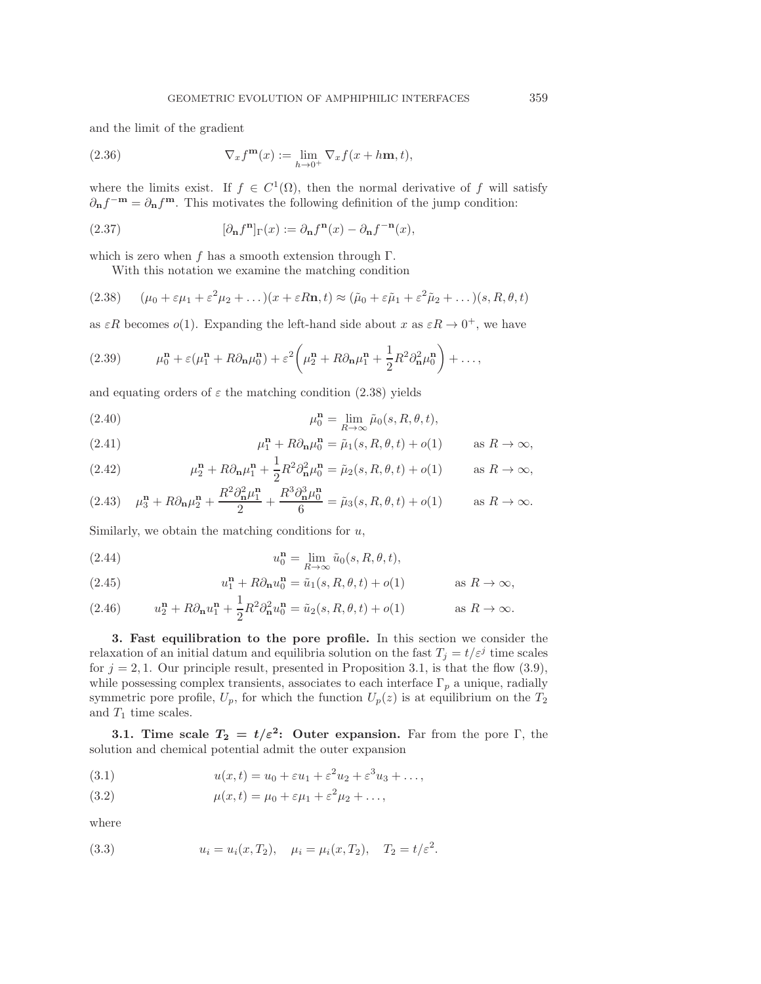and the limit of the gradient

(2.36) 
$$
\nabla_x f^{\mathbf{m}}(x) := \lim_{h \to 0^+} \nabla_x f(x + h \mathbf{m}, t),
$$

where the limits exist. If  $f \in C^1(\Omega)$ , then the normal derivative of f will satisfy  $\partial_{\bf n} f^{-{\bf m}} = \partial_{\bf n} f^{{\bf m}}$ . This motivates the following definition of the jump condition:

<span id="page-12-5"></span>(2.37) 
$$
[\partial_{\mathbf{n}} f^{\mathbf{n}}]_{\Gamma}(x) := \partial_{\mathbf{n}} f^{\mathbf{n}}(x) - \partial_{\mathbf{n}} f^{-\mathbf{n}}(x),
$$

which is zero when f has a smooth extension through  $\Gamma$ .

With this notation we examine the matching condition

<span id="page-12-1"></span>(2.38) 
$$
(\mu_0 + \varepsilon \mu_1 + \varepsilon^2 \mu_2 + \dots)(x + \varepsilon R \mathbf{n}, t) \approx (\tilde{\mu}_0 + \varepsilon \tilde{\mu}_1 + \varepsilon^2 \tilde{\mu}_2 + \dots)(s, R, \theta, t)
$$

as  $\varepsilon R$  becomes  $o(1)$ . Expanding the left-hand side about x as  $\varepsilon R \to 0^+$ , we have

(2.39) 
$$
\mu_0^n + \varepsilon (\mu_1^n + R \partial_n \mu_0^n) + \varepsilon^2 \left( \mu_2^n + R \partial_n \mu_1^n + \frac{1}{2} R^2 \partial_n^2 \mu_0^n \right) + \dots,
$$

and equating orders of  $\varepsilon$  the matching condition [\(2.38\)](#page-12-1) yields

<span id="page-12-6"></span>(2.40) 
$$
\mu_0^{\mathbf{n}} = \lim_{R \to \infty} \tilde{\mu}_0(s, R, \theta, t),
$$

<span id="page-12-4"></span>(2.41) 
$$
\mu_1^n + R \partial_n \mu_0^n = \tilde{\mu}_1(s, R, \theta, t) + o(1) \quad \text{as } R \to \infty,
$$

<span id="page-12-7"></span>(2.42) 
$$
\mu_2^n + R \partial_n \mu_1^n + \frac{1}{2} R^2 \partial_n^2 \mu_0^n = \tilde{\mu}_2(s, R, \theta, t) + o(1) \quad \text{as } R \to \infty,
$$

<span id="page-12-8"></span>
$$
(2.43)\quad \mu_3^n + R\partial_{\mathbf{n}}\mu_2^n + \frac{R^2\partial_{\mathbf{n}}^2\mu_1^n}{2} + \frac{R^3\partial_{\mathbf{n}}^3\mu_0^n}{6} = \tilde{\mu}_3(s, R, \theta, t) + o(1) \qquad \text{as } R \to \infty.
$$

Similarly, we obtain the matching conditions for  $u$ ,

(2.44) 
$$
u_0^{\mathbf{n}} = \lim_{R \to \infty} \tilde{u}_0(s, R, \theta, t),
$$

(2.45) 
$$
u_1^n + R\partial_n u_0^n = \tilde{u}_1(s, R, \theta, t) + o(1) \qquad \text{as } R \to \infty,
$$

(2.46) 
$$
u_2^{\mathbf{n}} + R\partial_{\mathbf{n}}u_1^{\mathbf{n}} + \frac{1}{2}R^2\partial_{\mathbf{n}}^2u_0^{\mathbf{n}} = \tilde{u}_2(s, R, \theta, t) + o(1) \qquad \text{as } R \to \infty.
$$

<span id="page-12-0"></span>**3. Fast equilibration to the pore profile.** In this section we consider the relaxation of an initial datum and equilibria solution on the fast  $T_j = t/\varepsilon^j$  time scales for  $j = 2, 1$ . Our principle result, presented in Proposition [3.1,](#page-13-1) is that the flow  $(3.9)$ , while possessing complex transients, associates to each interface  $\Gamma_p$  a unique, radially symmetric pore profile,  $U_p$ , for which the function  $U_p(z)$  is at equilibrium on the  $T_2$ and  $T_1$  time scales.

**3.1.** Time scale  $T_2 = t/\varepsilon^2$ : Outer expansion. Far from the pore Γ, the solution and chemical potential admit the outer expansion

<span id="page-12-2"></span>(3.1) 
$$
u(x,t) = u_0 + \varepsilon u_1 + \varepsilon^2 u_2 + \varepsilon^3 u_3 + \dots,
$$

<span id="page-12-3"></span>(3.2) 
$$
\mu(x,t) = \mu_0 + \varepsilon \mu_1 + \varepsilon^2 \mu_2 + \dots,
$$

where

(3.3) 
$$
u_i = u_i(x, T_2), \quad \mu_i = \mu_i(x, T_2), \quad T_2 = t/\varepsilon^2.
$$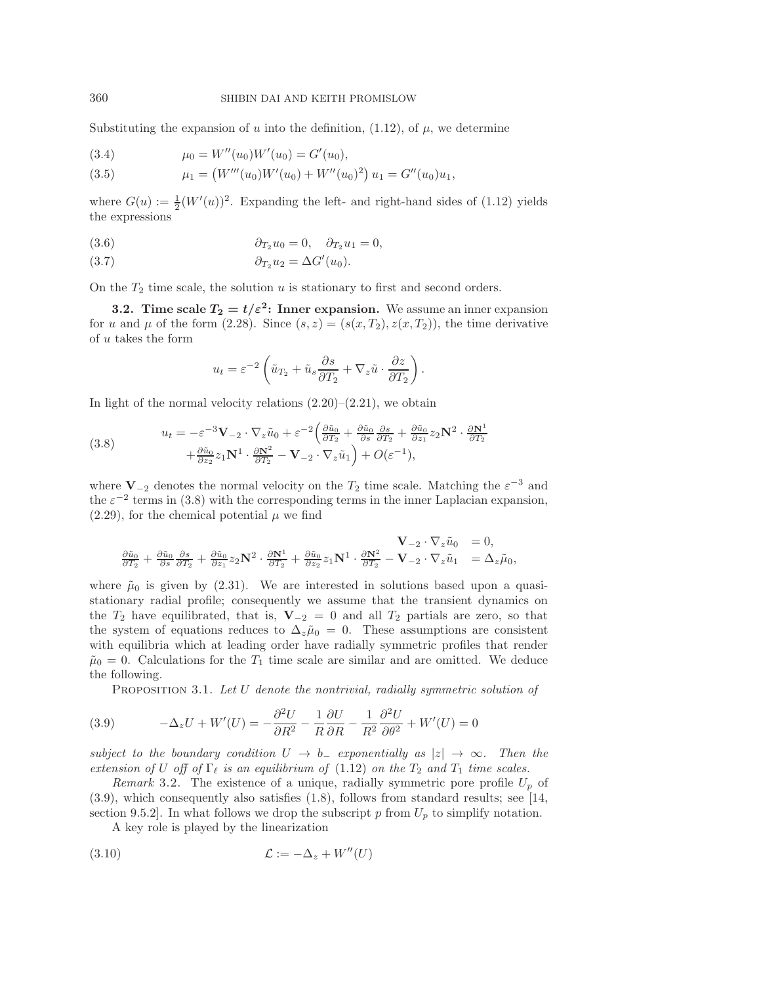Substituting the expansion of u into the definition,  $(1.12)$ , of  $\mu$ , we determine

(3.4) 
$$
\mu_0 = W''(u_0)W'(u_0) = G'(u_0),
$$

(3.5) 
$$
\mu_1 = (W'''(u_0)W'(u_0) + W''(u_0)^2) u_1 = G''(u_0)u_1,
$$

where  $G(u) := \frac{1}{2}(W'(u))^2$ . Expanding the left- and right-hand sides of [\(1.12\)](#page-4-0) yields the expressions

$$
(3.6) \t\t \t\t \partial_{T_2} u_0 = 0, \t\t \partial_{T_2} u_1 = 0,
$$

$$
(3.7) \t\t \t\t \partial_{T_2} u_2 = \Delta G'(u_0).
$$

On the  $T_2$  time scale, the solution  $u$  is stationary to first and second orders.

**3.2.** Time scale  $T_2 = t/\varepsilon^2$ : Inner expansion. We assume an inner expansion for u and  $\mu$  of the form [\(2.28\)](#page-10-2). Since  $(s, z)=(s(x, T_2), z(x, T_2))$ , the time derivative of u takes the form

<span id="page-13-3"></span><span id="page-13-2"></span>
$$
u_t = \varepsilon^{-2} \left( \tilde{u}_{T_2} + \tilde{u}_s \frac{\partial s}{\partial T_2} + \nabla_z \tilde{u} \cdot \frac{\partial z}{\partial T_2} \right).
$$

In light of the normal velocity relations  $(2.20)$ – $(2.21)$ , we obtain

(3.8) 
$$
u_t = -\varepsilon^{-3} \mathbf{V}_{-2} \cdot \nabla_z \tilde{u}_0 + \varepsilon^{-2} \left( \frac{\partial \tilde{u}_0}{\partial T_2} + \frac{\partial \tilde{u}_0}{\partial s} \frac{\partial s}{\partial T_2} + \frac{\partial \tilde{u}_0}{\partial z_1} z_2 \mathbf{N}^2 \cdot \frac{\partial \mathbf{N}^1}{\partial T_2} + \frac{\partial \tilde{u}_0}{\partial z_2} z_1 \mathbf{N}^1 \cdot \frac{\partial \mathbf{N}^2}{\partial T_2} - \mathbf{V}_{-2} \cdot \nabla_z \tilde{u}_1 \right) + O(\varepsilon^{-1}),
$$

where  $V_{-2}$  denotes the normal velocity on the  $T_2$  time scale. Matching the  $\varepsilon^{-3}$  and the  $\varepsilon^{-2}$  terms in [\(3.8\)](#page-13-3) with the corresponding terms in the inner Laplacian expansion,  $(2.29)$ , for the chemical potential  $\mu$  we find

$$
\frac{\partial \tilde{u}_0}{\partial T_2} + \frac{\partial \tilde{u}_0}{\partial s} \frac{\partial s}{\partial T_2} + \frac{\partial \tilde{u}_0}{\partial z_1} z_2 \mathbf{N}^2 \cdot \frac{\partial \mathbf{N}^1}{\partial T_2} + \frac{\partial \tilde{u}_0}{\partial z_2} z_1 \mathbf{N}^1 \cdot \frac{\partial \mathbf{N}^2}{\partial T_2} - \mathbf{V}_{-2} \cdot \nabla_z \tilde{u}_1 = \Delta_z \tilde{\mu}_0,
$$

where  $\tilde{\mu}_0$  is given by [\(2.31\)](#page-11-1). We are interested in solutions based upon a quasistationary radial profile; consequently we assume that the transient dynamics on the  $T_2$  have equilibrated, that is,  $V_{-2} = 0$  and all  $T_2$  partials are zero, so that the system of equations reduces to  $\Delta_z \tilde{\mu}_0 = 0$ . These assumptions are consistent with equilibria which at leading order have radially symmetric profiles that render  $\tilde{\mu}_0 = 0$ . Calculations for the  $T_1$  time scale are similar and are omitted. We deduce the following.

<span id="page-13-4"></span><span id="page-13-1"></span>Proposition 3.1. *Let* U *denote the nontrivial, radially symmetric solution of*

(3.9) 
$$
-\Delta_z U + W'(U) = -\frac{\partial^2 U}{\partial R^2} - \frac{1}{R} \frac{\partial U}{\partial R} - \frac{1}{R^2} \frac{\partial^2 U}{\partial \theta^2} + W'(U) = 0
$$

*subject to the boundary condition*  $U \rightarrow b$ <sub>−</sub> *exponentially as*  $|z| \rightarrow \infty$ *. Then the extension of* U *off of*  $\Gamma_\ell$  *is an equilibrium of* [\(1.12\)](#page-4-0) *on the*  $T_2$  *and*  $T_1$  *time scales.* 

<span id="page-13-0"></span>*Remark* 3.2. The existence of a unique, radially symmetric pore profile  $U_p$  of [\(3.9\)](#page-13-4), which consequently also satisfies [\(1.8\)](#page-2-4), follows from standard results; see [\[14,](#page-32-20) section 9.5.2. In what follows we drop the subscript p from  $U_p$  to simplify notation.

A key role is played by the linearization

$$
(3.10)\qquad \qquad \mathcal{L} := -\Delta_z + W''(U)
$$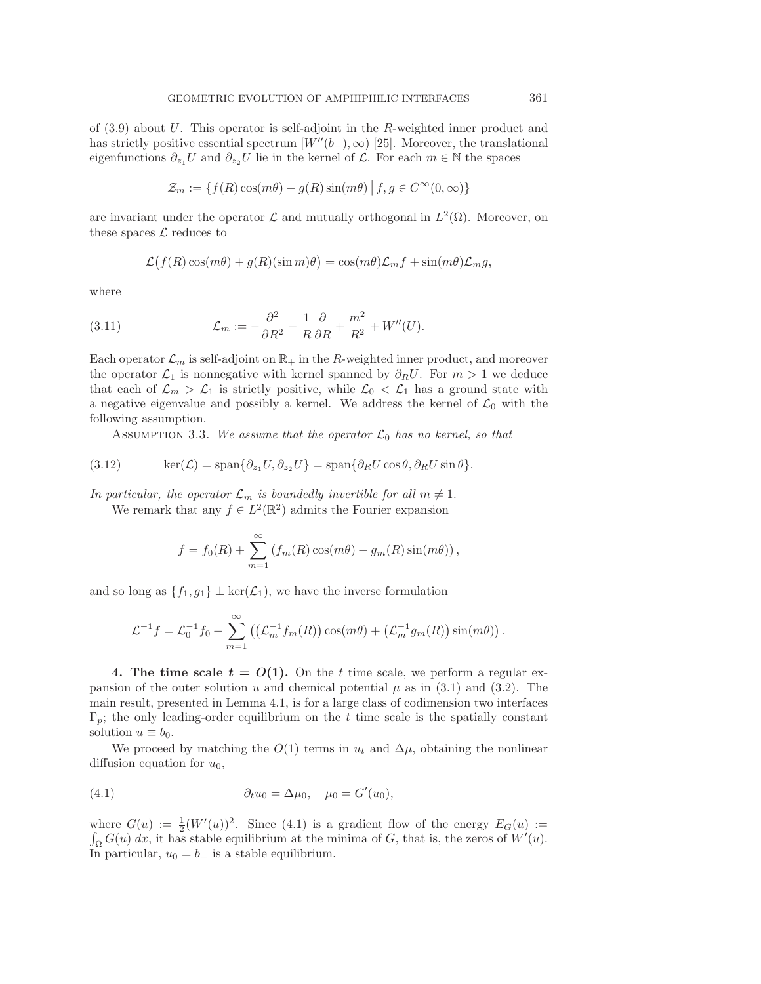of  $(3.9)$  about U. This operator is self-adjoint in the R-weighted inner product and has strictly positive essential spectrum  $[W''(b_-), \infty)$  [\[25\]](#page-32-21). Moreover, the translational eigenfunctions  $\partial_{z_1}U$  and  $\partial_{z_2}U$  lie in the kernel of  $\mathcal{L}$ . For each  $m \in \mathbb{N}$  the spaces

$$
\mathcal{Z}_m := \{ f(R) \cos(m\theta) + g(R) \sin(m\theta) \mid f, g \in C^{\infty}(0, \infty) \}
$$

are invariant under the operator  $\mathcal L$  and mutually orthogonal in  $L^2(\Omega)$ . Moreover, on these spaces  $\mathcal L$  reduces to

$$
\mathcal{L}(f(R)\cos(m\theta) + g(R)(\sin m)\theta) = \cos(m\theta)\mathcal{L}_m f + \sin(m\theta)\mathcal{L}_m g,
$$

where

(3.11) 
$$
\mathcal{L}_m := -\frac{\partial^2}{\partial R^2} - \frac{1}{R} \frac{\partial}{\partial R} + \frac{m^2}{R^2} + W''(U).
$$

Each operator  $\mathcal{L}_m$  is self-adjoint on  $\mathbb{R}_+$  in the R-weighted inner product, and moreover the operator  $\mathcal{L}_1$  is nonnegative with kernel spanned by  $\partial_R U$ . For  $m > 1$  we deduce that each of  $\mathcal{L}_m > \mathcal{L}_1$  is strictly positive, while  $\mathcal{L}_0 < \mathcal{L}_1$  has a ground state with a negative eigenvalue and possibly a kernel. We address the kernel of  $\mathcal{L}_0$  with the following assumption.

<span id="page-14-1"></span>ASSUMPTION 3.3. We assume that the operator  $\mathcal{L}_0$  has no kernel, so that

(3.12) 
$$
\ker(\mathcal{L}) = \text{span}\{\partial_{z_1}U, \partial_{z_2}U\} = \text{span}\{\partial_R U \cos \theta, \partial_R U \sin \theta\}.
$$

*In particular, the operator*  $\mathcal{L}_m$  *is boundedly invertible for all*  $m \neq 1$ *.* 

We remark that any  $f \in L^2(\mathbb{R}^2)$  admits the Fourier expansion

$$
f = f_0(R) + \sum_{m=1}^{\infty} \left( f_m(R) \cos(m\theta) + g_m(R) \sin(m\theta) \right),
$$

and so long as  $\{f_1, g_1\} \perp \ker(\mathcal{L}_1)$ , we have the inverse formulation

$$
\mathcal{L}^{-1}f = \mathcal{L}_0^{-1}f_0 + \sum_{m=1}^{\infty} ((\mathcal{L}_m^{-1}f_m(R)) \cos(m\theta) + (\mathcal{L}_m^{-1}g_m(R)) \sin(m\theta)).
$$

<span id="page-14-2"></span>**4.** The time scale  $t = O(1)$ . On the t time scale, we perform a regular expansion of the outer solution u and chemical potential  $\mu$  as in [\(3.1\)](#page-12-2) and [\(3.2\)](#page-12-3). The main result, presented in Lemma [4.1,](#page-17-2) is for a large class of codimension two interfaces  $\Gamma_p$ ; the only leading-order equilibrium on the t time scale is the spatially constant solution  $u \equiv b_0$ .

We proceed by matching the  $O(1)$  terms in  $u_t$  and  $\Delta \mu$ , obtaining the nonlinear diffusion equation for  $u_0$ ,

<span id="page-14-0"></span>(4.1) 
$$
\partial_t u_0 = \Delta \mu_0, \quad \mu_0 = G'(u_0),
$$

where  $G(u) := \frac{1}{2}(W'(u))^2$ . Since [\(4.1\)](#page-14-0) is a gradient flow of the energy  $E_G(u) :=$  $\int_{\Omega} G(u) dx$ , it has stable equilibrium at the minima of G, that is, the zeros of  $W'(u)$ . In particular,  $u_0 = b_-\$  is a stable equilibrium.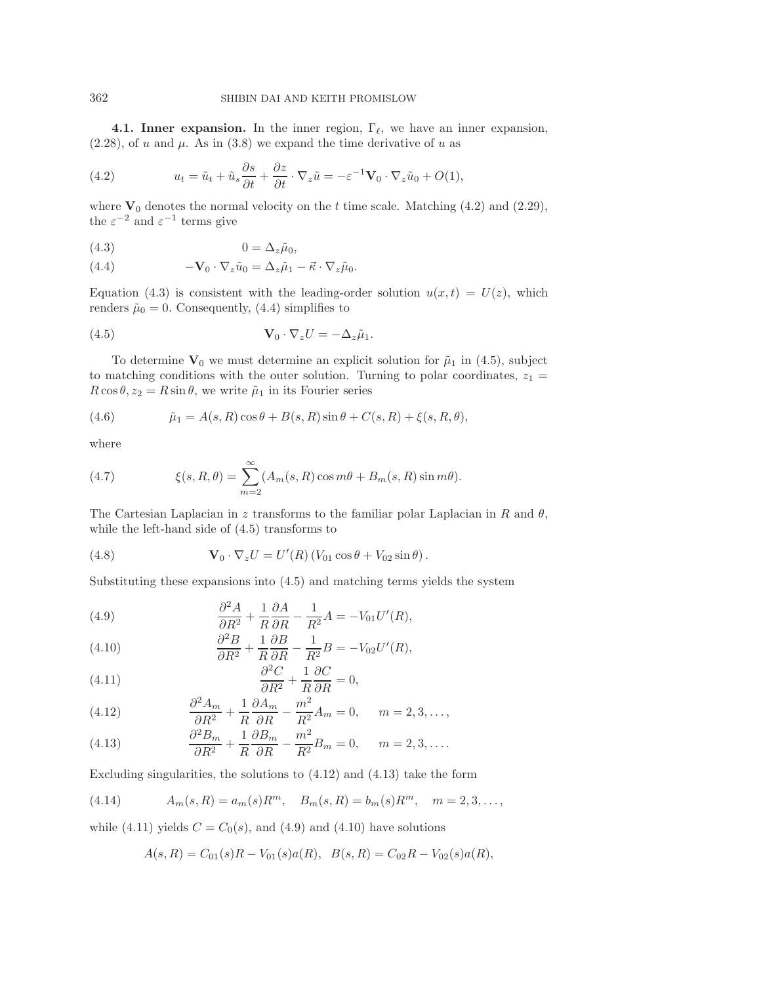**4.1. Inner expansion.** In the inner region,  $\Gamma_{\ell}$ , we have an inner expansion,  $(2.28)$ , of u and  $\mu$ . As in  $(3.8)$  we expand the time derivative of u as

<span id="page-15-0"></span>(4.2) 
$$
u_t = \tilde{u}_t + \tilde{u}_s \frac{\partial s}{\partial t} + \frac{\partial z}{\partial t} \cdot \nabla_z \tilde{u} = -\varepsilon^{-1} \mathbf{V}_0 \cdot \nabla_z \tilde{u}_0 + O(1),
$$

where  $V_0$  denotes the normal velocity on the t time scale. Matching  $(4.2)$  and  $(2.29)$ , the  $\varepsilon^{-2}$  and  $\varepsilon^{-1}$  terms give

<span id="page-15-1"></span>
$$
(4.3) \t\t 0 = \Delta_z \tilde{\mu}_0,
$$

<span id="page-15-2"></span>(4.4) 
$$
-\mathbf{V}_0 \cdot \nabla_z \tilde{u}_0 = \Delta_z \tilde{\mu}_1 - \vec{\kappa} \cdot \nabla_z \tilde{\mu}_0.
$$

Equation [\(4.3\)](#page-15-1) is consistent with the leading-order solution  $u(x,t) = U(z)$ , which renders  $\tilde{\mu}_0 = 0$ . Consequently, [\(4.4\)](#page-15-2) simplifies to

<span id="page-15-3"></span>(4.5) 
$$
\mathbf{V}_0 \cdot \nabla_z U = -\Delta_z \tilde{\mu}_1.
$$

To determine  $\mathbf{V}_0$  we must determine an explicit solution for  $\tilde{\mu}_1$  in [\(4.5\)](#page-15-3), subject to matching conditions with the outer solution. Turning to polar coordinates,  $z_1 =$  $R \cos \theta, z_2 = R \sin \theta$ , we write  $\tilde{\mu}_1$  in its Fourier series

(4.6) 
$$
\tilde{\mu}_1 = A(s, R) \cos \theta + B(s, R) \sin \theta + C(s, R) + \xi(s, R, \theta),
$$

where

(4.7) 
$$
\xi(s, R, \theta) = \sum_{m=2}^{\infty} (A_m(s, R) \cos m\theta + B_m(s, R) \sin m\theta).
$$

The Cartesian Laplacian in z transforms to the familiar polar Laplacian in R and  $\theta$ , while the left-hand side of [\(4.5\)](#page-15-3) transforms to

(4.8) 
$$
\mathbf{V}_0 \cdot \nabla_z U = U'(R) (V_{01} \cos \theta + V_{02} \sin \theta).
$$

Substituting these expansions into [\(4.5\)](#page-15-3) and matching terms yields the system

<span id="page-15-7"></span>(4.9) 
$$
\frac{\partial^2 A}{\partial R^2} + \frac{1}{R} \frac{\partial A}{\partial R} - \frac{1}{R^2} A = -V_{01} U'(R),
$$

<span id="page-15-8"></span>(4.10) 
$$
\frac{\partial^2 B}{\partial R^2} + \frac{1}{R} \frac{\partial B}{\partial R} - \frac{1}{R^2} B = -V_{02} U'(R),
$$

<span id="page-15-6"></span>(4.11) 
$$
\frac{\partial^2 C}{\partial R^2} + \frac{1}{R} \frac{\partial C}{\partial R} = 0,
$$

<span id="page-15-4"></span>(4.12) 
$$
\frac{\partial^2 A_m}{\partial R^2} + \frac{1}{R} \frac{\partial A_m}{\partial R} - \frac{m^2}{R^2} A_m = 0, \quad m = 2, 3, \dots,
$$

<span id="page-15-5"></span>(4.13) 
$$
\frac{\partial^2 B_m}{\partial R^2} + \frac{1}{R} \frac{\partial B_m}{\partial R} - \frac{m^2}{R^2} B_m = 0, \quad m = 2, 3, \dots
$$

Excluding singularities, the solutions to  $(4.12)$  and  $(4.13)$  take the form

(4.14) 
$$
A_m(s, R) = a_m(s)R^m, \quad B_m(s, R) = b_m(s)R^m, \quad m = 2, 3, \dots,
$$

while [\(4.11\)](#page-15-6) yields  $C = C_0(s)$ , and [\(4.9\)](#page-15-7) and [\(4.10\)](#page-15-8) have solutions

$$
A(s, R) = C_{01}(s)R - V_{01}(s)a(R), B(s, R) = C_{02}R - V_{02}(s)a(R),
$$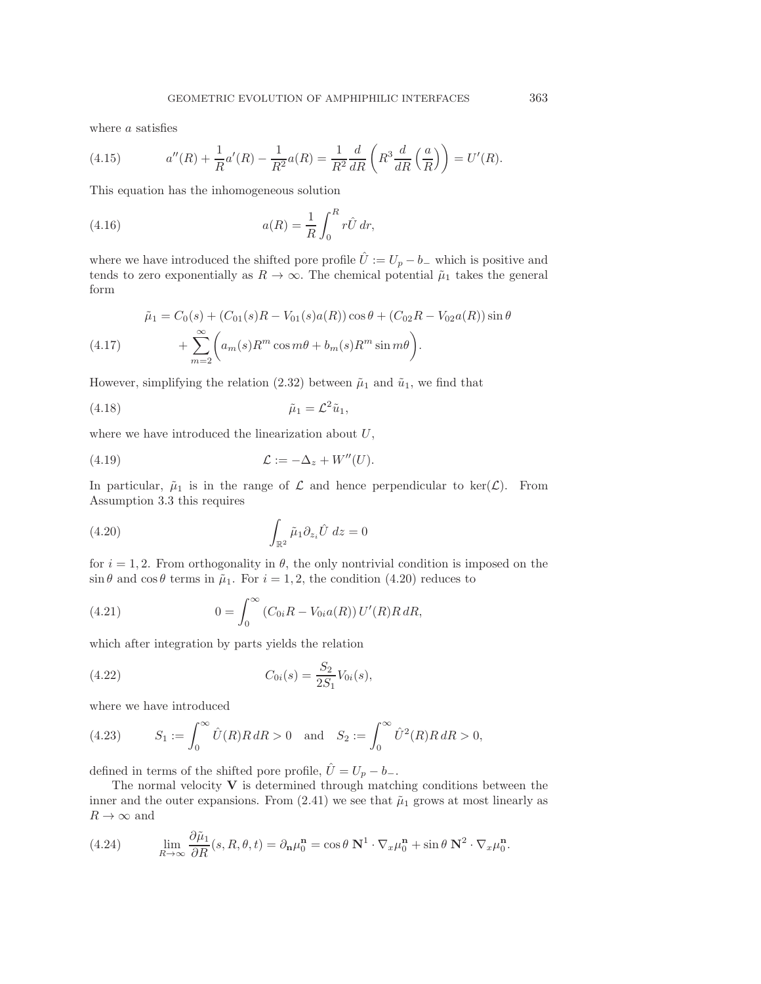where a satisfies

(4.15) 
$$
a''(R) + \frac{1}{R}a'(R) - \frac{1}{R^2}a(R) = \frac{1}{R^2}\frac{d}{dR}\left(R^3\frac{d}{dR}\left(\frac{a}{R}\right)\right) = U'(R).
$$

This equation has the inhomogeneous solution

<span id="page-16-4"></span>(4.16) 
$$
a(R) = \frac{1}{R} \int_0^R r \hat{U} dr,
$$

where we have introduced the shifted pore profile  $\hat{U} := U_p - b_-$  which is positive and tends to zero exponentially as  $R \to \infty$ . The chemical potential  $\tilde{\mu}_1$  takes the general form

<span id="page-16-2"></span>(4.17) 
$$
\tilde{\mu}_1 = C_0(s) + (C_{01}(s)R - V_{01}(s)a(R))\cos\theta + (C_{02}R - V_{02}a(R))\sin\theta \n+ \sum_{m=2}^{\infty} \left( a_m(s)R^m \cos m\theta + b_m(s)R^m \sin m\theta \right).
$$

However, simplifying the relation [\(2.32\)](#page-11-2) between  $\tilde{\mu}_1$  and  $\tilde{u}_1$ , we find that

$$
\tilde{\mu}_1 = \mathcal{L}^2 \tilde{u}_1,
$$

where we have introduced the linearization about  $U$ ,

$$
(4.19) \t\t\t\t\mathcal{L} := -\Delta_z + W''(U).
$$

<span id="page-16-1"></span>In particular,  $\tilde{\mu}_1$  is in the range of  $\mathcal L$  and hence perpendicular to ker( $\mathcal L$ ). From Assumption [3.3](#page-14-1) this requires

(4.20) 
$$
\int_{\mathbb{R}^2} \tilde{\mu}_1 \partial_{z_i} \hat{U} dz = 0
$$

for  $i = 1, 2$ . From orthogonality in  $\theta$ , the only nontrivial condition is imposed on the  $\sin \theta$  and  $\cos \theta$  terms in  $\tilde{\mu}_1$ . For  $i = 1, 2$ , the condition [\(4.20\)](#page-16-1) reduces to

(4.21) 
$$
0 = \int_0^\infty (C_{0i}R - V_{0i}a(R)) U'(R)R\,dR,
$$

which after integration by parts yields the relation

(4.22) 
$$
C_{0i}(s) = \frac{S_2}{2S_1} V_{0i}(s),
$$

<span id="page-16-0"></span>where we have introduced

(4.23) 
$$
S_1 := \int_0^\infty \hat{U}(R)R\,dR > 0 \text{ and } S_2 := \int_0^\infty \hat{U}^2(R)R\,dR > 0,
$$

defined in terms of the shifted pore profile,  $\hat{U} = U_p - b_-.$ 

The normal velocity **V** is determined through matching conditions between the inner and the outer expansions. From  $(2.41)$  we see that  $\tilde{\mu}_1$  grows at most linearly as  $R \to \infty$  and

<span id="page-16-3"></span>(4.24) 
$$
\lim_{R \to \infty} \frac{\partial \tilde{\mu}_1}{\partial R}(s, R, \theta, t) = \partial_{\mathbf{n}} \mu_0^{\mathbf{n}} = \cos \theta \, \mathbf{N}^1 \cdot \nabla_x \mu_0^{\mathbf{n}} + \sin \theta \, \mathbf{N}^2 \cdot \nabla_x \mu_0^{\mathbf{n}}.
$$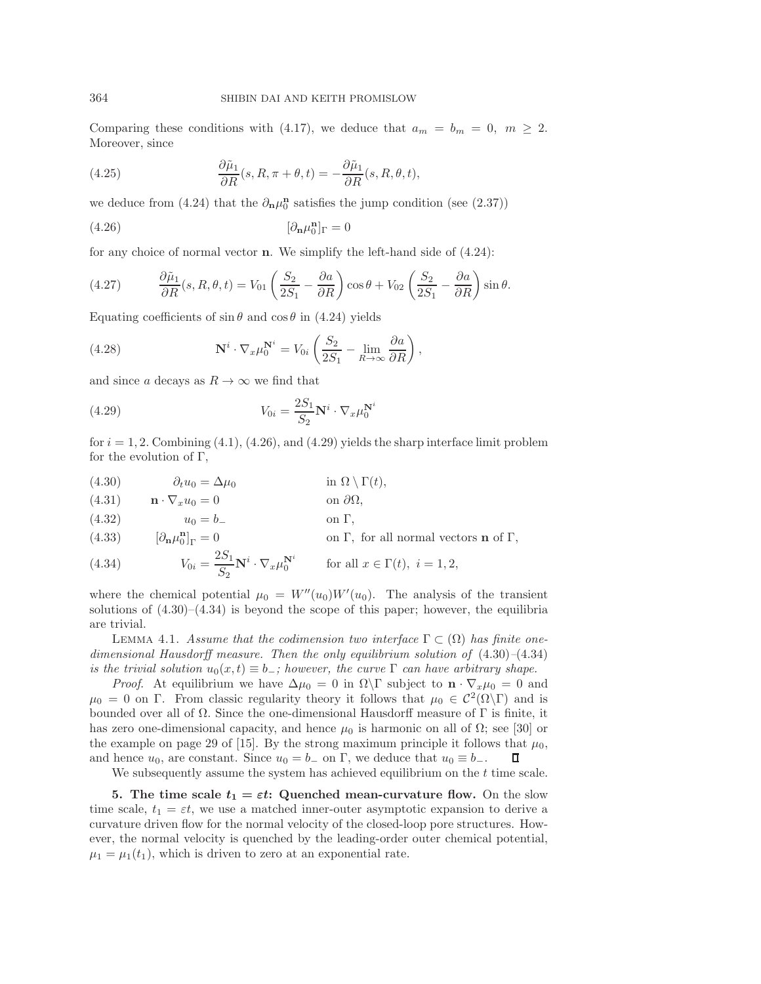Comparing these conditions with [\(4.17\)](#page-16-2), we deduce that  $a_m = b_m = 0, m \ge 2$ . Moreover, since

(4.25) 
$$
\frac{\partial \tilde{\mu}_1}{\partial R}(s, R, \pi + \theta, t) = -\frac{\partial \tilde{\mu}_1}{\partial R}(s, R, \theta, t),
$$

we deduce from [\(4.24\)](#page-16-3) that the  $\partial_{\mathbf{n}}\mu_0^{\mathbf{n}}$  satisfies the jump condition (see [\(2.37\)](#page-12-5))

<span id="page-17-3"></span>
$$
(4.26)\qquad \qquad [\partial_{\mathbf{n}}\mu_0^{\mathbf{n}}]_\Gamma = 0
$$

for any choice of normal vector **n**. We simplify the left-hand side of [\(4.24\)](#page-16-3):

(4.27) 
$$
\frac{\partial \tilde{\mu}_1}{\partial R}(s, R, \theta, t) = V_{01} \left( \frac{S_2}{2S_1} - \frac{\partial a}{\partial R} \right) \cos \theta + V_{02} \left( \frac{S_2}{2S_1} - \frac{\partial a}{\partial R} \right) \sin \theta.
$$

Equating coefficients of  $\sin \theta$  and  $\cos \theta$  in [\(4.24\)](#page-16-3) yields

(4.28) 
$$
\mathbf{N}^{i} \cdot \nabla_{x} \mu_{0}^{\mathbf{N}^{i}} = V_{0i} \left( \frac{S_{2}}{2S_{1}} - \lim_{R \to \infty} \frac{\partial a}{\partial R} \right),
$$

<span id="page-17-4"></span>and since a decays as  $R \to \infty$  we find that

(4.29) 
$$
V_{0i} = \frac{2S_1}{S_2} \mathbf{N}^i \cdot \nabla_x \mu_0^{\mathbf{N}^i}
$$

for  $i = 1, 2$ . Combining  $(4.1), (4.26),$  $(4.1), (4.26),$  $(4.1), (4.26),$  $(4.1), (4.26),$  and  $(4.29)$  yields the sharp interface limit problem for the evolution of  $\Gamma$ ,

<span id="page-17-0"></span>(4.30)  $\partial_t u_0 = \Delta \mu_0$  in  $\Omega \setminus \Gamma(t)$ , (4.31)  $\mathbf{n} \cdot \nabla_x u_0 = 0$  on  $\partial \Omega$ , (4.32)  $u_0 = b_-$  on  $\Gamma$ ,

<span id="page-17-6"></span>(4.33) 
$$
[\partial_{\mathbf{n}}\mu_0^{\mathbf{n}}]_{\Gamma} = 0
$$
 on  $\Gamma$ , for all normal vectors **n** of  $\Gamma$ ,

<span id="page-17-5"></span>(4.34) 
$$
V_{0i} = \frac{2S_1}{S_2} \mathbf{N}^i \cdot \nabla_x \mu_0^{\mathbf{N}^i} \quad \text{for all } x \in \Gamma(t), i = 1, 2,
$$

where the chemical potential  $\mu_0 = W''(u_0)W'(u_0)$ . The analysis of the transient solutions of  $(4.30)$ – $(4.34)$  is beyond the scope of this paper; however, the equilibria are trivial.

<span id="page-17-2"></span>LEMMA 4.1. *Assume that the codimension two interface*  $\Gamma \subset (\Omega)$  *has finite onedimensional Hausdorff measure. Then the only equilibrium solution of* [\(4.30\)](#page-17-0)*–*[\(4.34\)](#page-17-5) *is the trivial solution*  $u_0(x, t) \equiv b_-\$ ; *however, the curve*  $\Gamma$  *can have arbitrary shape.* 

*Proof.* At equilibrium we have  $\Delta \mu_0 = 0$  in  $\Omega \backslash \Gamma$  subject to  $\mathbf{n} \cdot \nabla_x \mu_0 = 0$  and  $\mu_0 = 0$  on Γ. From classic regularity theory it follows that  $\mu_0 \in C^2(\Omega \backslash \Gamma)$  and is bounded over all of  $\Omega$ . Since the one-dimensional Hausdorff measure of  $\Gamma$  is finite, it has zero one-dimensional capacity, and hence  $\mu_0$  is harmonic on all of  $\Omega$ ; see [\[30\]](#page-32-22) or the example on page 29 of [\[15\]](#page-32-23). By the strong maximum principle it follows that  $\mu_0$ , and hence  $u_0$ , are constant. Since  $u_0 = b_-\,$  on  $\Gamma$ , we deduce that  $u_0 \equiv b_-\,$ . П

We subsequently assume the system has achieved equilibrium on the  $t$  time scale.

<span id="page-17-1"></span>**5. The time scale**  $t_1 = \varepsilon t$ **:** Quenched mean-curvature flow. On the slow time scale,  $t_1 = \varepsilon t$ , we use a matched inner-outer asymptotic expansion to derive a curvature driven flow for the normal velocity of the closed-loop pore structures. However, the normal velocity is quenched by the leading-order outer chemical potential,  $\mu_1 = \mu_1(t_1)$ , which is driven to zero at an exponential rate.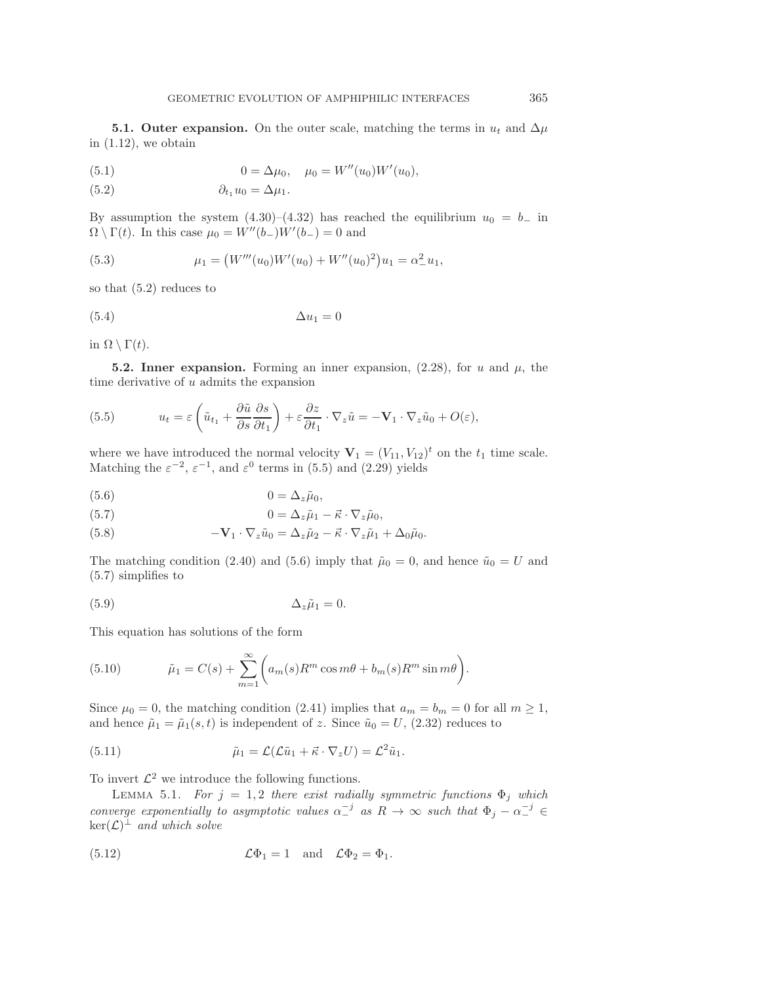**5.1. Outer expansion.** On the outer scale, matching the terms in  $u_t$  and  $\Delta \mu$ in  $(1.12)$ , we obtain

(5.1) 
$$
0 = \Delta \mu_0, \quad \mu_0 = W''(u_0)W'(u_0),
$$

<span id="page-18-0"></span>
$$
(5.2) \t\t \t\t \partial_{t_1} u_0 = \Delta \mu_1.
$$

<span id="page-18-8"></span>By assumption the system  $(4.30)–(4.32)$  $(4.30)–(4.32)$  $(4.30)–(4.32)$  has reached the equilibrium  $u_0 = b_-\$  in  $\Omega \setminus \Gamma(t)$ . In this case  $\mu_0 = W''(b_-)W'(b_-) = 0$  and

(5.3) 
$$
\mu_1 = (W'''(u_0)W'(u_0) + W''(u_0)^2)u_1 = \alpha_-^2 u_1,
$$

so that [\(5.2\)](#page-18-0) reduces to

$$
\Delta u_1 = 0
$$

in  $\Omega \setminus \Gamma(t)$ .

**5.2. Inner expansion.** Forming an inner expansion,  $(2.28)$ , for u and  $\mu$ , the time derivative of  $u$  admits the expansion

<span id="page-18-1"></span>(5.5) 
$$
u_t = \varepsilon \left( \tilde{u}_{t_1} + \frac{\partial \tilde{u}}{\partial s} \frac{\partial s}{\partial t_1} \right) + \varepsilon \frac{\partial z}{\partial t_1} \cdot \nabla_z \tilde{u} = -\mathbf{V}_1 \cdot \nabla_z \tilde{u}_0 + O(\varepsilon),
$$

where we have introduced the normal velocity  $\mathbf{V}_1 = (V_{11}, V_{12})^t$  on the  $t_1$  time scale. Matching the  $\varepsilon^{-2}$ ,  $\varepsilon^{-1}$ , and  $\varepsilon^0$  terms in [\(5.5\)](#page-18-1) and [\(2.29\)](#page-10-3) yields

<span id="page-18-2"></span>
$$
(5.6) \t\t 0 = \Delta_z \tilde{\mu}_0,
$$

<span id="page-18-3"></span>(5.7) 
$$
0 = \Delta_z \tilde{\mu}_1 - \vec{\kappa} \cdot \nabla_z \tilde{\mu}_0,
$$

<span id="page-18-7"></span>(5.8) 
$$
-\mathbf{V}_1 \cdot \nabla_z \tilde{u}_0 = \Delta_z \tilde{\mu}_2 - \vec{\kappa} \cdot \nabla_z \tilde{\mu}_1 + \Delta_0 \tilde{\mu}_0.
$$

The matching condition [\(2.40\)](#page-12-6) and [\(5.6\)](#page-18-2) imply that  $\tilde{\mu}_0 = 0$ , and hence  $\tilde{u}_0 = U$  and [\(5.7\)](#page-18-3) simplifies to

(5.9) Δzμ˜<sup>1</sup> = 0.

This equation has solutions of the form

(5.10) 
$$
\tilde{\mu}_1 = C(s) + \sum_{m=1}^{\infty} \left( a_m(s) R^m \cos m\theta + b_m(s) R^m \sin m\theta \right).
$$

Since  $\mu_0 = 0$ , the matching condition [\(2.41\)](#page-12-4) implies that  $a_m = b_m = 0$  for all  $m \ge 1$ , and hence  $\tilde{\mu}_1 = \tilde{\mu}_1(s, t)$  is independent of z. Since  $\tilde{u}_0 = U$ , [\(2.32\)](#page-11-2) reduces to

<span id="page-18-6"></span>(5.11) 
$$
\tilde{\mu}_1 = \mathcal{L}(\mathcal{L}\tilde{u}_1 + \vec{\kappa} \cdot \nabla_z U) = \mathcal{L}^2 \tilde{u}_1.
$$

<span id="page-18-5"></span>To invert  $\mathcal{L}^2$  we introduce the following functions.

LEMMA 5.1. *For*  $j = 1, 2$  *there exist radially symmetric functions*  $\Phi_j$  *which converge exponentially to asymptotic values*  $\alpha^{-j}$  *as*  $R \to \infty$  *such that*  $\Phi_j - \alpha^{-j} \in$  $\ker(\mathcal{L})^{\perp}$  *and which solve* 

<span id="page-18-4"></span>(5.12) 
$$
\mathcal{L}\Phi_1 = 1 \quad \text{and} \quad \mathcal{L}\Phi_2 = \Phi_1.
$$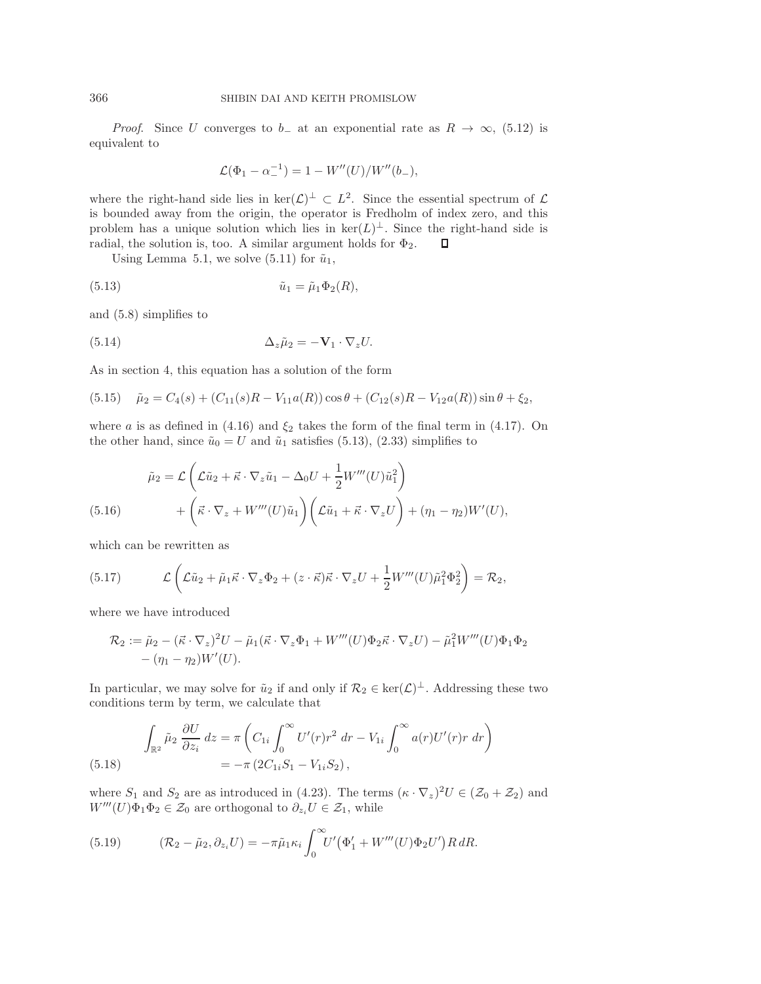*Proof.* Since U converges to b<sub>−</sub> at an exponential rate as  $R \to \infty$ , [\(5.12\)](#page-18-4) is equivalent to

<span id="page-19-0"></span>
$$
\mathcal{L}(\Phi_1 - \alpha_-^{-1}) = 1 - W''(U)/W''(b_-),
$$

where the right-hand side lies in ker( $\mathcal{L}$ )<sup>⊥</sup> ⊂  $L^2$ . Since the essential spectrum of  $\mathcal{L}$ is bounded away from the origin, the operator is Fredholm of index zero, and this problem has a unique solution which lies in  $\ker(L)^{\perp}$ . Since the right-hand side is radial, the solution is, too. A similar argument holds for  $\Phi_2$ .  $\Box$ 

Using Lemma [5.1,](#page-18-5) we solve  $(5.11)$  for  $\tilde{u}_1$ ,

$$
(5.13) \qquad \tilde{u}_1 = \tilde{\mu}_1 \Phi_2(R),
$$

and [\(5.8\)](#page-18-7) simplifies to

(5.14) 
$$
\Delta_z \tilde{\mu}_2 = -\mathbf{V}_1 \cdot \nabla_z U.
$$

As in section [4,](#page-14-2) this equation has a solution of the form

<span id="page-19-3"></span>
$$
(5.15) \quad \tilde{\mu}_2 = C_4(s) + (C_{11}(s)R - V_{11}a(R))\cos\theta + (C_{12}(s)R - V_{12}a(R))\sin\theta + \xi_2,
$$

where a is as defined in [\(4.16\)](#page-16-4) and  $\xi_2$  takes the form of the final term in [\(4.17\)](#page-16-2). On the other hand, since  $\tilde{u}_0 = U$  and  $\tilde{u}_1$  satisfies [\(5.13\)](#page-19-0), [\(2.33\)](#page-11-3) simplifies to

(5.16) 
$$
\tilde{\mu}_2 = \mathcal{L}\left(\mathcal{L}\tilde{u}_2 + \vec{\kappa}\cdot\nabla_z \tilde{u}_1 - \Delta_0 U + \frac{1}{2}W'''(U)\tilde{u}_1^2\right) + \left(\vec{\kappa}\cdot\nabla_z + W'''(U)\tilde{u}_1\right)\left(\mathcal{L}\tilde{u}_1 + \vec{\kappa}\cdot\nabla_z U\right) + (\eta_1 - \eta_2)W'(U),
$$

which can be rewritten as

(5.17) 
$$
\mathcal{L}\left(\mathcal{L}\tilde{u}_2 + \tilde{\mu}_1\vec{\kappa}\cdot\nabla_z\Phi_2 + (z\cdot\vec{\kappa})\vec{\kappa}\cdot\nabla_z U + \frac{1}{2}W'''(U)\tilde{\mu}_1^2\Phi_2^2\right) = \mathcal{R}_2,
$$

where we have introduced

$$
\mathcal{R}_2 := \tilde{\mu}_2 - (\vec{\kappa} \cdot \nabla_z)^2 U - \tilde{\mu}_1 (\vec{\kappa} \cdot \nabla_z \Phi_1 + W'''(U) \Phi_2 \vec{\kappa} \cdot \nabla_z U) - \tilde{\mu}_1^2 W'''(U) \Phi_1 \Phi_2 - (\eta_1 - \eta_2) W'(U).
$$

In particular, we may solve for  $\tilde{u}_2$  if and only if  $\mathcal{R}_2 \in \text{ker}(\mathcal{L})^{\perp}$ . Addressing these two conditions term by term, we calculate that

(5.18) 
$$
\int_{\mathbb{R}^2} \tilde{\mu}_2 \frac{\partial U}{\partial z_i} dz = \pi \left( C_{1i} \int_0^\infty U'(r) r^2 dr - V_{1i} \int_0^\infty a(r) U'(r) r dr \right)
$$

$$
= -\pi \left( 2C_{1i} S_1 - V_{1i} S_2 \right),
$$

<span id="page-19-2"></span>where  $S_1$  and  $S_2$  are as introduced in [\(4.23\)](#page-16-0). The terms  $(\kappa \cdot \nabla_z)^2 U \in (\mathcal{Z}_0 + \mathcal{Z}_2)$  and  $W'''(U)\Phi_1\Phi_2 \in \mathcal{Z}_0$  are orthogonal to  $\partial_{z_i}U \in \mathcal{Z}_1$ , while

<span id="page-19-1"></span>(5.19) 
$$
(\mathcal{R}_2 - \tilde{\mu}_2, \partial_{z_i} U) = -\pi \tilde{\mu}_1 \kappa_i \int_0^{\infty} U'(\Phi'_1 + W'''(U)\Phi_2 U') R \, dR.
$$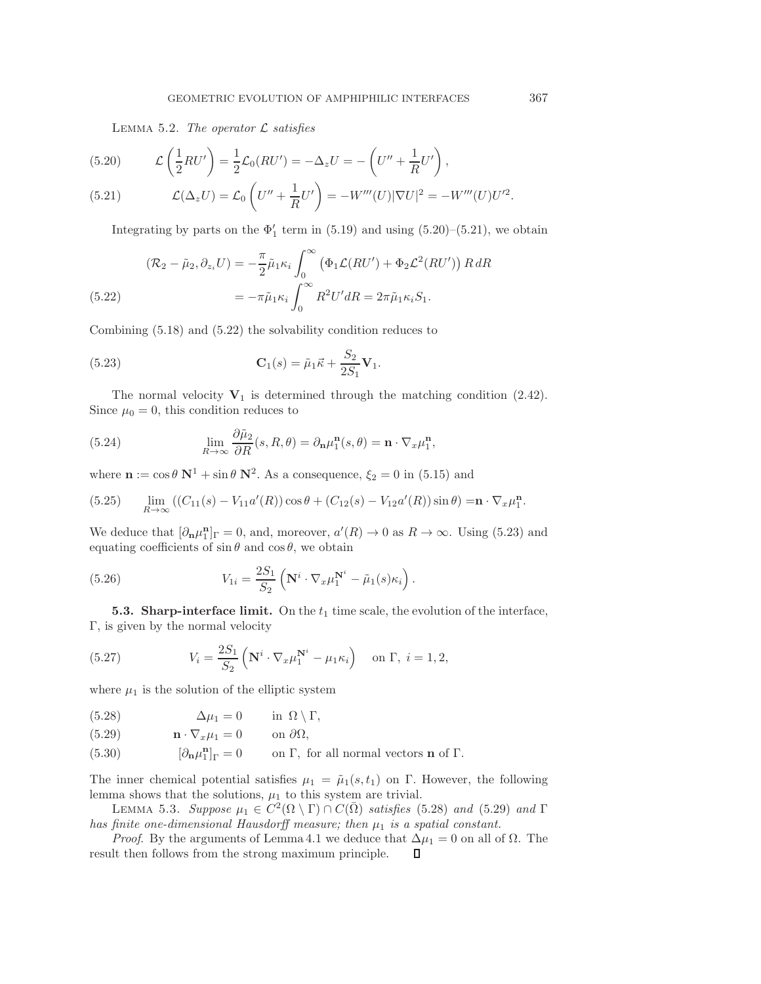Lemma 5.2. *The operator* L *satisfies*

<span id="page-20-0"></span>(5.20) 
$$
\mathcal{L}\left(\frac{1}{2}RU'\right) = \frac{1}{2}\mathcal{L}_0(RU') = -\Delta_z U = -\left(U'' + \frac{1}{R}U'\right),
$$
  
(5.21) 
$$
\mathcal{L}(\Delta U) = \mathcal{L}_0\left(U'' + \frac{1}{R}U'\right) = -W'''(U)\left|\nabla U\right|^2 = -W'''(U)
$$

<span id="page-20-1"></span>(5.21) 
$$
\mathcal{L}(\Delta_z U) = \mathcal{L}_0 \left( U'' + \frac{1}{R} U' \right) = -W'''(U) |\nabla U|^2 = -W'''(U)U'^2.
$$

<span id="page-20-3"></span>Integrating by parts on the  $\Phi'_1$  term in [\(5.19\)](#page-19-1) and using [\(5.20\)](#page-20-0)–[\(5.21\)](#page-20-1), we obtain

<span id="page-20-2"></span>(5.22) 
$$
(\mathcal{R}_2 - \tilde{\mu}_2, \partial_{z_i} U) = -\frac{\pi}{2} \tilde{\mu}_1 \kappa_i \int_0^\infty \left( \Phi_1 \mathcal{L}(RU') + \Phi_2 \mathcal{L}^2(RU') \right) R \, dR
$$

$$
= -\pi \tilde{\mu}_1 \kappa_i \int_0^\infty R^2 U' dR = 2\pi \tilde{\mu}_1 \kappa_i S_1.
$$

Combining [\(5.18\)](#page-19-2) and [\(5.22\)](#page-20-2) the solvability condition reduces to

(5.23) 
$$
\mathbf{C}_1(s) = \tilde{\mu}_1 \vec{\kappa} + \frac{S_2}{2S_1} \mathbf{V}_1.
$$

The normal velocity  $V_1$  is determined through the matching condition [\(2.42\)](#page-12-7). Since  $\mu_0 = 0$ , this condition reduces to

(5.24) 
$$
\lim_{R \to \infty} \frac{\partial \tilde{\mu}_2}{\partial R}(s, R, \theta) = \partial_{\mathbf{n}} \mu_1^{\mathbf{n}}(s, \theta) = \mathbf{n} \cdot \nabla_x \mu_1^{\mathbf{n}},
$$

where  $\mathbf{n} := \cos \theta \, \mathbf{N}^1 + \sin \theta \, \mathbf{N}^2$ . As a consequence,  $\xi_2 = 0$  in [\(5.15\)](#page-19-3) and

(5.25) 
$$
\lim_{R \to \infty} ((C_{11}(s) - V_{11}a'(R)) \cos \theta + (C_{12}(s) - V_{12}a'(R)) \sin \theta) = \mathbf{n} \cdot \nabla_x \mu_1^{\mathbf{n}}.
$$

We deduce that  $[\partial_{\bf n}\mu_{\bf l}^{\bf n}]_{\Gamma} = 0$ , and, moreover,  $a'(R) \to 0$  as  $R \to \infty$ . Using [\(5.23\)](#page-20-3) and equating coefficients of  $\sin \theta$  and  $\cos \theta$ , we obtain

(5.26) 
$$
V_{1i} = \frac{2S_1}{S_2} \left( \mathbf{N}^i \cdot \nabla_x \mu_1^{\mathbf{N}^i} - \tilde{\mu}_1(s) \kappa_i \right).
$$

**5.3. Sharp-interface limit.** On the  $t_1$  time scale, the evolution of the interface, Γ, is given by the normal velocity

(5.27) 
$$
V_i = \frac{2S_1}{S_2} \left( \mathbf{N}^i \cdot \nabla_x \mu_1^{\mathbf{N}^i} - \mu_1 \kappa_i \right) \text{ on } \Gamma, \ i = 1, 2,
$$

where  $\mu_1$  is the solution of the elliptic system

<span id="page-20-4"></span>(5.28) 
$$
\Delta \mu_1 = 0 \quad \text{in } \Omega \setminus \Gamma,
$$

<span id="page-20-5"></span>(5.29) 
$$
\mathbf{n} \cdot \nabla_x \mu_1 = 0 \quad \text{on } \partial \Omega,
$$

(5.30) 
$$
\left[\partial_{\mathbf{n}}\mu_1^{\mathbf{n}}\right]_{\Gamma} = 0 \quad \text{on } \Gamma, \text{ for all normal vectors } \mathbf{n} \text{ of } \Gamma.
$$

The inner chemical potential satisfies  $\mu_1 = \tilde{\mu}_1(s, t_1)$  on Γ. However, the following lemma shows that the solutions,  $\mu_1$  to this system are trivial.

<span id="page-20-6"></span>LEMMA 5.3. *Suppose*  $\mu_1 \in C^2(\Omega \setminus \Gamma) \cap C(\overline{\Omega})$  *satisfies* [\(5.28\)](#page-20-4) *and* [\(5.29\)](#page-20-5) *and*  $\Gamma$ *has finite one-dimensional Hausdorff measure; then* μ<sup>1</sup> *is a spatial constant.*

*Proof.* By the arguments of Lemma [4.1](#page-17-2) we deduce that  $\Delta \mu_1 = 0$  on all of  $\Omega$ . The result then follows from the strong maximum principle. $\Box$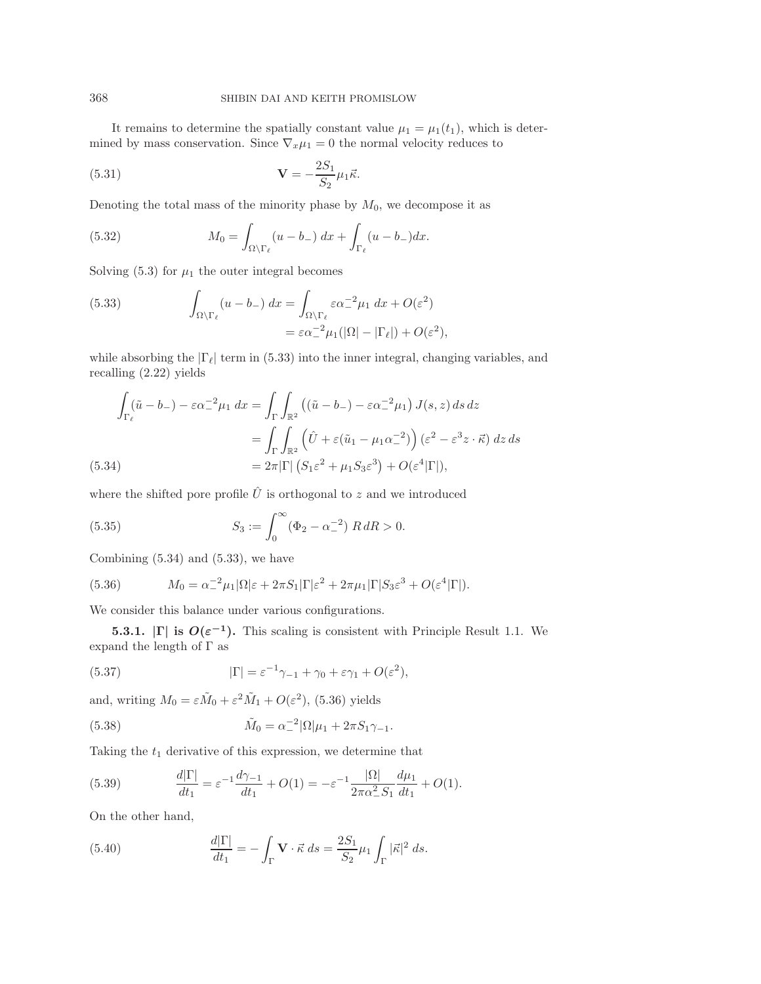It remains to determine the spatially constant value  $\mu_1 = \mu_1(t_1)$ , which is determined by mass conservation. Since  $\nabla_x \mu_1 = 0$  the normal velocity reduces to

<span id="page-21-0"></span>(5.31) 
$$
\mathbf{V} = -\frac{2S_1}{S_2} \mu_1 \vec{\kappa}.
$$

Denoting the total mass of the minority phase by  $M_0$ , we decompose it as

(5.32) 
$$
M_0 = \int_{\Omega \setminus \Gamma_\ell} (u - b_-) dx + \int_{\Gamma_\ell} (u - b_-) dx.
$$

Solving [\(5.3\)](#page-18-8) for  $\mu_1$  the outer integral becomes

<span id="page-21-1"></span>(5.33) 
$$
\int_{\Omega \setminus \Gamma_{\ell}} (u - b_{-}) dx = \int_{\Omega \setminus \Gamma_{\ell}} \varepsilon \alpha_{-}^{-2} \mu_{1} dx + O(\varepsilon^{2})
$$

$$
= \varepsilon \alpha_{-}^{-2} \mu_{1}(|\Omega| - |\Gamma_{\ell}|) + O(\varepsilon^{2}),
$$

while absorbing the  $|\Gamma_\ell|$  term in [\(5.33\)](#page-21-1) into the inner integral, changing variables, and recalling [\(2.22\)](#page-10-1) yields

$$
\int_{\Gamma_{\ell}} (\tilde{u} - b_{-}) - \varepsilon \alpha_{-}^{-2} \mu_1 dx = \int_{\Gamma} \int_{\mathbb{R}^2} ((\tilde{u} - b_{-}) - \varepsilon \alpha_{-}^{-2} \mu_1) J(s, z) ds dz
$$
  
\n
$$
= \int_{\Gamma} \int_{\mathbb{R}^2} (\hat{U} + \varepsilon (\tilde{u}_1 - \mu_1 \alpha_{-}^{-2})) (\varepsilon^2 - \varepsilon^3 z \cdot \vec{\kappa}) dz ds
$$
  
\n(5.34)  
\n
$$
= 2\pi |\Gamma| (S_1 \varepsilon^2 + \mu_1 S_3 \varepsilon^3) + O(\varepsilon^4 |\Gamma|),
$$

<span id="page-21-2"></span>where the shifted pore profile  $\hat{U}$  is orthogonal to z and we introduced

(5.35) 
$$
S_3 := \int_0^\infty (\Phi_2 - \alpha_-^{-2}) R \, dR > 0.
$$

Combining  $(5.34)$  and  $(5.33)$ , we have

<span id="page-21-3"></span>(5.36) 
$$
M_0 = \alpha_-^{-2} \mu_1 |\Omega| \varepsilon + 2\pi S_1 |\Gamma| \varepsilon^2 + 2\pi \mu_1 |\Gamma| S_3 \varepsilon^3 + O(\varepsilon^4 |\Gamma|).
$$

We consider this balance under various configurations.

**5.3.1.**  $|\Gamma|$  is  $O(\varepsilon^{-1})$ . This scaling is consistent with Principle Result [1.1.](#page-6-1) We expand the length of  $\Gamma$  as

(5.37) 
$$
|\Gamma| = \varepsilon^{-1} \gamma_{-1} + \gamma_0 + \varepsilon \gamma_1 + O(\varepsilon^2),
$$

and, writing  $M_0 = \varepsilon \tilde{M}_0 + \varepsilon^2 \tilde{M}_1 + O(\varepsilon^2)$ , [\(5.36\)](#page-21-3) yields

(5.38) 
$$
\tilde{M}_0 = \alpha_-^{-2} |\Omega| \mu_1 + 2\pi S_1 \gamma_{-1}.
$$

Taking the  $t_1$  derivative of this expression, we determine that

(5.39) 
$$
\frac{d|\Gamma|}{dt_1} = \varepsilon^{-1} \frac{d\gamma_{-1}}{dt_1} + O(1) = -\varepsilon^{-1} \frac{|\Omega|}{2\pi\alpha_-^2 S_1} \frac{d\mu_1}{dt_1} + O(1).
$$

On the other hand,

(5.40) 
$$
\frac{d|\Gamma|}{dt_1} = -\int_{\Gamma} \mathbf{V} \cdot \vec{\kappa} \, ds = \frac{2S_1}{S_2} \mu_1 \int_{\Gamma} |\vec{\kappa}|^2 \, ds.
$$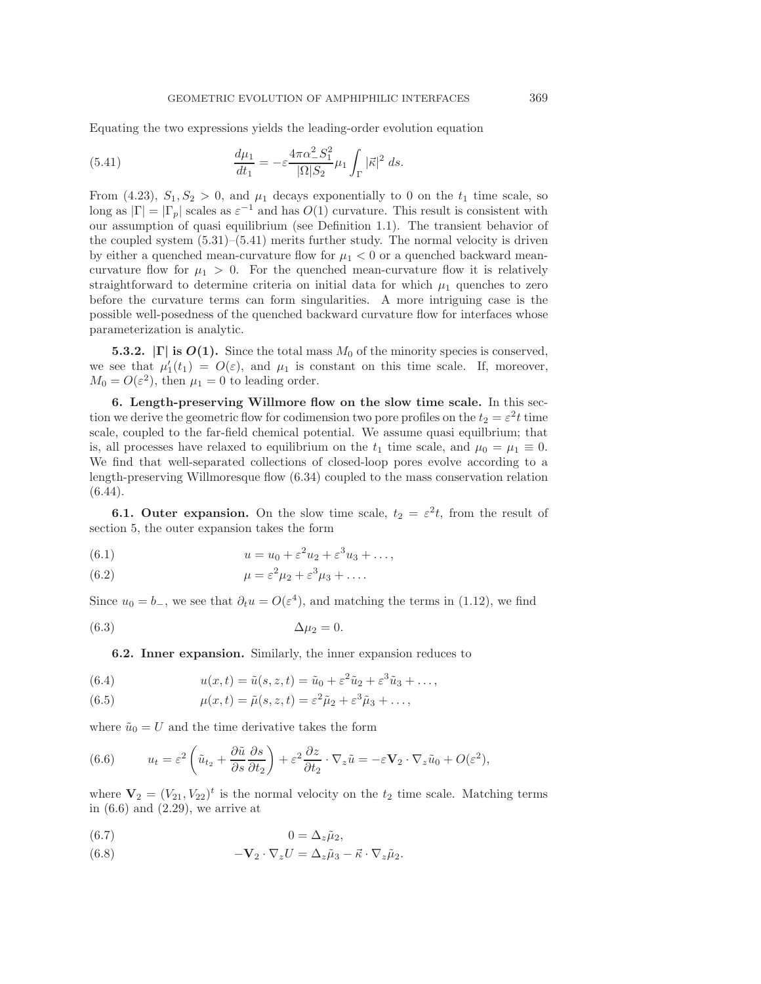Equating the two expressions yields the leading-order evolution equation

<span id="page-22-0"></span>(5.41) 
$$
\frac{d\mu_1}{dt_1} = -\varepsilon \frac{4\pi\alpha_-^2 S_1^2}{|\Omega| S_2} \mu_1 \int_{\Gamma} |\vec{\kappa}|^2 ds.
$$

From [\(4.23\)](#page-16-0),  $S_1, S_2 > 0$ , and  $\mu_1$  decays exponentially to 0 on the  $t_1$  time scale, so long as  $|\Gamma| = |\Gamma_p|$  scales as  $\varepsilon^{-1}$  and has  $O(1)$  curvature. This result is consistent with our assumption of quasi equilibrium (see Definition [1.1\)](#page-5-1). The transient behavior of the coupled system  $(5.31)$ – $(5.41)$  merits further study. The normal velocity is driven by either a quenched mean-curvature flow for  $\mu_1 < 0$  or a quenched backward meancurvature flow for  $\mu_1 > 0$ . For the quenched mean-curvature flow it is relatively straightforward to determine criteria on initial data for which  $\mu_1$  quenches to zero before the curvature terms can form singularities. A more intriguing case is the possible well-posedness of the quenched backward curvature flow for interfaces whose parameterization is analytic.

**5.3.2.**  $|\Gamma|$  **is**  $O(1)$ . Since the total mass  $M_0$  of the minority species is conserved, we see that  $\mu'_1(t_1) = O(\varepsilon)$ , and  $\mu_1$  is constant on this time scale. If, moreover,  $M_0 = O(\varepsilon^2)$ , then  $\mu_1 = 0$  to leading order.

<span id="page-22-1"></span>**6. Length-preserving Willmore flow on the slow time scale.** In this section we derive the geometric flow for codimension two pore profiles on the  $t_2 = \varepsilon^2 t$  time scale, coupled to the far-field chemical potential. We assume quasi equilbrium; that is, all processes have relaxed to equilibrium on the  $t_1$  time scale, and  $\mu_0 = \mu_1 \equiv 0$ . We find that well-separated collections of closed-loop pores evolve according to a length-preserving Willmoresque flow [\(6.34\)](#page-26-0) coupled to the mass conservation relation  $(6.44)$ .

**6.1. Outer expansion.** On the slow time scale,  $t_2 = \varepsilon^2 t$ , from the result of section [5,](#page-17-1) the outer expansion takes the form

(6.1) 
$$
u = u_0 + \varepsilon^2 u_2 + \varepsilon^3 u_3 + \dots,
$$

(6.2) 
$$
\mu = \varepsilon^2 \mu_2 + \varepsilon^3 \mu_3 + \dots
$$

Since  $u_0 = b_-,$  we see that  $\partial_t u = O(\varepsilon^4)$ , and matching the terms in [\(1.12\)](#page-4-0), we find

$$
\Delta \mu_2 = 0.
$$

<span id="page-22-2"></span>**6.2. Inner expansion.** Similarly, the inner expansion reduces to

(6.4) 
$$
u(x,t) = \tilde{u}(s, z, t) = \tilde{u}_0 + \varepsilon^2 \tilde{u}_2 + \varepsilon^3 \tilde{u}_3 + \dots,
$$

(6.5) 
$$
\mu(x,t) = \tilde{\mu}(s,z,t) = \varepsilon^2 \tilde{\mu}_2 + \varepsilon^3 \tilde{\mu}_3 + \dots,
$$

where  $\tilde{u}_0 = U$  and the time derivative takes the form

(6.6) 
$$
u_t = \varepsilon^2 \left( \tilde{u}_{t_2} + \frac{\partial \tilde{u}}{\partial s} \frac{\partial s}{\partial t_2} \right) + \varepsilon^2 \frac{\partial z}{\partial t_2} \cdot \nabla_z \tilde{u} = -\varepsilon \mathbf{V}_2 \cdot \nabla_z \tilde{u}_0 + O(\varepsilon^2),
$$

where  $\mathbf{V}_2 = (V_{21}, V_{22})^t$  is the normal velocity on the  $t_2$  time scale. Matching terms in  $(6.6)$  and  $(2.29)$ , we arrive at

$$
(6.7) \t\t 0 = \Delta_z \tilde{\mu}_2,
$$

<span id="page-22-3"></span>(6.8) 
$$
-\mathbf{V}_2 \cdot \nabla_z U = \Delta_z \tilde{\mu}_3 - \vec{\kappa} \cdot \nabla_z \tilde{\mu}_2.
$$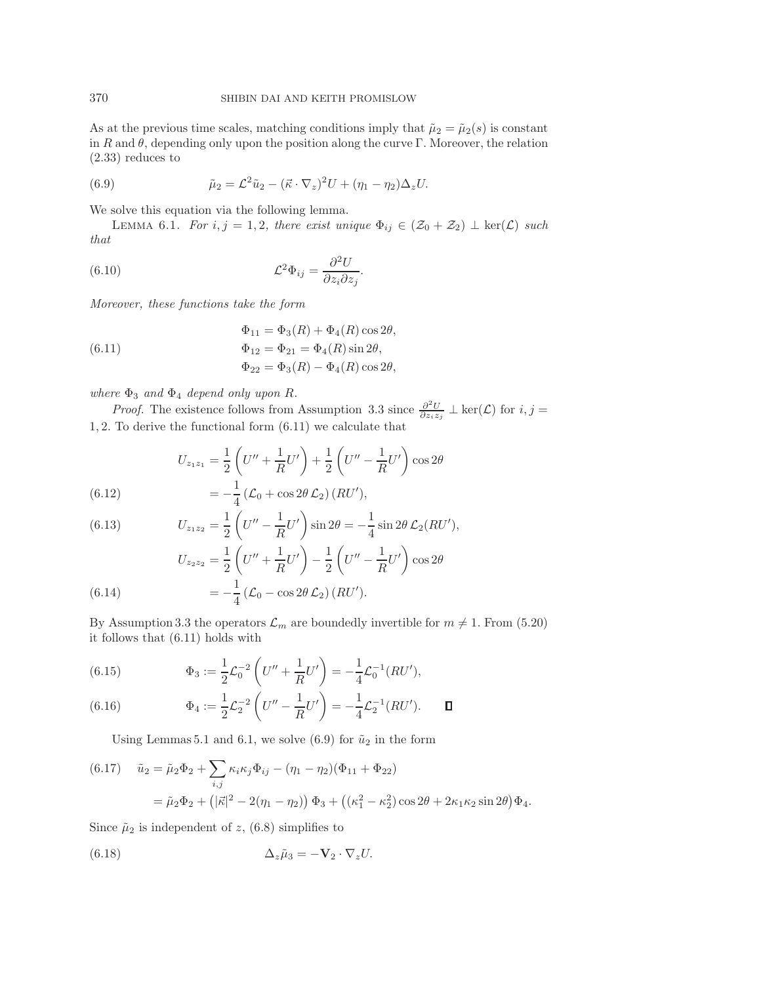As at the previous time scales, matching conditions imply that  $\tilde{\mu}_2 = \tilde{\mu}_2(s)$  is constant in R and  $\theta$ , depending only upon the position along the curve Γ. Moreover, the relation [\(2.33\)](#page-11-3) reduces to

<span id="page-23-2"></span>(6.9) 
$$
\tilde{\mu}_2 = \mathcal{L}^2 \tilde{u}_2 - (\vec{\kappa} \cdot \nabla_z)^2 U + (\eta_1 - \eta_2) \Delta_z U.
$$

<span id="page-23-1"></span>We solve this equation via the following lemma.

LEMMA 6.1. *For*  $i, j = 1, 2$ *, there exist unique*  $\Phi_{ij} \in (\mathcal{Z}_0 + \mathcal{Z}_2) \perp \ker(\mathcal{L})$  *such that*

(6.10) 
$$
\mathcal{L}^2 \Phi_{ij} = \frac{\partial^2 U}{\partial z_i \partial z_j}.
$$

*Moreover, these functions take the form*

<span id="page-23-0"></span>(6.11) 
$$
\Phi_{11} = \Phi_3(R) + \Phi_4(R) \cos 2\theta,
$$

$$
\Phi_{12} = \Phi_{21} = \Phi_4(R) \sin 2\theta,
$$

$$
\Phi_{22} = \Phi_3(R) - \Phi_4(R) \cos 2\theta,
$$

*where*  $\Phi_3$  *and*  $\Phi_4$  *depend only upon*  $R$ *.* 

*Proof.* The existence follows from Assumption [3.3](#page-14-1) since  $\frac{\partial^2 U}{\partial z_i z_j} \perp \ker(\mathcal{L})$  for  $i, j =$ 1, 2. To derive the functional form [\(6.11\)](#page-23-0) we calculate that

(6.12) 
$$
U_{z_1 z_1} = \frac{1}{2} \left( U'' + \frac{1}{R} U' \right) + \frac{1}{2} \left( U'' - \frac{1}{R} U' \right) \cos 2\theta
$$

$$
= -\frac{1}{4} \left( \mathcal{L}_0 + \cos 2\theta \mathcal{L}_2 \right) (RU'),
$$

<span id="page-23-3"></span>(6.13) 
$$
U_{z_1 z_2} = \frac{1}{2} \left( U'' - \frac{1}{R} U' \right) \sin 2\theta = -\frac{1}{4} \sin 2\theta \mathcal{L}_2(RU'),
$$

$$
U_{z_2 z_2} = \frac{1}{2} \left( U'' + \frac{1}{R} U' \right) - \frac{1}{2} \left( U'' - \frac{1}{R} U' \right) \cos 2\theta
$$

$$
= -\frac{1}{4} \left( \mathcal{L}_0 - \cos 2\theta \mathcal{L}_2 \right) (RU').
$$

<span id="page-23-4"></span>By Assumption [3.3](#page-14-1) the operators  $\mathcal{L}_m$  are boundedly invertible for  $m \neq 1$ . From [\(5.20\)](#page-20-0) it follows that [\(6.11\)](#page-23-0) holds with

(6.15) 
$$
\Phi_3 := \frac{1}{2} \mathcal{L}_0^{-2} \left( U'' + \frac{1}{R} U' \right) = -\frac{1}{4} \mathcal{L}_0^{-1} (RU'),
$$

(6.16) 
$$
\Phi_4 := \frac{1}{2} \mathcal{L}_2^{-2} \left( U'' - \frac{1}{R} U' \right) = -\frac{1}{4} \mathcal{L}_2^{-1} (RU'). \qquad \Box
$$

Using Lemmas [5.1](#page-18-5) and [6.1,](#page-23-1) we solve [\(6.9\)](#page-23-2) for  $\tilde{u}_2$  in the form

<span id="page-23-5"></span>(6.17) 
$$
\tilde{u}_2 = \tilde{\mu}_2 \Phi_2 + \sum_{i,j} \kappa_i \kappa_j \Phi_{ij} - (\eta_1 - \eta_2)(\Phi_{11} + \Phi_{22})
$$

$$
= \tilde{\mu}_2 \Phi_2 + (|\vec{\kappa}|^2 - 2(\eta_1 - \eta_2)) \Phi_3 + ((\kappa_1^2 - \kappa_2^2) \cos 2\theta + 2\kappa_1 \kappa_2 \sin 2\theta) \Phi_4.
$$

Since  $\tilde{\mu}_2$  is independent of z, [\(6.8\)](#page-22-3) simplifies to

(6.18) 
$$
\Delta_z \tilde{\mu}_3 = -\mathbf{V}_2 \cdot \nabla_z U.
$$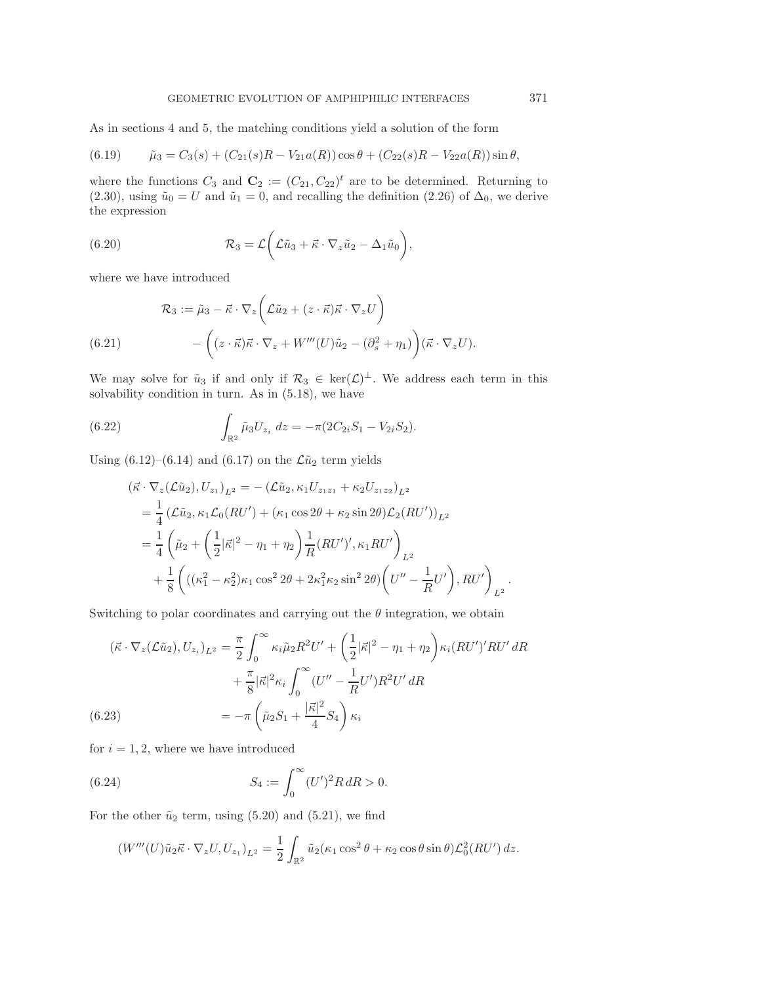As in sections [4](#page-14-2) and [5,](#page-17-1) the matching conditions yield a solution of the form

(6.19) 
$$
\tilde{\mu}_3 = C_3(s) + (C_{21}(s)R - V_{21}a(R))\cos\theta + (C_{22}(s)R - V_{22}a(R))\sin\theta,
$$

where the functions  $C_3$  and  $\mathbf{C}_2 := (C_{21}, C_{22})^t$  are to be determined. Returning to [\(2.30\)](#page-11-0), using  $\tilde{u}_0 = U$  and  $\tilde{u}_1 = 0$ , and recalling the definition [\(2.26\)](#page-10-4) of  $\Delta_0$ , we derive the expression

(6.20) 
$$
\mathcal{R}_3 = \mathcal{L}\bigg(\mathcal{L}\tilde{u}_3 + \vec{\kappa}\cdot\nabla_z\tilde{u}_2 - \Delta_1\tilde{u}_0\bigg),
$$

where we have introduced

(6.21) 
$$
\mathcal{R}_3 := \tilde{\mu}_3 - \vec{\kappa} \cdot \nabla_z \bigg( \mathcal{L} \tilde{u}_2 + (z \cdot \vec{\kappa}) \vec{\kappa} \cdot \nabla_z U \bigg) - \bigg( (z \cdot \vec{\kappa}) \vec{\kappa} \cdot \nabla_z + W'''(U) \tilde{u}_2 - (\partial_s^2 + \eta_1) \bigg) (\vec{\kappa} \cdot \nabla_z U).
$$

We may solve for  $\tilde{u}_3$  if and only if  $\mathcal{R}_3 \in \text{ker}(\mathcal{L})^{\perp}$ . We address each term in this solvability condition in turn. As in [\(5.18\)](#page-19-2), we have

<span id="page-24-1"></span>(6.22) 
$$
\int_{\mathbb{R}^2} \tilde{\mu}_3 U_{z_i} dz = -\pi (2C_{2i}S_1 - V_{2i}S_2).
$$

Using  $(6.12)$ – $(6.14)$  and  $(6.17)$  on the  $\mathcal{L}\tilde{u}_2$  term yields

$$
(\vec{\kappa} \cdot \nabla_z (\mathcal{L} \tilde{u}_2), U_{z_1})_{L^2} = -(\mathcal{L} \tilde{u}_2, \kappa_1 U_{z_1 z_1} + \kappa_2 U_{z_1 z_2})_{L^2}
$$
  
=  $\frac{1}{4} (\mathcal{L} \tilde{u}_2, \kappa_1 \mathcal{L}_0(RU') + (\kappa_1 \cos 2\theta + \kappa_2 \sin 2\theta) \mathcal{L}_2(RU'))_{L^2}$   
=  $\frac{1}{4} (\tilde{\mu}_2 + (\frac{1}{2}|\vec{\kappa}|^2 - \eta_1 + \eta_2) \frac{1}{R}(RU')', \kappa_1 RU')_{L^2}$   
+  $\frac{1}{8} ((\kappa_1^2 - \kappa_2^2)\kappa_1 \cos^2 2\theta + 2\kappa_1^2 \kappa_2 \sin^2 2\theta) (U'' - \frac{1}{R}U') , RU' )_{L^2}.$ 

Switching to polar coordinates and carrying out the  $\theta$  integration, we obtain

$$
(\vec{\kappa} \cdot \nabla_z (\mathcal{L} \tilde{u}_2), U_{z_i})_{L^2} = \frac{\pi}{2} \int_0^\infty \kappa_i \tilde{\mu}_2 R^2 U' + \left(\frac{1}{2} |\vec{\kappa}|^2 - \eta_1 + \eta_2\right) \kappa_i (RU')' RU' dR
$$

$$
+ \frac{\pi}{8} |\vec{\kappa}|^2 \kappa_i \int_0^\infty (U'' - \frac{1}{R} U') R^2 U' dR
$$

$$
= -\pi \left(\tilde{\mu}_2 S_1 + \frac{|\vec{\kappa}|^2}{4} S_4\right) \kappa_i
$$
(6.23)

<span id="page-24-2"></span>for  $i = 1, 2$ , where we have introduced

(6.24) 
$$
S_4 := \int_0^\infty (U')^2 R \, dR > 0.
$$

For the other  $\tilde{u}_2$  term, using [\(5.20\)](#page-20-0) and [\(5.21\)](#page-20-1), we find

<span id="page-24-0"></span>
$$
(W'''(U)\tilde{u}_2\vec{\kappa}\cdot\nabla_z U, U_{z_1})_{L^2} = \frac{1}{2}\int_{\mathbb{R}^2} \tilde{u}_2(\kappa_1\cos^2\theta + \kappa_2\cos\theta\sin\theta)\mathcal{L}_0^2(RU')\,dz.
$$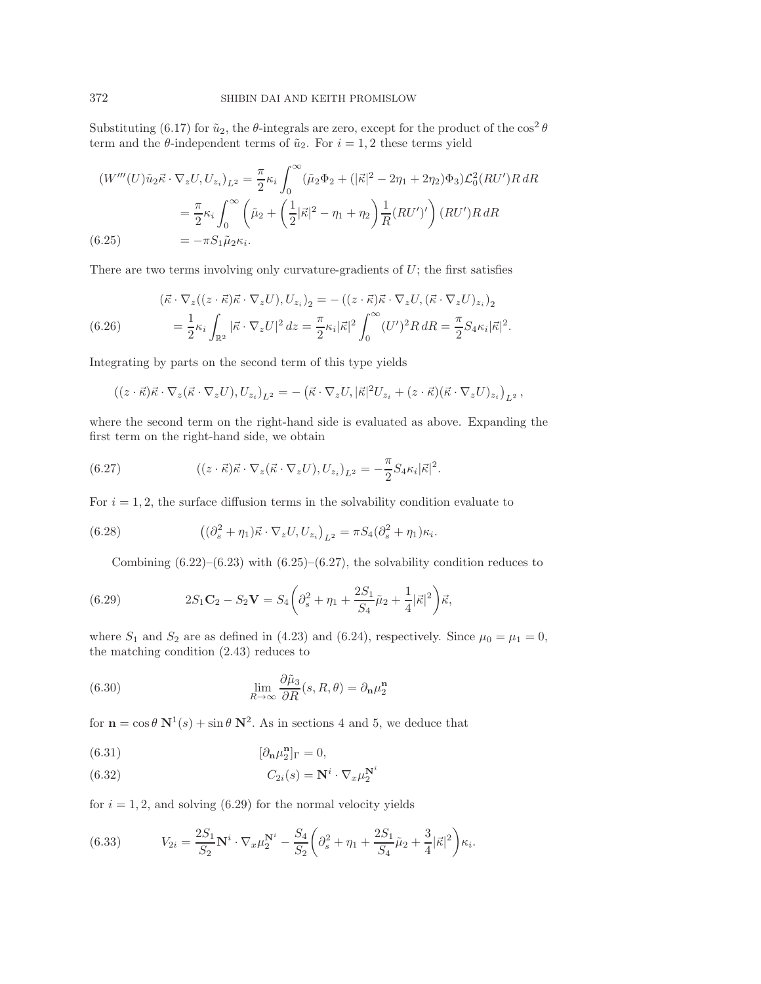Substituting [\(6.17\)](#page-23-5) for  $\tilde{u}_2$ , the  $\theta$ -integrals are zero, except for the product of the cos<sup>2</sup>  $\theta$ term and the  $\theta$ -independent terms of  $\tilde{u}_2$ . For  $i = 1, 2$  these terms yield

$$
(W'''(U)\tilde{u}_2\vec{\kappa}\cdot\nabla_z U, U_{z_i})_{L^2} = \frac{\pi}{2}\kappa_i \int_0^\infty (\tilde{\mu}_2\Phi_2 + (|\vec{\kappa}|^2 - 2\eta_1 + 2\eta_2)\Phi_3) \mathcal{L}_0^2(RU')R \,dR
$$
  

$$
= \frac{\pi}{2}\kappa_i \int_0^\infty \left(\tilde{\mu}_2 + \left(\frac{1}{2}|\vec{\kappa}|^2 - \eta_1 + \eta_2\right) \frac{1}{R}(RU')'\right) (RU')R \,dR
$$
  
(6.25) 
$$
= -\pi S_1 \tilde{\mu}_2 \kappa_i.
$$

<span id="page-25-0"></span>There are two terms involving only curvature-gradients of  $U$ ; the first satisfies

(6.26) 
$$
(\vec{\kappa} \cdot \nabla_z ((z \cdot \vec{\kappa}) \vec{\kappa} \cdot \nabla_z U), U_{z_i})_2 = -((z \cdot \vec{\kappa}) \vec{\kappa} \cdot \nabla_z U, (\vec{\kappa} \cdot \nabla_z U)_{z_i})_2
$$

$$
= \frac{1}{2} \kappa_i \int_{\mathbb{R}^2} |\vec{\kappa} \cdot \nabla_z U|^2 dz = \frac{\pi}{2} \kappa_i |\vec{\kappa}|^2 \int_0^\infty (U')^2 R dR = \frac{\pi}{2} S_4 \kappa_i |\vec{\kappa}|^2.
$$

Integrating by parts on the second term of this type yields

<span id="page-25-1"></span> $((z\cdot\vec{\kappa})\vec{\kappa}\cdot\nabla_z(\vec{\kappa}\cdot\nabla_z U), U_{z_i})_{L^2} = -(\vec{\kappa}\cdot\nabla_z U, |\vec{\kappa}|^2 U_{z_i} + (z\cdot\vec{\kappa})(\vec{\kappa}\cdot\nabla_z U)_{z_i}\big)_{L^2},$ 

where the second term on the right-hand side is evaluated as above. Expanding the first term on the right-hand side, we obtain

(6.27) 
$$
((z \cdot \vec{\kappa})\vec{\kappa} \cdot \nabla_z(\vec{\kappa} \cdot \nabla_z U), U_{z_i})_{L^2} = -\frac{\pi}{2} S_4 \kappa_i |\vec{\kappa}|^2.
$$

For  $i = 1, 2$ , the surface diffusion terms in the solvability condition evaluate to

(6.28) 
$$
\left( (\partial_s^2 + \eta_1)\vec{\kappa} \cdot \nabla_z U, U_{z_i} \right)_{L^2} = \pi S_4 (\partial_s^2 + \eta_1) \kappa_i.
$$

Combining  $(6.22)$ – $(6.23)$  with  $(6.25)$ – $(6.27)$ , the solvability condition reduces to

<span id="page-25-2"></span>(6.29) 
$$
2S_1\mathbf{C}_2 - S_2\mathbf{V} = S_4\left(\partial_s^2 + \eta_1 + \frac{2S_1}{S_4}\tilde{\mu}_2 + \frac{1}{4}|\vec{\kappa}|^2\right)\vec{\kappa},
$$

where  $S_1$  and  $S_2$  are as defined in [\(4.23\)](#page-16-0) and [\(6.24\)](#page-24-0), respectively. Since  $\mu_0 = \mu_1 = 0$ , the matching condition [\(2.43\)](#page-12-8) reduces to

(6.30) 
$$
\lim_{R \to \infty} \frac{\partial \tilde{\mu}_3}{\partial R}(s, R, \theta) = \partial_{\mathbf{n}} \mu_2^{\mathbf{n}}
$$

for  $\mathbf{n} = \cos \theta \, \mathbf{N}^1(s) + \sin \theta \, \mathbf{N}^2$ . As in sections [4](#page-14-2) and [5,](#page-17-1) we deduce that

(6.31) 
$$
[\partial_{\mathbf{n}}\mu_2^{\mathbf{n}}]_{\Gamma}=0,
$$

(6.32) 
$$
C_{2i}(s) = \mathbf{N}^i \cdot \nabla_x \mu_2^{\mathbf{N}^i}
$$

for  $i = 1, 2$ , and solving [\(6.29\)](#page-25-2) for the normal velocity yields

(6.33) 
$$
V_{2i} = \frac{2S_1}{S_2} \mathbf{N}^i \cdot \nabla_x \mu_2^{\mathbf{N}^i} - \frac{S_4}{S_2} \left( \partial_s^2 + \eta_1 + \frac{2S_1}{S_4} \tilde{\mu}_2 + \frac{3}{4} |\vec{\kappa}|^2 \right) \kappa_i.
$$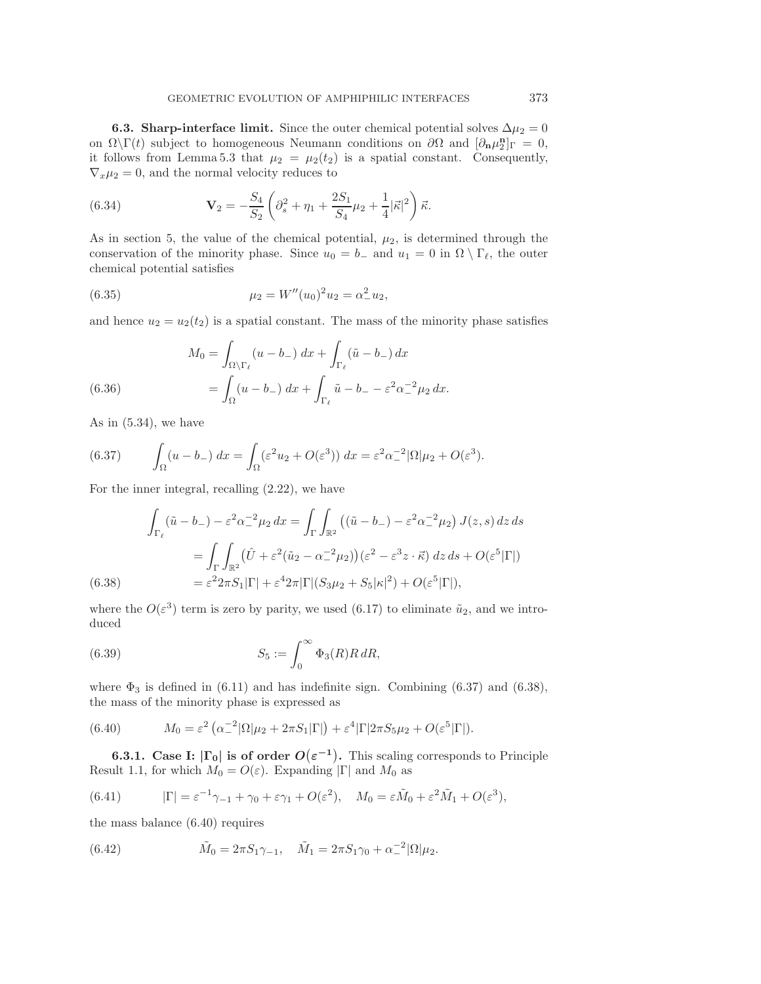**6.3. Sharp-interface limit.** Since the outer chemical potential solves  $\Delta \mu_2 = 0$ on  $\Omega \backslash \Gamma(t)$  subject to homogeneous Neumann conditions on  $\partial \Omega$  and  $[\partial_{\bf n} \mu_{2}^{\bf n}]_{\Gamma} = 0$ , it follows from Lemma [5.3](#page-20-6) that  $\mu_2 = \mu_2(t_2)$  is a spatial constant. Consequently,  $\nabla_x \mu_2 = 0$ , and the normal velocity reduces to

<span id="page-26-0"></span>(6.34) 
$$
\mathbf{V}_2 = -\frac{S_4}{S_2} \left( \partial_s^2 + \eta_1 + \frac{2S_1}{S_4} \mu_2 + \frac{1}{4} |\vec{\kappa}|^2 \right) \vec{\kappa}.
$$

As in section [5,](#page-17-1) the value of the chemical potential,  $\mu_2$ , is determined through the conservation of the minority phase. Since  $u_0 = b_-\text{ and } u_1 = 0$  in  $\Omega \setminus \Gamma_\ell$ , the outer chemical potential satisfies

(6.35) 
$$
\mu_2 = W''(u_0)^2 u_2 = \alpha_-^2 u_2,
$$

and hence  $u_2 = u_2(t_2)$  is a spatial constant. The mass of the minority phase satisfies

(6.36) 
$$
M_0 = \int_{\Omega \setminus \Gamma_\ell} (u - b_-) \, dx + \int_{\Gamma_\ell} (\tilde{u} - b_-) \, dx = \int_{\Omega} (u - b_-) \, dx + \int_{\Gamma_\ell} \tilde{u} - b_- - \varepsilon^2 \alpha_-^{-2} \mu_2 \, dx.
$$

<span id="page-26-1"></span>As in [\(5.34\)](#page-21-2), we have

(6.37) 
$$
\int_{\Omega} (u - b_{-}) dx = \int_{\Omega} (\varepsilon^{2} u_{2} + O(\varepsilon^{3})) dx = \varepsilon^{2} \alpha^{-2} |\Omega| \mu_{2} + O(\varepsilon^{3}).
$$

For the inner integral, recalling [\(2.22\)](#page-10-1), we have

$$
\int_{\Gamma_{\ell}} (\tilde{u} - b_{-}) - \varepsilon^{2} \alpha_{-}^{-2} \mu_{2} dx = \int_{\Gamma} \int_{\mathbb{R}^{2}} ((\tilde{u} - b_{-}) - \varepsilon^{2} \alpha_{-}^{-2} \mu_{2}) J(z, s) dz ds
$$

$$
= \int_{\Gamma} \int_{\mathbb{R}^{2}} (\hat{U} + \varepsilon^{2} (\tilde{u}_{2} - \alpha_{-}^{-2} \mu_{2})) (\varepsilon^{2} - \varepsilon^{3} z \cdot \vec{\kappa}) dz ds + O(\varepsilon^{5} |\Gamma|)
$$

$$
= \varepsilon^{2} 2\pi S_{1} |\Gamma| + \varepsilon^{4} 2\pi |\Gamma| (S_{3} \mu_{2} + S_{5} |\kappa|^{2}) + O(\varepsilon^{5} |\Gamma|),
$$

<span id="page-26-2"></span>where the  $O(\varepsilon^3)$  term is zero by parity, we used [\(6.17\)](#page-23-5) to eliminate  $\tilde{u}_2$ , and we introduced

(6.39) 
$$
S_5 := \int_0^\infty \Phi_3(R) R \, dR,
$$

where  $\Phi_3$  is defined in [\(6.11\)](#page-23-0) and has indefinite sign. Combining [\(6.37\)](#page-26-1) and [\(6.38\)](#page-26-2), the mass of the minority phase is expressed as

<span id="page-26-3"></span>(6.40) 
$$
M_0 = \varepsilon^2 \left( \alpha_-^{-2} |\Omega| \mu_2 + 2\pi S_1 |\Gamma| \right) + \varepsilon^4 |\Gamma| 2\pi S_5 \mu_2 + O(\varepsilon^5 |\Gamma|).
$$

**6.3.1.** Case I:  $|\Gamma_0|$  is of order  $O(\varepsilon^{-1})$ . This scaling corresponds to Principle Result [1.1,](#page-6-1) for which  $M_0 = O(\varepsilon)$ . Expanding  $|\Gamma|$  and  $M_0$  as

(6.41) 
$$
|\Gamma| = \varepsilon^{-1}\gamma_{-1} + \gamma_0 + \varepsilon\gamma_1 + O(\varepsilon^2), \quad M_0 = \varepsilon \tilde{M}_0 + \varepsilon^2 \tilde{M}_1 + O(\varepsilon^3),
$$

the mass balance [\(6.40\)](#page-26-3) requires

(6.42) 
$$
\tilde{M}_0 = 2\pi S_1 \gamma_{-1}, \quad \tilde{M}_1 = 2\pi S_1 \gamma_0 + \alpha_-^{-2} |\Omega| \mu_2.
$$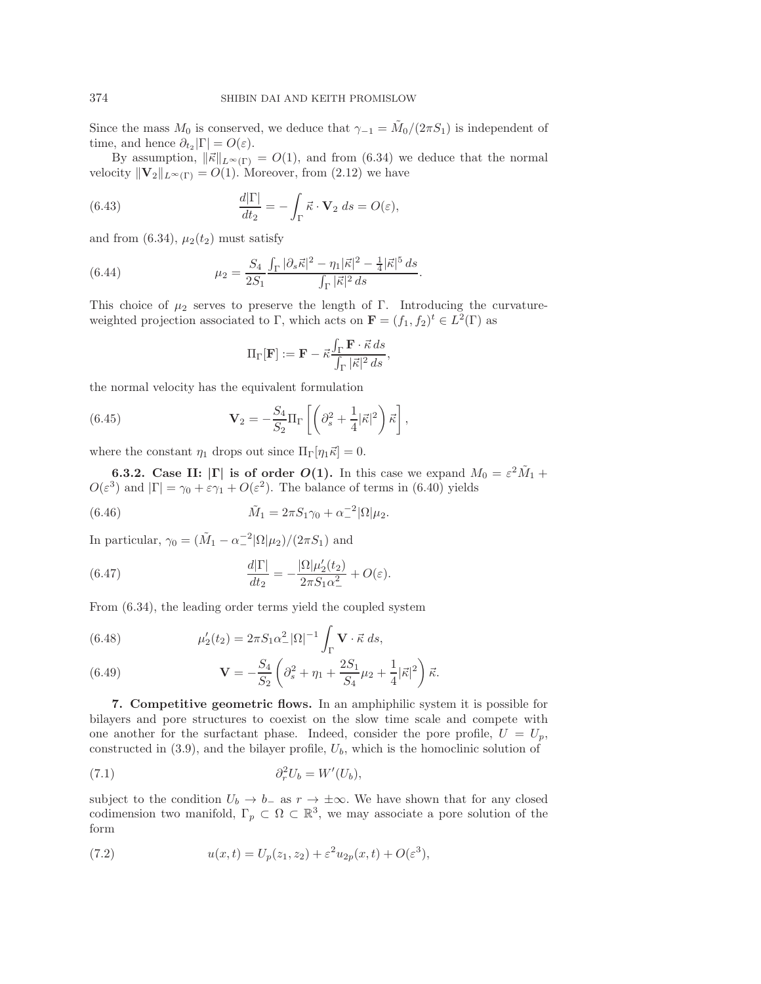Since the mass  $M_0$  is conserved, we deduce that  $\gamma_{-1} = \tilde{M}_0/(2\pi S_1)$  is independent of time, and hence  $\partial_{t_2}|\Gamma| = O(\varepsilon)$ .

By assumption,  $\|\vec{\kappa}\|_{L^{\infty}(\Gamma)} = O(1)$ , and from [\(6.34\)](#page-26-0) we deduce that the normal velocity  $\|\mathbf{V}_2\|_{L^{\infty}(\Gamma)} = O(1)$ . Moreover, from [\(2.12\)](#page-8-6) we have

(6.43) 
$$
\frac{d|\Gamma|}{dt_2} = -\int_{\Gamma} \vec{\kappa} \cdot \mathbf{V}_2 \, ds = O(\varepsilon),
$$

and from [\(6.34\)](#page-26-0),  $\mu_2(t_2)$  must satisfy

<span id="page-27-1"></span>(6.44) 
$$
\mu_2 = \frac{S_4}{2S_1} \frac{\int_{\Gamma} |\partial_s \vec{\kappa}|^2 - \eta_1 |\vec{\kappa}|^2 - \frac{1}{4} |\vec{\kappa}|^5 ds}{\int_{\Gamma} |\vec{\kappa}|^2 ds}.
$$

This choice of  $\mu_2$  serves to preserve the length of Γ. Introducing the curvatureweighted projection associated to  $\Gamma$ , which acts on **F** =  $(f_1, f_2)^t \in L^2(\Gamma)$  as

$$
\Pi_{\Gamma}[\mathbf{F}] := \mathbf{F} - \vec{\kappa} \frac{\int_{\Gamma} \mathbf{F} \cdot \vec{\kappa} \, ds}{\int_{\Gamma} |\vec{\kappa}|^2 \, ds},
$$

the normal velocity has the equivalent formulation

(6.45) 
$$
\mathbf{V}_2 = -\frac{S_4}{S_2} \Pi_{\Gamma} \left[ \left( \partial_s^2 + \frac{1}{4} |\vec{\kappa}|^2 \right) \vec{\kappa} \right],
$$

where the constant  $\eta_1$  drops out since  $\Pi_{\Gamma}[\eta_1 \vec{\kappa}]=0$ .

**6.3.2.** Case II:  $|\Gamma|$  is of order  $O(1)$ . In this case we expand  $M_0 = \varepsilon^2 \tilde{M}_1 +$  $O(\varepsilon^3)$  and  $|\Gamma| = \gamma_0 + \varepsilon \gamma_1 + O(\varepsilon^2)$ . The balance of terms in [\(6.40\)](#page-26-3) yields

(6.46) 
$$
\tilde{M}_1 = 2\pi S_1 \gamma_0 + \alpha_-^{-2} |\Omega| \mu_2.
$$

In particular,  $\gamma_0 = (\tilde{M}_1 - \alpha_-^{-2} | \Omega | \mu_2) / (2 \pi S_1)$  and

(6.47) 
$$
\frac{d|\Gamma|}{dt_2} = -\frac{|\Omega|\mu'_2(t_2)}{2\pi S_1 \alpha_-^2} + O(\varepsilon).
$$

From [\(6.34\)](#page-26-0), the leading order terms yield the coupled system

(6.48) 
$$
\mu_2'(t_2) = 2\pi S_1 \alpha_-^2 |\Omega|^{-1} \int_{\Gamma} \mathbf{V} \cdot \vec{\kappa} \, ds,
$$

(6.49) 
$$
\mathbf{V} = -\frac{S_4}{S_2} \left( \partial_s^2 + \eta_1 + \frac{2S_1}{S_4} \mu_2 + \frac{1}{4} |\vec{\kappa}|^2 \right) \vec{\kappa}.
$$

<span id="page-27-0"></span>**7. Competitive geometric flows.** In an amphiphilic system it is possible for bilayers and pore structures to coexist on the slow time scale and compete with one another for the surfactant phase. Indeed, consider the pore profile,  $U = U_p$ , constructed in  $(3.9)$ , and the bilayer profile,  $U_b$ , which is the homoclinic solution of

<span id="page-27-2"></span>
$$
(7.1) \t\t \t\t \partial_r^2 U_b = W'(U_b),
$$

subject to the condition  $U_b \to b_-$  as  $r \to \pm \infty$ . We have shown that for any closed codimension two manifold,  $\Gamma_p \subset \Omega \subset \mathbb{R}^3$ , we may associate a pore solution of the form

(7.2) 
$$
u(x,t) = U_p(z_1, z_2) + \varepsilon^2 u_{2p}(x,t) + O(\varepsilon^3),
$$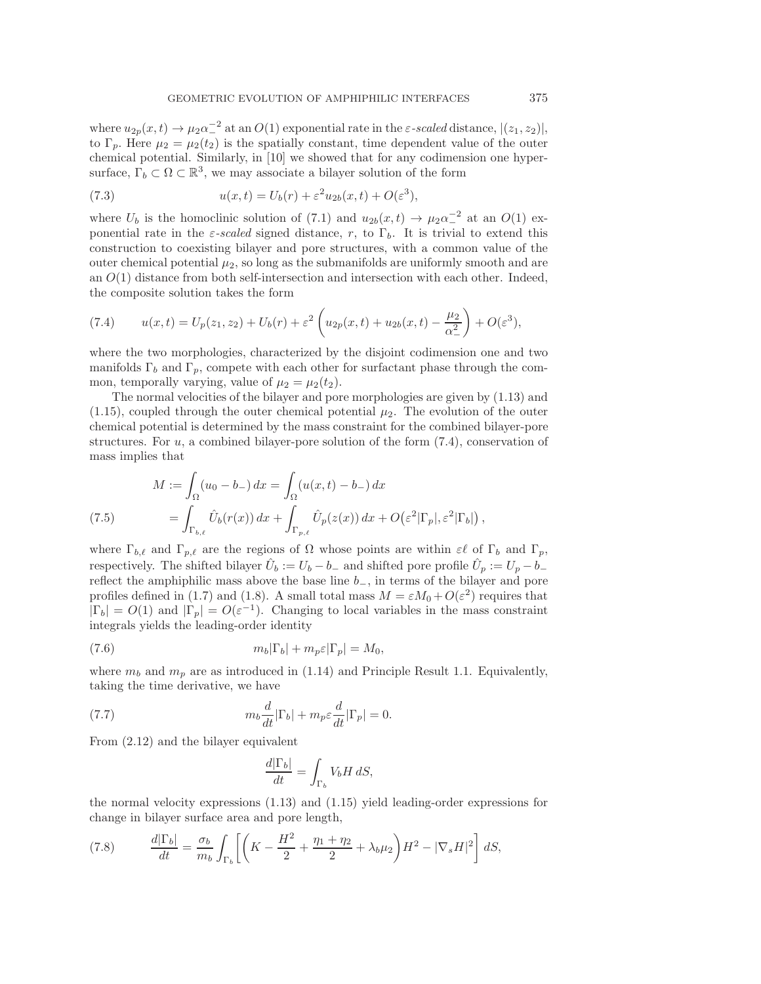where  $u_{2p}(x,t) \to \mu_2 \alpha_-^{-2}$  at an  $O(1)$  exponential rate in the  $\varepsilon$ -scaled distance,  $|(z_1, z_2)|$ , to  $\Gamma_p$ . Here  $\mu_2 = \mu_2(t_2)$  is the spatially constant, time dependent value of the outer chemical potential. Similarly, in [\[10\]](#page-32-16) we showed that for any codimension one hypersurface,  $\Gamma_b \subset \Omega \subset \mathbb{R}^3$ , we may associate a bilayer solution of the form

(7.3) 
$$
u(x,t) = U_b(r) + \varepsilon^2 u_{2b}(x,t) + O(\varepsilon^3),
$$

where  $U_b$  is the homoclinic solution of [\(7.1\)](#page-27-2) and  $u_{2b}(x,t) \to \mu_2 \alpha_2^{-2}$  at an  $O(1)$  exponential rate in the  $\varepsilon$ -scaled signed distance, r, to  $\Gamma_b$ . It is trivial to extend this construction to coexisting bilayer and pore structures, with a common value of the outer chemical potential  $\mu_2$ , so long as the submanifolds are uniformly smooth and are an  $O(1)$  distance from both self-intersection and intersection with each other. Indeed, the composite solution takes the form

<span id="page-28-1"></span>(7.4) 
$$
u(x,t) = U_p(z_1, z_2) + U_b(r) + \varepsilon^2 \left( u_{2p}(x,t) + u_{2b}(x,t) - \frac{\mu_2}{\alpha_-^2} \right) + O(\varepsilon^3),
$$

where the two morphologies, characterized by the disjoint codimension one and two manifolds  $\Gamma_b$  and  $\Gamma_p$ , compete with each other for surfactant phase through the common, temporally varying, value of  $\mu_2 = \mu_2(t_2)$ .

The normal velocities of the bilayer and pore morphologies are given by [\(1.13\)](#page-5-0) and  $(1.15)$ , coupled through the outer chemical potential  $\mu_2$ . The evolution of the outer chemical potential is determined by the mass constraint for the combined bilayer-pore structures. For  $u$ , a combined bilayer-pore solution of the form  $(7.4)$ , conservation of mass implies that

(7.5) 
$$
M := \int_{\Omega} (u_0 - b_-) dx = \int_{\Omega} (u(x, t) - b_-) dx
$$

$$
= \int_{\Gamma_{b,\ell}} \hat{U}_b(r(x)) dx + \int_{\Gamma_{p,\ell}} \hat{U}_p(z(x)) dx + O(\varepsilon^2 |\Gamma_p|, \varepsilon^2 |\Gamma_b|),
$$

where  $\Gamma_{b,\ell}$  and  $\Gamma_{p,\ell}$  are the regions of  $\Omega$  whose points are within  $\varepsilon\ell$  of  $\Gamma_b$  and  $\Gamma_p$ , respectively. The shifted bilayer  $\hat{U}_b := U_b - b_-$  and shifted pore profile  $\hat{U}_p := U_p - b_$ reflect the amphiphilic mass above the base line b−, in terms of the bilayer and pore profiles defined in [\(1.7\)](#page-2-3) and [\(1.8\)](#page-2-4). A small total mass  $M = \varepsilon M_0 + O(\varepsilon^2)$  requires that  $|\Gamma_b| = O(1)$  and  $|\Gamma_p| = O(\varepsilon^{-1})$ . Changing to local variables in the mass constraint integrals yields the leading-order identity

(7.6) 
$$
m_b|\Gamma_b| + m_p \varepsilon |\Gamma_p| = M_0,
$$

where  $m_b$  and  $m_p$  are as introduced in [\(1.14\)](#page-5-2) and Principle Result [1.1.](#page-6-1) Equivalently, taking the time derivative, we have

(7.7) 
$$
m_b \frac{d}{dt} |\Gamma_b| + m_p \varepsilon \frac{d}{dt} |\Gamma_p| = 0.
$$

From [\(2.12\)](#page-8-6) and the bilayer equivalent

<span id="page-28-0"></span>
$$
\frac{d|\Gamma_b|}{dt} = \int_{\Gamma_b} V_b H \, dS,
$$

the normal velocity expressions [\(1.13\)](#page-5-0) and [\(1.15\)](#page-6-2) yield leading-order expressions for change in bilayer surface area and pore length,

<span id="page-28-2"></span>(7.8) 
$$
\frac{d|\Gamma_b|}{dt} = \frac{\sigma_b}{m_b} \int_{\Gamma_b} \left[ \left( K - \frac{H^2}{2} + \frac{\eta_1 + \eta_2}{2} + \lambda_b \mu_2 \right) H^2 - |\nabla_s H|^2 \right] dS,
$$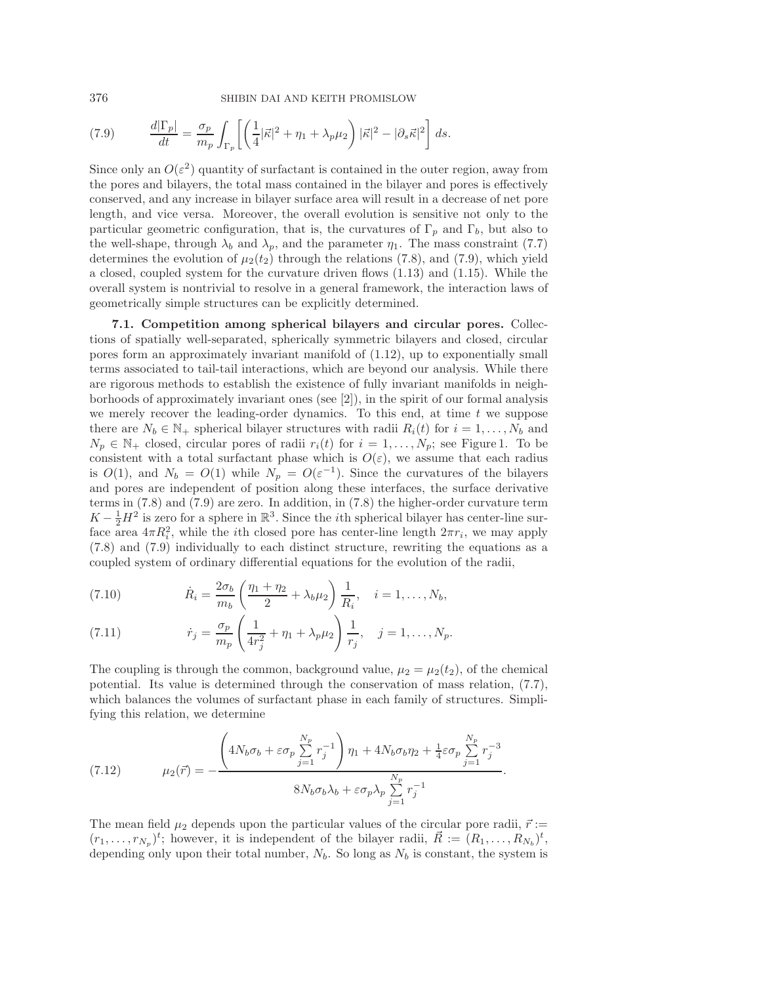376 SHIBIN DAI AND KEITH PROMISLOW

<span id="page-29-3"></span>(7.9) 
$$
\frac{d|\Gamma_p|}{dt} = \frac{\sigma_p}{m_p} \int_{\Gamma_p} \left[ \left( \frac{1}{4} |\vec{\kappa}|^2 + \eta_1 + \lambda_p \mu_2 \right) |\vec{\kappa}|^2 - |\partial_s \vec{\kappa}|^2 \right] ds.
$$

Since only an  $O(\varepsilon^2)$  quantity of surfactant is contained in the outer region, away from the pores and bilayers, the total mass contained in the bilayer and pores is effectively conserved, and any increase in bilayer surface area will result in a decrease of net pore length, and vice versa. Moreover, the overall evolution is sensitive not only to the particular geometric configuration, that is, the curvatures of  $\Gamma_p$  and  $\Gamma_b$ , but also to the well-shape, through  $\lambda_b$  and  $\lambda_p$ , and the parameter  $\eta_1$ . The mass constraint [\(7.7\)](#page-28-0) determines the evolution of  $\mu_2(t_2)$  through the relations [\(7.8\)](#page-28-2), and [\(7.9\)](#page-29-3), which yield a closed, coupled system for the curvature driven flows [\(1.13\)](#page-5-0) and [\(1.15\)](#page-6-2). While the overall system is nontrivial to resolve in a general framework, the interaction laws of geometrically simple structures can be explicitly determined.

**7.1. Competition among spherical bilayers and circular pores.** Collections of spatially well-separated, spherically symmetric bilayers and closed, circular pores form an approximately invariant manifold of [\(1.12\)](#page-4-0), up to exponentially small terms associated to tail-tail interactions, which are beyond our analysis. While there are rigorous methods to establish the existence of fully invariant manifolds in neighborhoods of approximately invariant ones (see  $[2]$ ), in the spirit of our formal analysis we merely recover the leading-order dynamics. To this end, at time  $t$  we suppose there are  $N_b \in \mathbb{N}_+$  spherical bilayer structures with radii  $R_i(t)$  for  $i = 1, \ldots, N_b$  and  $N_p \in \mathbb{N}_+$  closed, circular pores of radii  $r_i(t)$  for  $i = 1, \ldots, N_p$ ; see Figure [1.](#page-6-0) To be consistent with a total surfactant phase which is  $O(\varepsilon)$ , we assume that each radius is  $O(1)$ , and  $N_b = O(1)$  while  $N_p = O(\varepsilon^{-1})$ . Since the curvatures of the bilayers and pores are independent of position along these interfaces, the surface derivative terms in [\(7.8\)](#page-28-2) and [\(7.9\)](#page-29-3) are zero. In addition, in [\(7.8\)](#page-28-2) the higher-order curvature term  $K - \frac{1}{2}H^2$  is zero for a sphere in  $\mathbb{R}^3$ . Since the *i*th spherical bilayer has center-line surface area  $4\pi R_i^2$ , while the *i*th closed pore has center-line length  $2\pi r_i$ , we may apply [\(7.8\)](#page-28-2) and [\(7.9\)](#page-29-3) individually to each distinct structure, rewriting the equations as a coupled system of ordinary differential equations for the evolution of the radii,

<span id="page-29-0"></span>(7.10) 
$$
\dot{R}_i = \frac{2\sigma_b}{m_b} \left( \frac{\eta_1 + \eta_2}{2} + \lambda_b \mu_2 \right) \frac{1}{R_i}, \quad i = 1, ..., N_b,
$$

<span id="page-29-1"></span>(7.11) 
$$
\dot{r}_j = \frac{\sigma_p}{m_p} \left( \frac{1}{4r_j^2} + \eta_1 + \lambda_p \mu_2 \right) \frac{1}{r_j}, \quad j = 1, ..., N_p.
$$

The coupling is through the common, background value,  $\mu_2 = \mu_2(t_2)$ , of the chemical potential. Its value is determined through the conservation of mass relation, [\(7.7\)](#page-28-0), which balances the volumes of surfactant phase in each family of structures. Simplifying this relation, we determine

<span id="page-29-2"></span>(7.12) 
$$
\mu_2(\vec{r}) = -\frac{\left(4N_b\sigma_b + \varepsilon\sigma_p\sum_{j=1}^{N_p}r_j^{-1}\right)\eta_1 + 4N_b\sigma_b\eta_2 + \frac{1}{4}\varepsilon\sigma_p\sum_{j=1}^{N_p}r_j^{-3}}{8N_b\sigma_b\lambda_b + \varepsilon\sigma_p\lambda_p\sum_{j=1}^{N_p}r_j^{-1}}.
$$

The mean field  $\mu_2$  depends upon the particular values of the circular pore radii,  $\vec{r}$  :=  $(r_1,\ldots,r_{N_p})^t$ ; however, it is independent of the bilayer radii,  $\vec{R} := (R_1,\ldots,R_{N_b})^t$ , depending only upon their total number,  $N_b$ . So long as  $N_b$  is constant, the system is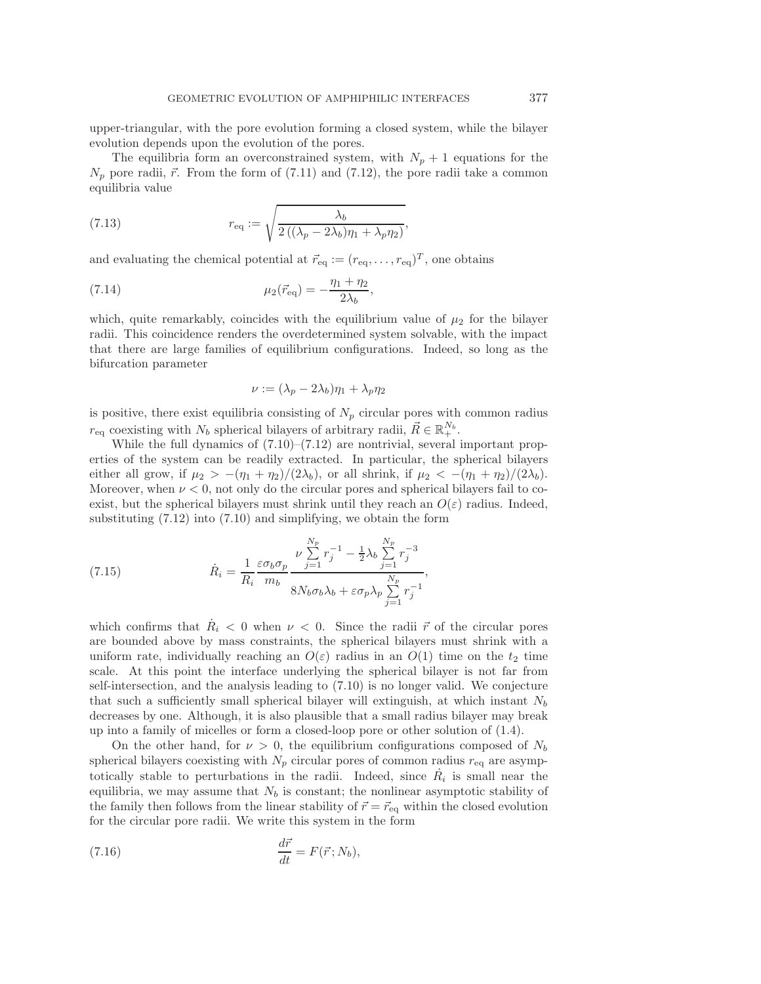upper-triangular, with the pore evolution forming a closed system, while the bilayer evolution depends upon the evolution of the pores.

The equilibria form an overconstrained system, with  $N_p + 1$  equations for the  $N_p$  pore radii,  $\vec{r}$ . From the form of [\(7.11\)](#page-29-1) and [\(7.12\)](#page-29-2), the pore radii take a common equilibria value

(7.13) 
$$
r_{\text{eq}} := \sqrt{\frac{\lambda_b}{2\left((\lambda_p - 2\lambda_b)\eta_1 + \lambda_p \eta_2\right)}},
$$

and evaluating the chemical potential at  $\vec{r}_{eq} := (r_{eq}, \ldots, r_{eq})^T$ , one obtains

(7.14) 
$$
\mu_2(\vec{r}_{\text{eq}}) = -\frac{\eta_1 + \eta_2}{2\lambda_b},
$$

which, quite remarkably, coincides with the equilibrium value of  $\mu_2$  for the bilayer radii. This coincidence renders the overdetermined system solvable, with the impact that there are large families of equilibrium configurations. Indeed, so long as the bifurcation parameter

<span id="page-30-0"></span>
$$
\nu := (\lambda_p - 2\lambda_b)\eta_1 + \lambda_p \eta_2
$$

is positive, there exist equilibria consisting of  $N_p$  circular pores with common radius  $r_{\text{eq}}$  coexisting with  $N_b$  spherical bilayers of arbitrary radii,  $\vec{R} \in \mathbb{R}_+^{N_b}$ .

While the full dynamics of  $(7.10)$ – $(7.12)$  are nontrivial, several important properties of the system can be readily extracted. In particular, the spherical bilayers either all grow, if  $\mu_2 > -(\eta_1 + \eta_2)/(2\lambda_b)$ , or all shrink, if  $\mu_2 < -(\eta_1 + \eta_2)/(2\lambda_b)$ . Moreover, when  $\nu < 0$ , not only do the circular pores and spherical bilayers fail to coexist, but the spherical bilayers must shrink until they reach an  $O(\varepsilon)$  radius. Indeed, substituting [\(7.12\)](#page-29-2) into [\(7.10\)](#page-29-0) and simplifying, we obtain the form

(7.15) 
$$
\dot{R}_i = \frac{1}{R_i} \frac{\varepsilon \sigma_b \sigma_p}{m_b} \frac{\nu \sum_{j=1}^{N_p} r_j^{-1} - \frac{1}{2} \lambda_b \sum_{j=1}^{N_p} r_j^{-3}}{8N_b \sigma_b \lambda_b + \varepsilon \sigma_p \lambda_p \sum_{j=1}^{N_p} r_j^{-1}},
$$

which confirms that  $R_i < 0$  when  $\nu < 0$ . Since the radii  $\vec{r}$  of the circular pores are bounded above by mass constraints, the spherical bilayers must shrink with a uniform rate, individually reaching an  $O(\varepsilon)$  radius in an  $O(1)$  time on the  $t_2$  time scale. At this point the interface underlying the spherical bilayer is not far from self-intersection, and the analysis leading to [\(7.10\)](#page-29-0) is no longer valid. We conjecture that such a sufficiently small spherical bilayer will extinguish, at which instant  $N_b$ decreases by one. Although, it is also plausible that a small radius bilayer may break up into a family of micelles or form a closed-loop pore or other solution of [\(1.4\)](#page-2-1).

On the other hand, for  $\nu > 0$ , the equilibrium configurations composed of  $N_b$ spherical bilayers coexisting with  $N_p$  circular pores of common radius  $r_{\text{eq}}$  are asymptotically stable to perturbations in the radii. Indeed, since  $\dot{R}_i$  is small near the equilibria, we may assume that  $N_b$  is constant; the nonlinear asymptotic stability of the family then follows from the linear stability of  $\vec{r} = \vec{r}_{eq}$  within the closed evolution for the circular pore radii. We write this system in the form

(7.16) 
$$
\frac{d\vec{r}}{dt} = F(\vec{r}; N_b),
$$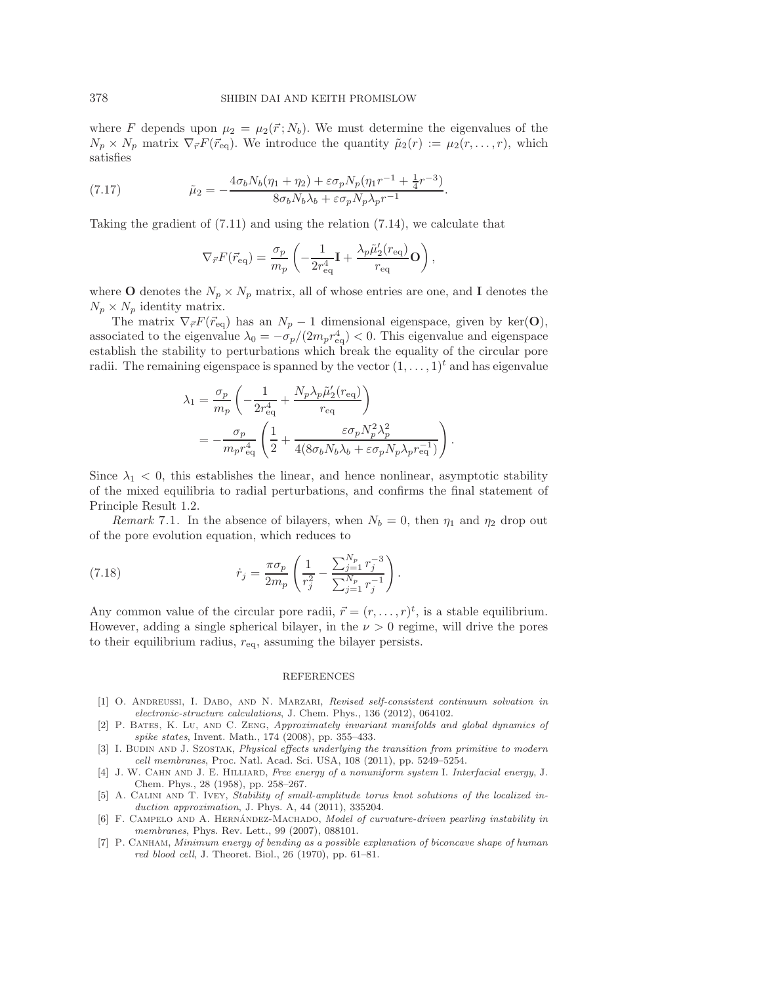where F depends upon  $\mu_2 = \mu_2(\vec{r}; N_b)$ . We must determine the eigenvalues of the  $N_p \times N_p$  matrix  $\nabla_{\vec{r}} F(\vec{r}_{eq})$ . We introduce the quantity  $\tilde{\mu}_2(r) := \mu_2(r,\ldots,r)$ , which satisfies

(7.17) 
$$
\tilde{\mu}_2 = -\frac{4\sigma_b N_b (\eta_1 + \eta_2) + \varepsilon \sigma_p N_p (\eta_1 r^{-1} + \frac{1}{4}r^{-3})}{8\sigma_b N_b \lambda_b + \varepsilon \sigma_p N_p \lambda_p r^{-1}}.
$$

Taking the gradient of [\(7.11\)](#page-29-1) and using the relation [\(7.14\)](#page-30-0), we calculate that

$$
\nabla_{\vec{r}} F(\vec{r}_{\text{eq}}) = \frac{\sigma_p}{m_p} \left( -\frac{1}{2r_{\text{eq}}^4} \mathbf{I} + \frac{\lambda_p \tilde{\mu}_2'(r_{\text{eq}})}{r_{\text{eq}}} \mathbf{O} \right),
$$

where **O** denotes the  $N_p \times N_p$  matrix, all of whose entries are one, and **I** denotes the  $N_p \times N_p$  identity matrix.

The matrix  $\nabla_{\vec{r}}F(\vec{r}_{eq})$  has an  $N_p - 1$  dimensional eigenspace, given by ker(**O**), associated to the eigenvalue  $\lambda_0 = -\sigma_p/(2m_p r_{\text{eq}}^4) < 0$ . This eigenvalue and eigenspace establish the stability to perturbations which break the equality of the circular pore radii. The remaining eigenspace is spanned by the vector  $(1,\ldots,1)^t$  and has eigenvalue

$$
\lambda_1 = \frac{\sigma_p}{m_p} \left( -\frac{1}{2r_{\text{eq}}^4} + \frac{N_p \lambda_p \tilde{\mu}_2'(r_{\text{eq}})}{r_{\text{eq}}} \right)
$$
  
= 
$$
-\frac{\sigma_p}{m_p r_{\text{eq}}^4} \left( \frac{1}{2} + \frac{\varepsilon \sigma_p N_p^2 \lambda_p^2}{4(8\sigma_b N_b \lambda_b + \varepsilon \sigma_p N_p \lambda_p r_{\text{eq}}^{-1})} \right).
$$

Since  $\lambda_1$  < 0, this establishes the linear, and hence nonlinear, asymptotic stability of the mixed equilibria to radial perturbations, and confirms the final statement of Principle Result [1.2.](#page-6-4)

*Remark* 7.1. In the absence of bilayers, when  $N_b = 0$ , then  $\eta_1$  and  $\eta_2$  drop out of the pore evolution equation, which reduces to

(7.18) 
$$
\dot{r}_j = \frac{\pi \sigma_p}{2m_p} \left( \frac{1}{r_j^2} - \frac{\sum_{j=1}^{N_p} r_j^{-3}}{\sum_{j=1}^{N_p} r_j^{-1}} \right).
$$

Any common value of the circular pore radii,  $\vec{r} = (r, \ldots, r)^t$ , is a stable equilibrium. However, adding a single spherical bilayer, in the  $\nu > 0$  regime, will drive the pores to their equilibrium radius,  $r_{eq}$ , assuming the bilayer persists.

## REFERENCES

- <span id="page-31-2"></span>[1] O. Andreussi, I. Dabo, and N. Marzari, Revised self-consistent continuum solvation in electronic-structure calculations, J. Chem. Phys., 136 (2012), 064102.
- <span id="page-31-4"></span>[2] P. Bates, K. Lu, and C. Zeng, Approximately invariant manifolds and global dynamics of spike states, Invent. Math., 174 (2008), pp. 355–433.
- <span id="page-31-0"></span>[3] I. BUDIN AND J. SZOSTAK, Physical effects underlying the transition from primitive to modern cell membranes, Proc. Natl. Acad. Sci. USA, 108 (2011), pp. 5249–5254.
- <span id="page-31-1"></span>[4] J. W. Cahn and J. E. Hilliard, Free energy of a nonuniform system I. Interfacial energy, J. Chem. Phys., 28 (1958), pp. 258–267.
- <span id="page-31-3"></span>[5] A. Calini and T. Ivey, Stability of small-amplitude torus knot solutions of the localized induction approximation, J. Phys. A, 44 (2011), 335204.
- [6] F. CAMPELO AND A. HERNÁNDEZ-MACHADO, Model of curvature-driven pearling instability in membranes, Phys. Rev. Lett., 99 (2007), 088101.
- [7] P. Canham, Minimum energy of bending as a possible explanation of biconcave shape of human red blood cell, J. Theoret. Biol., 26 (1970), pp. 61–81.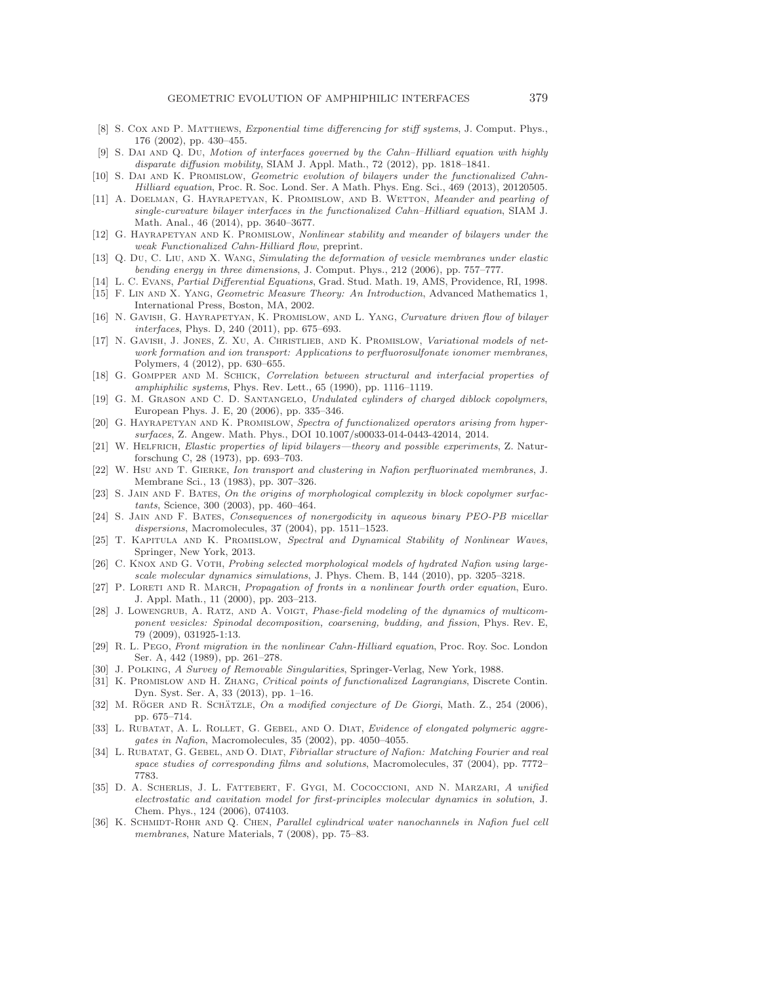- [8] S. COX AND P. MATTHEWS, Exponential time differencing for stiff systems, J. Comput. Phys., 176 (2002), pp. 430–455.
- [9] S. DAI AND Q. DU, Motion of interfaces governed by the Cahn–Hilliard equation with highly disparate diffusion mobility, SIAM J. Appl. Math., 72 (2012), pp. 1818–1841.
- <span id="page-32-16"></span>[10] S. Dai and K. Promislow, Geometric evolution of bilayers under the functionalized Cahn-Hilliard equation, Proc. R. Soc. Lond. Ser. A Math. Phys. Eng. Sci., 469 (2013), 20120505.
- <span id="page-32-10"></span>[11] A. DOELMAN, G. HAYRAPETYAN, K. PROMISLOW, AND B. WETTON, Meander and pearling of single-curvature bilayer interfaces in the functionalized Cahn–Hilliard equation, SIAM J. Math. Anal., 46 (2014), pp. 3640–3677.
- <span id="page-32-19"></span>[12] G. HAYRAPETYAN AND K. PROMISLOW, Nonlinear stability and meander of bilayers under the weak Functionalized Cahn-Hilliard flow, preprint.
- <span id="page-32-13"></span>[13] Q. Du, C. Liu, and X. Wang, Simulating the deformation of vesicle membranes under elastic bending energy in three dimensions, J. Comput. Phys., 212 (2006), pp. 757–777.
- <span id="page-32-23"></span><span id="page-32-20"></span>[14] L. C. Evans, Partial Differential Equations, Grad. Stud. Math. 19, AMS, Providence, RI, 1998. [15] F. Lin and X. Yang, Geometric Measure Theory: An Introduction, Advanced Mathematics 1, International Press, Boston, MA, 2002.
- <span id="page-32-8"></span>[16] N. Gavish, G. Hayrapetyan, K. Promislow, and L. Yang, Curvature driven flow of bilayer interfaces, Phys. D, 240 (2011), pp. 675–693.
- <span id="page-32-11"></span>[17] N. GAVISH, J. JONES, Z. XU, A. CHRISTLIEB, AND K. PROMISLOW, Variational models of network formation and ion transport: Applications to perfluorosulfonate ionomer membranes, Polymers, 4 (2012), pp. 630–655.
- <span id="page-32-6"></span>[18] G. Gompper and M. Schick, Correlation between structural and interfacial properties of amphiphilic systems, Phys. Rev. Lett., 65 (1990), pp. 1116–1119.
- [19] G. M. GRASON AND C. D. SANTANGELO, *Undulated cylinders of charged diblock copolymers*, European Phys. J. E, 20 (2006), pp. 335–346.
- <span id="page-32-18"></span>[20] G. HAYRAPETYAN AND K. PROMISLOW, Spectra of functionalized operators arising from hypersurfaces, Z. Angew. Math. Phys., DOI 10.1007/s00033-014-0443-42014, 2014.
- [21] W. HELFRICH, Elastic properties of lipid bilayers—theory and possible experiments, Z. Naturforschung C, 28 (1973), pp. 693–703.
- [22] W. Hsu AND T. GIERKE, Ion transport and clustering in Nafion perfluorinated membranes, J. Membrane Sci., 13 (1983), pp. 307–326.
- <span id="page-32-4"></span>[23] S. JAIN AND F. BATES, On the origins of morphological complexity in block copolymer surfactants, Science, 300 (2003), pp. 460–464.
- <span id="page-32-5"></span>[24] S. Jain and F. Bates, Consequences of nonergodicity in aqueous binary PEO-PB micellar dispersions, Macromolecules, 37 (2004), pp. 1511–1523.
- <span id="page-32-21"></span>[25] T. KAPITULA AND K. PROMISLOW, Spectral and Dynamical Stability of Nonlinear Waves, Springer, New York, 2013.
- <span id="page-32-0"></span>[26] C. KNOX AND G. VOTH, *Probing selected morphological models of hydrated Nafion using large*scale molecular dynamics simulations, J. Phys. Chem. B, 144 (2010), pp. 3205–3218.
- <span id="page-32-12"></span>[27] P. LORETI AND R. MARCH, Propagation of fronts in a nonlinear fourth order equation, Euro. J. Appl. Math., 11 (2000), pp. 203–213.
- <span id="page-32-14"></span>[28] J. LOWENGRUB, A. RATZ, AND A. VOIGT, *Phase-field modeling of the dynamics of multicom*ponent vesicles: Spinodal decomposition, coarsening, budding, and fission, Phys. Rev. E, 79 (2009), 031925-1:13.
- <span id="page-32-17"></span>[29] R. L. Pego, Front migration in the nonlinear Cahn-Hilliard equation, Proc. Roy. Soc. London Ser. A, 442 (1989), pp. 261–278.
- <span id="page-32-22"></span><span id="page-32-15"></span>[30] J. POLKING, A Survey of Removable Singularities, Springer-Verlag, New York, 1988.
- [31] K. Promislow and H. Zhang, Critical points of functionalized Lagrangians, Discrete Contin. Dyn. Syst. Ser. A, 33 (2013), pp. 1–16.
- <span id="page-32-7"></span>[32] M. RÖGER AND R. SCHÄTZLE, On a modified conjecture of De Giorgi, Math. Z., 254 (2006), pp. 675–714.
- <span id="page-32-1"></span>[33] L. RUBATAT, A. L. ROLLET, G. GEBEL, AND O. DIAT, *Evidence of elongated polymeric aggre*gates in Nafion, Macromolecules, 35 (2002), pp. 4050–4055.
- <span id="page-32-2"></span>[34] L. RUBATAT, G. GEBEL, AND O. DIAT, Fibriallar structure of Nafion: Matching Fourier and real space studies of corresponding films and solutions, Macromolecules, 37 (2004), pp. 7772– 7783.
- <span id="page-32-9"></span>[35] D. A. Scherlis, J. L. Fattebert, F. Gygi, M. Cococcioni, and N. Marzari, A unified electrostatic and cavitation model for first-principles molecular dynamics in solution, J. Chem. Phys., 124 (2006), 074103.
- <span id="page-32-3"></span>[36] K. SCHMIDT-ROHR AND Q. CHEN, Parallel cylindrical water nanochannels in Nafion fuel cell membranes, Nature Materials, 7 (2008), pp. 75–83.